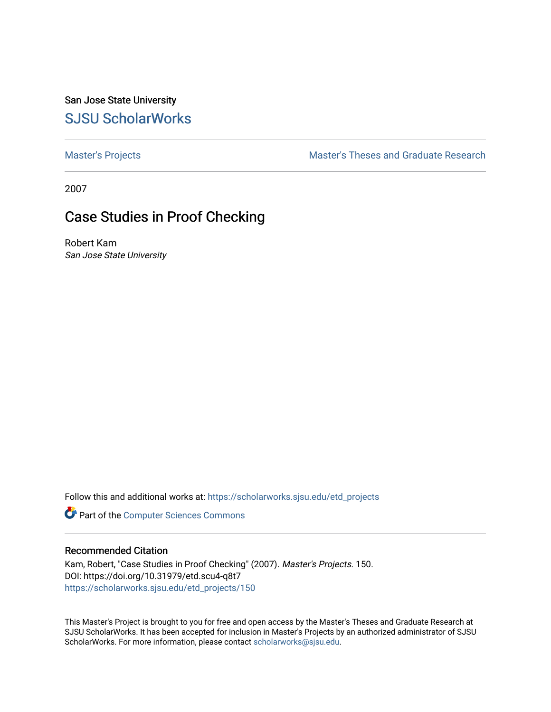San Jose State University [SJSU ScholarWorks](https://scholarworks.sjsu.edu/) 

[Master's Projects](https://scholarworks.sjsu.edu/etd_projects) [Master's Theses and Graduate Research](https://scholarworks.sjsu.edu/etd) 

2007

# Case Studies in Proof Checking

Robert Kam San Jose State University

Follow this and additional works at: [https://scholarworks.sjsu.edu/etd\\_projects](https://scholarworks.sjsu.edu/etd_projects?utm_source=scholarworks.sjsu.edu%2Fetd_projects%2F150&utm_medium=PDF&utm_campaign=PDFCoverPages) 

**Part of the [Computer Sciences Commons](http://network.bepress.com/hgg/discipline/142?utm_source=scholarworks.sjsu.edu%2Fetd_projects%2F150&utm_medium=PDF&utm_campaign=PDFCoverPages)** 

#### Recommended Citation

Kam, Robert, "Case Studies in Proof Checking" (2007). Master's Projects. 150. DOI: https://doi.org/10.31979/etd.scu4-q8t7 [https://scholarworks.sjsu.edu/etd\\_projects/150](https://scholarworks.sjsu.edu/etd_projects/150?utm_source=scholarworks.sjsu.edu%2Fetd_projects%2F150&utm_medium=PDF&utm_campaign=PDFCoverPages) 

This Master's Project is brought to you for free and open access by the Master's Theses and Graduate Research at SJSU ScholarWorks. It has been accepted for inclusion in Master's Projects by an authorized administrator of SJSU ScholarWorks. For more information, please contact [scholarworks@sjsu.edu](mailto:scholarworks@sjsu.edu).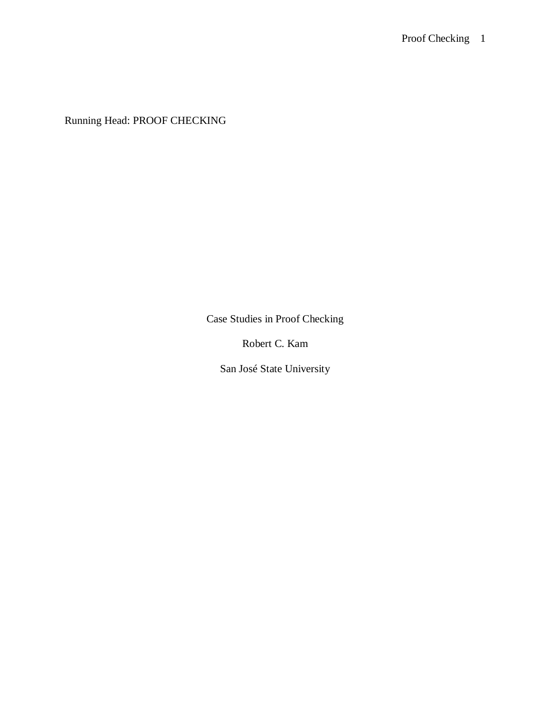Running Head: PROOF CHECKING

Case Studies in Proof Checking

Robert C. Kam

San José State University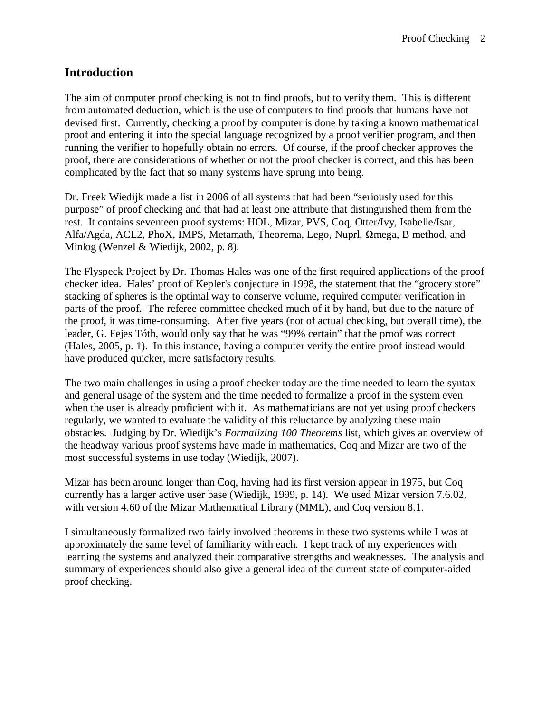### **Introduction**

The aim of computer proof checking is not to find proofs, but to verify them. This is different from automated deduction, which is the use of computers to find proofs that humans have not devised first. Currently, checking a proof by computer is done by taking a known mathematical proof and entering it into the special language recognized by a proof verifier program, and then running the verifier to hopefully obtain no errors. Of course, if the proof checker approves the proof, there are considerations of whether or not the proof checker is correct, and this has been complicated by the fact that so many systems have sprung into being.

Dr. Freek Wiedijk made a list in 2006 of all systems that had been "seriously used for this purpose" of proof checking and that had at least one attribute that distinguished them from the rest. It contains seventeen proof systems: HOL, Mizar, PVS, Coq, Otter/Ivy, Isabelle/Isar, Alfa/Agda, ACL2, PhoX, IMPS, Metamath, Theorema, Lego, Nuprl,  $\Omega$ mega, B method, and Minlog (Wenzel & Wiedijk, 2002, p. 8).

The Flyspeck Project by Dr. Thomas Hales was one of the first required applications of the proof checker idea. Hales' proof of Kepler's conjecture in 1998, the statement that the "grocery store" stacking of spheres is the optimal way to conserve volume, required computer verification in parts of the proof. The referee committee checked much of it by hand, but due to the nature of the proof, it was time-consuming. After five years (not of actual checking, but overall time), the leader, G. Fejes Tóth, would only say that he was "99% certain" that the proof was correct (Hales, 2005, p. 1). In this instance, having a computer verify the entire proof instead would have produced quicker, more satisfactory results.

The two main challenges in using a proof checker today are the time needed to learn the syntax and general usage of the system and the time needed to formalize a proof in the system even when the user is already proficient with it. As mathematicians are not yet using proof checkers regularly, we wanted to evaluate the validity of this reluctance by analyzing these main obstacles. Judging by Dr. Wiedijk's *Formalizing 100 Theorems* list, which gives an overview of the headway various proof systems have made in mathematics, Coq and Mizar are two of the most successful systems in use today (Wiedijk, 2007).

Mizar has been around longer than Coq, having had its first version appear in 1975, but Coq currently has a larger active user base (Wiedijk, 1999, p. 14). We used Mizar version 7.6.02, with version 4.60 of the Mizar Mathematical Library (MML), and Coq version 8.1.

I simultaneously formalized two fairly involved theorems in these two systems while I was at approximately the same level of familiarity with each. I kept track of my experiences with learning the systems and analyzed their comparative strengths and weaknesses. The analysis and summary of experiences should also give a general idea of the current state of computer-aided proof checking.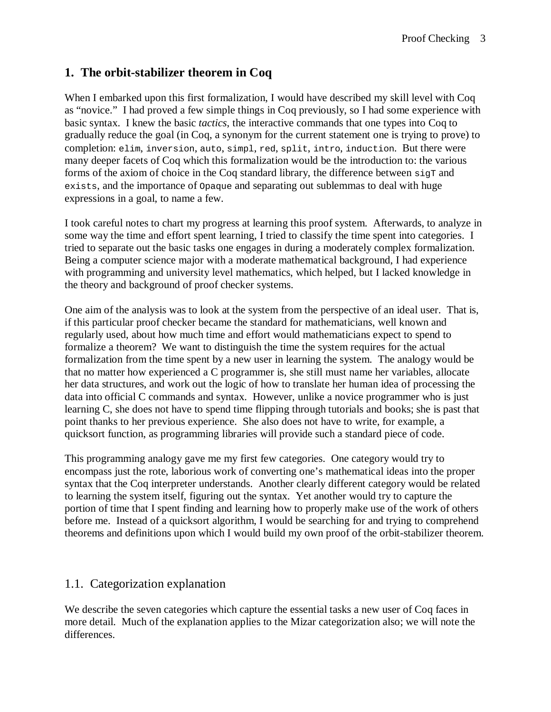# **1. The orbit-stabilizer theorem in Coq**

When I embarked upon this first formalization, I would have described my skill level with Coq as "novice." I had proved a few simple things in Coq previously, so I had some experience with basic syntax. I knew the basic *tactics*, the interactive commands that one types into Coq to gradually reduce the goal (in Coq, a synonym for the current statement one is trying to prove) to completion: elim, inversion, auto, simpl, red, split, intro, induction. But there were many deeper facets of Coq which this formalization would be the introduction to: the various forms of the axiom of choice in the Coq standard library, the difference between  $\sin \theta$  and exists, and the importance of Opaque and separating out sublemmas to deal with huge expressions in a goal, to name a few.

I took careful notes to chart my progress at learning this proof system. Afterwards, to analyze in some way the time and effort spent learning, I tried to classify the time spent into categories. I tried to separate out the basic tasks one engages in during a moderately complex formalization. Being a computer science major with a moderate mathematical background, I had experience with programming and university level mathematics, which helped, but I lacked knowledge in the theory and background of proof checker systems.

One aim of the analysis was to look at the system from the perspective of an ideal user. That is, if this particular proof checker became the standard for mathematicians, well known and regularly used, about how much time and effort would mathematicians expect to spend to formalize a theorem? We want to distinguish the time the system requires for the actual formalization from the time spent by a new user in learning the system. The analogy would be that no matter how experienced a C programmer is, she still must name her variables, allocate her data structures, and work out the logic of how to translate her human idea of processing the data into official C commands and syntax. However, unlike a novice programmer who is just learning C, she does not have to spend time flipping through tutorials and books; she is past that point thanks to her previous experience. She also does not have to write, for example, a quicksort function, as programming libraries will provide such a standard piece of code.

This programming analogy gave me my first few categories. One category would try to encompass just the rote, laborious work of converting one's mathematical ideas into the proper syntax that the Coq interpreter understands. Another clearly different category would be related to learning the system itself, figuring out the syntax. Yet another would try to capture the portion of time that I spent finding and learning how to properly make use of the work of others before me. Instead of a quicksort algorithm, I would be searching for and trying to comprehend theorems and definitions upon which I would build my own proof of the orbit-stabilizer theorem.

### 1.1. Categorization explanation

We describe the seven categories which capture the essential tasks a new user of Coq faces in more detail. Much of the explanation applies to the Mizar categorization also; we will note the differences.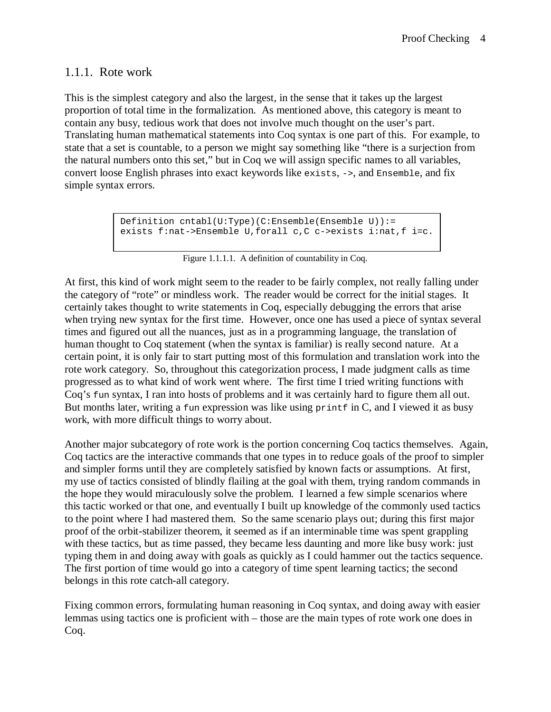### 1.1.1. Rote work

This is the simplest category and also the largest, in the sense that it takes up the largest proportion of total time in the formalization. As mentioned above, this category is meant to contain any busy, tedious work that does not involve much thought on the user's part. Translating human mathematical statements into Coq syntax is one part of this. For example, to state that a set is countable, to a person we might say something like "there is a surjection from the natural numbers onto this set," but in Coq we will assign specific names to all variables, convert loose English phrases into exact keywords like exists, ->, and Ensemble, and fix simple syntax errors.

```
Definition cntabl(U:Type)(C:Ensemble(Ensemble U)):=
exists f:nat->Ensemble U,forall c,C c->exists i:nat,f i=c.
```
#### Figure 1.1.1.1. A definition of countability in Coq.

At first, this kind of work might seem to the reader to be fairly complex, not really falling under the category of "rote" or mindless work. The reader would be correct for the initial stages. It certainly takes thought to write statements in Coq, especially debugging the errors that arise when trying new syntax for the first time. However, once one has used a piece of syntax several times and figured out all the nuances, just as in a programming language, the translation of human thought to Coq statement (when the syntax is familiar) is really second nature. At a certain point, it is only fair to start putting most of this formulation and translation work into the rote work category. So, throughout this categorization process, I made judgment calls as time progressed as to what kind of work went where. The first time I tried writing functions with Coq's fun syntax, I ran into hosts of problems and it was certainly hard to figure them all out. But months later, writing a fun expression was like using  $\varphi$  printf in C, and I viewed it as busy work, with more difficult things to worry about.

Another major subcategory of rote work is the portion concerning Coq tactics themselves. Again, Coq tactics are the interactive commands that one types in to reduce goals of the proof to simpler and simpler forms until they are completely satisfied by known facts or assumptions. At first, my use of tactics consisted of blindly flailing at the goal with them, trying random commands in the hope they would miraculously solve the problem. I learned a few simple scenarios where this tactic worked or that one, and eventually I built up knowledge of the commonly used tactics to the point where I had mastered them. So the same scenario plays out; during this first major proof of the orbit-stabilizer theorem, it seemed as if an interminable time was spent grappling with these tactics, but as time passed, they became less daunting and more like busy work: just typing them in and doing away with goals as quickly as I could hammer out the tactics sequence. The first portion of time would go into a category of time spent learning tactics; the second belongs in this rote catch-all category.

Fixing common errors, formulating human reasoning in Coq syntax, and doing away with easier lemmas using tactics one is proficient with – those are the main types of rote work one does in Coq.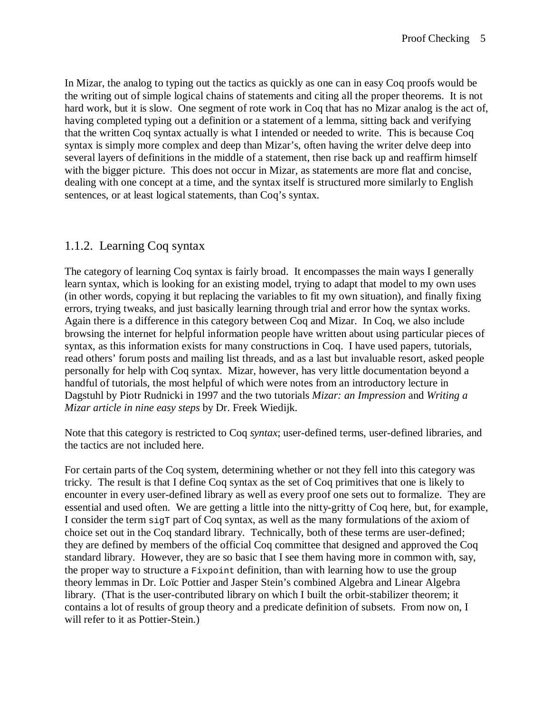In Mizar, the analog to typing out the tactics as quickly as one can in easy Coq proofs would be the writing out of simple logical chains of statements and citing all the proper theorems. It is not hard work, but it is slow. One segment of rote work in Coq that has no Mizar analog is the act of, having completed typing out a definition or a statement of a lemma, sitting back and verifying that the written Coq syntax actually is what I intended or needed to write. This is because Coq syntax is simply more complex and deep than Mizar's, often having the writer delve deep into several layers of definitions in the middle of a statement, then rise back up and reaffirm himself with the bigger picture. This does not occur in Mizar, as statements are more flat and concise, dealing with one concept at a time, and the syntax itself is structured more similarly to English sentences, or at least logical statements, than Coq's syntax.

# 1.1.2. Learning Coq syntax

The category of learning Coq syntax is fairly broad. It encompasses the main ways I generally learn syntax, which is looking for an existing model, trying to adapt that model to my own uses (in other words, copying it but replacing the variables to fit my own situation), and finally fixing errors, trying tweaks, and just basically learning through trial and error how the syntax works. Again there is a difference in this category between Coq and Mizar. In Coq, we also include browsing the internet for helpful information people have written about using particular pieces of syntax, as this information exists for many constructions in Coq. I have used papers, tutorials, read others' forum posts and mailing list threads, and as a last but invaluable resort, asked people personally for help with Coq syntax. Mizar, however, has very little documentation beyond a handful of tutorials, the most helpful of which were notes from an introductory lecture in Dagstuhl by Piotr Rudnicki in 1997 and the two tutorials *Mizar: an Impression* and *Writing a Mizar article in nine easy steps* by Dr. Freek Wiedijk.

Note that this category is restricted to Coq *syntax*; user-defined terms, user-defined libraries, and the tactics are not included here.

For certain parts of the Coq system, determining whether or not they fell into this category was tricky. The result is that I define Coq syntax as the set of Coq primitives that one is likely to encounter in every user-defined library as well as every proof one sets out to formalize. They are essential and used often. We are getting a little into the nitty-gritty of Coq here, but, for example, I consider the term sigth part of Coq syntax, as well as the many formulations of the axiom of choice set out in the Coq standard library. Technically, both of these terms are user-defined; they are defined by members of the official Coq committee that designed and approved the Coq standard library. However, they are so basic that I see them having more in common with, say, the proper way to structure a Fixpoint definition, than with learning how to use the group theory lemmas in Dr. Loïc Pottier and Jasper Stein's combined Algebra and Linear Algebra library. (That is the user-contributed library on which I built the orbit-stabilizer theorem; it contains a lot of results of group theory and a predicate definition of subsets. From now on, I will refer to it as Pottier-Stein.)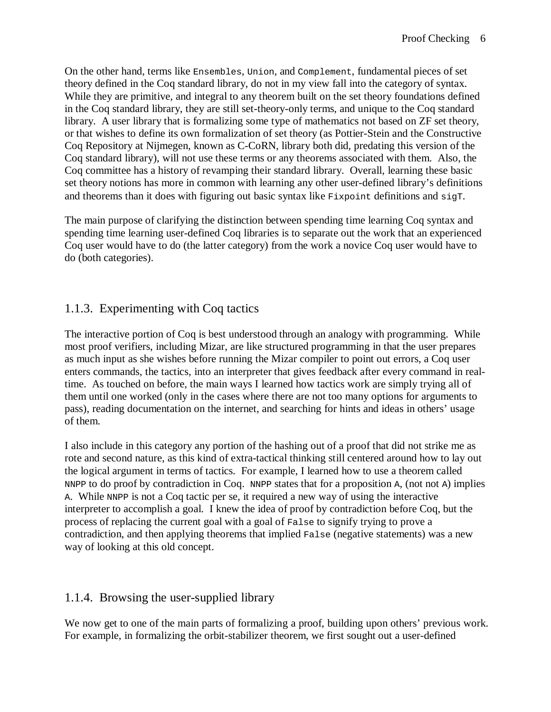On the other hand, terms like Ensembles, Union, and Complement, fundamental pieces of set theory defined in the Coq standard library, do not in my view fall into the category of syntax. While they are primitive, and integral to any theorem built on the set theory foundations defined in the Coq standard library, they are still set-theory-only terms, and unique to the Coq standard library. A user library that is formalizing some type of mathematics not based on ZF set theory, or that wishes to define its own formalization of set theory (as Pottier-Stein and the Constructive Coq Repository at Nijmegen, known as C-CoRN, library both did, predating this version of the Coq standard library), will not use these terms or any theorems associated with them. Also, the Coq committee has a history of revamping their standard library. Overall, learning these basic set theory notions has more in common with learning any other user-defined library's definitions and theorems than it does with figuring out basic syntax like Fixpoint definitions and sigT.

The main purpose of clarifying the distinction between spending time learning Coq syntax and spending time learning user-defined Coq libraries is to separate out the work that an experienced Coq user would have to do (the latter category) from the work a novice Coq user would have to do (both categories).

# 1.1.3. Experimenting with Coq tactics

The interactive portion of Coq is best understood through an analogy with programming. While most proof verifiers, including Mizar, are like structured programming in that the user prepares as much input as she wishes before running the Mizar compiler to point out errors, a Coq user enters commands, the tactics, into an interpreter that gives feedback after every command in realtime. As touched on before, the main ways I learned how tactics work are simply trying all of them until one worked (only in the cases where there are not too many options for arguments to pass), reading documentation on the internet, and searching for hints and ideas in others' usage of them.

I also include in this category any portion of the hashing out of a proof that did not strike me as rote and second nature, as this kind of extra-tactical thinking still centered around how to lay out the logical argument in terms of tactics. For example, I learned how to use a theorem called NNPP to do proof by contradiction in Coq. NNPP states that for a proposition A, (not not A) implies A. While NNPP is not a Coq tactic per se, it required a new way of using the interactive interpreter to accomplish a goal. I knew the idea of proof by contradiction before Coq, but the process of replacing the current goal with a goal of False to signify trying to prove a contradiction, and then applying theorems that implied False (negative statements) was a new way of looking at this old concept.

# 1.1.4. Browsing the user-supplied library

We now get to one of the main parts of formalizing a proof, building upon others' previous work. For example, in formalizing the orbit-stabilizer theorem, we first sought out a user-defined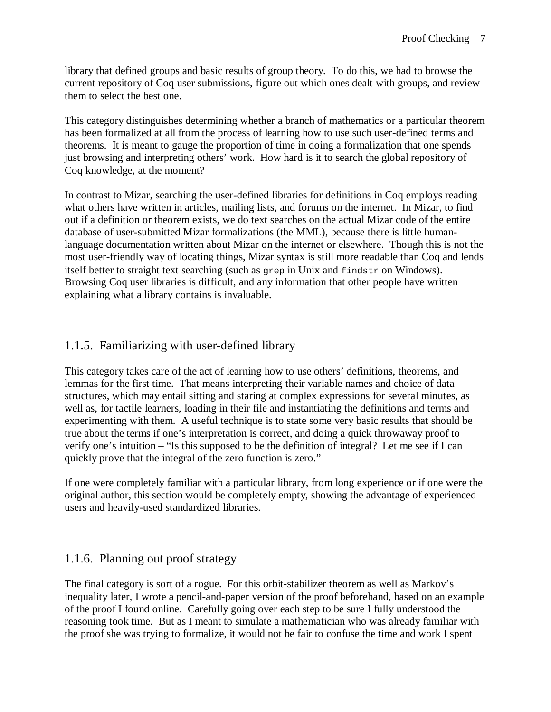library that defined groups and basic results of group theory. To do this, we had to browse the current repository of Coq user submissions, figure out which ones dealt with groups, and review them to select the best one.

This category distinguishes determining whether a branch of mathematics or a particular theorem has been formalized at all from the process of learning how to use such user-defined terms and theorems. It is meant to gauge the proportion of time in doing a formalization that one spends just browsing and interpreting others' work. How hard is it to search the global repository of Coq knowledge, at the moment?

In contrast to Mizar, searching the user-defined libraries for definitions in Coq employs reading what others have written in articles, mailing lists, and forums on the internet. In Mizar, to find out if a definition or theorem exists, we do text searches on the actual Mizar code of the entire database of user-submitted Mizar formalizations (the MML), because there is little humanlanguage documentation written about Mizar on the internet or elsewhere. Though this is not the most user-friendly way of locating things, Mizar syntax is still more readable than Coq and lends itself better to straight text searching (such as grep in Unix and findstr on Windows). Browsing Coq user libraries is difficult, and any information that other people have written explaining what a library contains is invaluable.

# 1.1.5. Familiarizing with user-defined library

This category takes care of the act of learning how to use others' definitions, theorems, and lemmas for the first time. That means interpreting their variable names and choice of data structures, which may entail sitting and staring at complex expressions for several minutes, as well as, for tactile learners, loading in their file and instantiating the definitions and terms and experimenting with them. A useful technique is to state some very basic results that should be true about the terms if one's interpretation is correct, and doing a quick throwaway proof to verify one's intuition – "Is this supposed to be the definition of integral? Let me see if I can quickly prove that the integral of the zero function is zero."

If one were completely familiar with a particular library, from long experience or if one were the original author, this section would be completely empty, showing the advantage of experienced users and heavily-used standardized libraries.

# 1.1.6. Planning out proof strategy

The final category is sort of a rogue. For this orbit-stabilizer theorem as well as Markov's inequality later, I wrote a pencil-and-paper version of the proof beforehand, based on an example of the proof I found online. Carefully going over each step to be sure I fully understood the reasoning took time. But as I meant to simulate a mathematician who was already familiar with the proof she was trying to formalize, it would not be fair to confuse the time and work I spent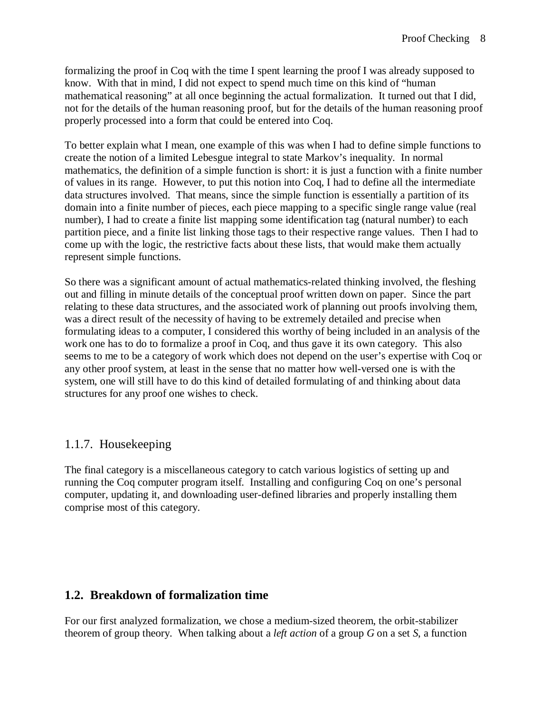formalizing the proof in Coq with the time I spent learning the proof I was already supposed to know. With that in mind, I did not expect to spend much time on this kind of "human mathematical reasoning" at all once beginning the actual formalization. It turned out that I did, not for the details of the human reasoning proof, but for the details of the human reasoning proof properly processed into a form that could be entered into Coq.

To better explain what I mean, one example of this was when I had to define simple functions to create the notion of a limited Lebesgue integral to state Markov's inequality. In normal mathematics, the definition of a simple function is short: it is just a function with a finite number of values in its range. However, to put this notion into Coq, I had to define all the intermediate data structures involved. That means, since the simple function is essentially a partition of its domain into a finite number of pieces, each piece mapping to a specific single range value (real number), I had to create a finite list mapping some identification tag (natural number) to each partition piece, and a finite list linking those tags to their respective range values. Then I had to come up with the logic, the restrictive facts about these lists, that would make them actually represent simple functions.

So there was a significant amount of actual mathematics-related thinking involved, the fleshing out and filling in minute details of the conceptual proof written down on paper. Since the part relating to these data structures, and the associated work of planning out proofs involving them, was a direct result of the necessity of having to be extremely detailed and precise when formulating ideas to a computer, I considered this worthy of being included in an analysis of the work one has to do to formalize a proof in Coq, and thus gave it its own category. This also seems to me to be a category of work which does not depend on the user's expertise with Coq or any other proof system, at least in the sense that no matter how well-versed one is with the system, one will still have to do this kind of detailed formulating of and thinking about data structures for any proof one wishes to check.

### 1.1.7. Housekeeping

The final category is a miscellaneous category to catch various logistics of setting up and running the Coq computer program itself. Installing and configuring Coq on one's personal computer, updating it, and downloading user-defined libraries and properly installing them comprise most of this category.

### **1.2. Breakdown of formalization time**

For our first analyzed formalization, we chose a medium-sized theorem, the orbit-stabilizer theorem of group theory. When talking about a *left action* of a group *G* on a set *S*, a function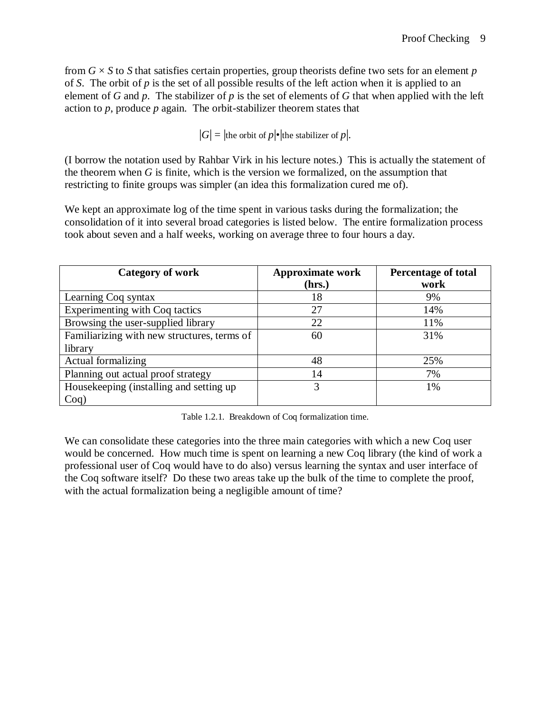from *G* × *S* to *S* that satisfies certain properties, group theorists define two sets for an element *p* of *S*. The orbit of *p* is the set of all possible results of the left action when it is applied to an element of *G* and *p*. The stabilizer of *p* is the set of elements of *G* that when applied with the left action to *p*, produce *p* again. The orbit-stabilizer theorem states that

 $|G| =$  the orbit of  $p$  • the stabilizer of  $p$ .

(I borrow the notation used by Rahbar Virk in his lecture notes.) This is actually the statement of the theorem when *G* is finite, which is the version we formalized, on the assumption that restricting to finite groups was simpler (an idea this formalization cured me of).

We kept an approximate log of the time spent in various tasks during the formalization; the consolidation of it into several broad categories is listed below. The entire formalization process took about seven and a half weeks, working on average three to four hours a day.

| <b>Category of work</b>                     | <b>Approximate work</b> | <b>Percentage of total</b> |
|---------------------------------------------|-------------------------|----------------------------|
|                                             | (hrs.)                  | work                       |
| Learning Coq syntax                         | 18                      | 9%                         |
| Experimenting with Coq tactics              | 27                      | 14%                        |
| Browsing the user-supplied library          | 22                      | 11%                        |
| Familiarizing with new structures, terms of | 60                      | 31%                        |
| library                                     |                         |                            |
| Actual formalizing                          | 48                      | 25%                        |
| Planning out actual proof strategy          | 14                      | 7%                         |
| Housekeeping (installing and setting up     | 3                       | 1%                         |
| $Coq$ )                                     |                         |                            |

Table 1.2.1. Breakdown of Coq formalization time.

We can consolidate these categories into the three main categories with which a new Coq user would be concerned. How much time is spent on learning a new Coq library (the kind of work a professional user of Coq would have to do also) versus learning the syntax and user interface of the Coq software itself? Do these two areas take up the bulk of the time to complete the proof, with the actual formalization being a negligible amount of time?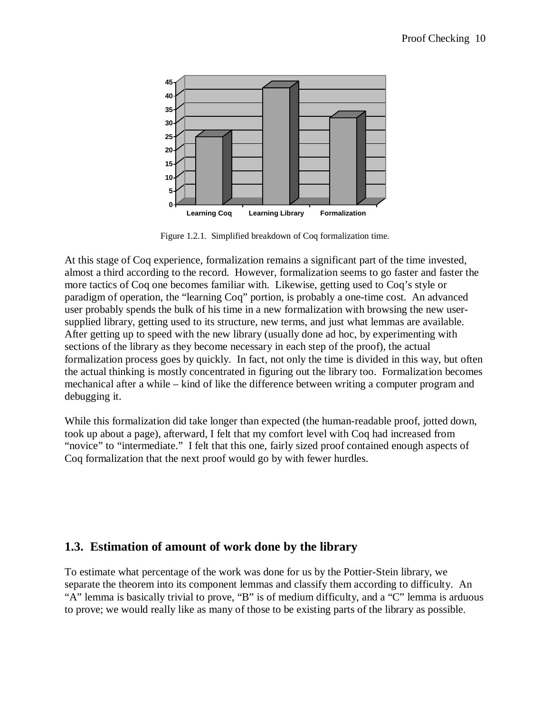

Figure 1.2.1. Simplified breakdown of Coq formalization time.

At this stage of Coq experience, formalization remains a significant part of the time invested, almost a third according to the record. However, formalization seems to go faster and faster the more tactics of Coq one becomes familiar with. Likewise, getting used to Coq's style or paradigm of operation, the "learning Coq" portion, is probably a one-time cost. An advanced user probably spends the bulk of his time in a new formalization with browsing the new usersupplied library, getting used to its structure, new terms, and just what lemmas are available. After getting up to speed with the new library (usually done ad hoc, by experimenting with sections of the library as they become necessary in each step of the proof), the actual formalization process goes by quickly. In fact, not only the time is divided in this way, but often the actual thinking is mostly concentrated in figuring out the library too. Formalization becomes mechanical after a while – kind of like the difference between writing a computer program and debugging it.

While this formalization did take longer than expected (the human-readable proof, jotted down, took up about a page), afterward, I felt that my comfort level with Coq had increased from "novice" to "intermediate." I felt that this one, fairly sized proof contained enough aspects of Coq formalization that the next proof would go by with fewer hurdles.

### **1.3. Estimation of amount of work done by the library**

To estimate what percentage of the work was done for us by the Pottier-Stein library, we separate the theorem into its component lemmas and classify them according to difficulty. An "A" lemma is basically trivial to prove, "B" is of medium difficulty, and a "C" lemma is arduous to prove; we would really like as many of those to be existing parts of the library as possible.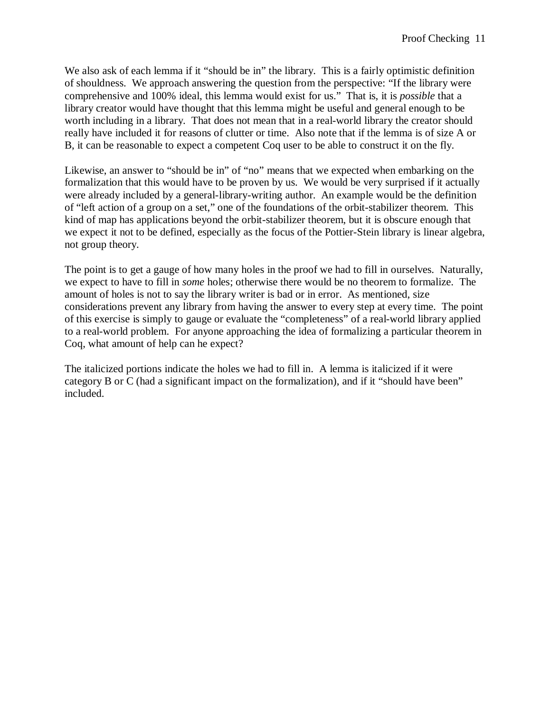We also ask of each lemma if it "should be in" the library. This is a fairly optimistic definition of shouldness. We approach answering the question from the perspective: "If the library were comprehensive and 100% ideal, this lemma would exist for us." That is, it is *possible* that a library creator would have thought that this lemma might be useful and general enough to be worth including in a library. That does not mean that in a real-world library the creator should really have included it for reasons of clutter or time. Also note that if the lemma is of size A or B, it can be reasonable to expect a competent Coq user to be able to construct it on the fly.

Likewise, an answer to "should be in" of "no" means that we expected when embarking on the formalization that this would have to be proven by us. We would be very surprised if it actually were already included by a general-library-writing author. An example would be the definition of "left action of a group on a set," one of the foundations of the orbit-stabilizer theorem. This kind of map has applications beyond the orbit-stabilizer theorem, but it is obscure enough that we expect it not to be defined, especially as the focus of the Pottier-Stein library is linear algebra, not group theory.

The point is to get a gauge of how many holes in the proof we had to fill in ourselves. Naturally, we expect to have to fill in *some* holes; otherwise there would be no theorem to formalize. The amount of holes is not to say the library writer is bad or in error. As mentioned, size considerations prevent any library from having the answer to every step at every time. The point of this exercise is simply to gauge or evaluate the "completeness" of a real-world library applied to a real-world problem. For anyone approaching the idea of formalizing a particular theorem in Coq, what amount of help can he expect?

The italicized portions indicate the holes we had to fill in. A lemma is italicized if it were category B or C (had a significant impact on the formalization), and if it "should have been" included.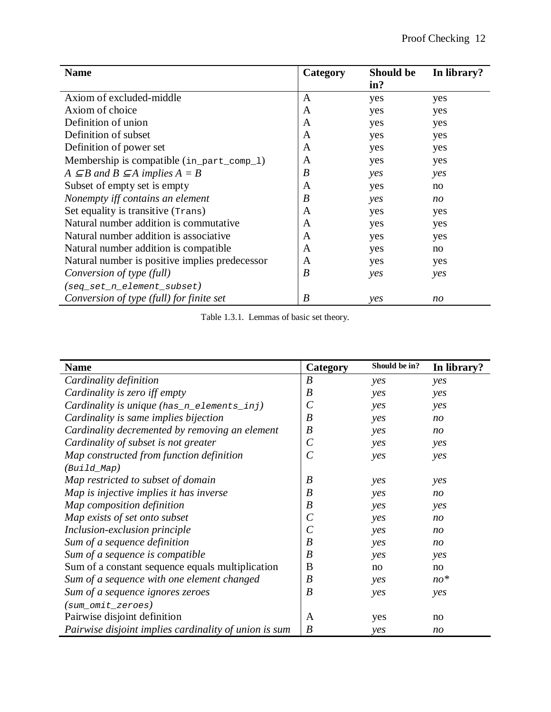| <b>Name</b>                                         | Category | Should be | In library? |
|-----------------------------------------------------|----------|-----------|-------------|
|                                                     |          | in?       |             |
| Axiom of excluded-middle                            | A        | yes       | yes         |
| Axiom of choice                                     | A        | yes       | yes         |
| Definition of union                                 | A        | yes       | yes         |
| Definition of subset                                | A        | yes       | yes         |
| Definition of power set                             | A        | yes       | yes         |
| Membership is compatible (in_part_comp_1)           | A        | yes       | yes         |
| $A \subseteq B$ and $B \subseteq A$ implies $A = B$ | B        | yes       | yes         |
| Subset of empty set is empty                        | A        | yes       | no          |
| Nonempty iff contains an element                    | B        | yes       | no          |
| Set equality is transitive (Trans)                  | A        | yes       | yes         |
| Natural number addition is commutative              | A        | yes       | yes         |
| Natural number addition is associative.             | A        | yes       | yes         |
| Natural number addition is compatible.              | A        | yes       | no          |
| Natural number is positive implies predecessor      | A        | yes       | yes         |
| Conversion of type (full)                           | B        | yes       | yes         |
| (seq_set_n_element_subset)                          |          |           |             |
| Conversion of type (full) for finite set            | B        | yes       | no          |

Table 1.3.1. Lemmas of basic set theory.

| <b>Name</b>                                           | Category         | Should be in? | In library? |
|-------------------------------------------------------|------------------|---------------|-------------|
| Cardinality definition                                | $\boldsymbol{B}$ | yes           | yes         |
| Cardinality is zero iff empty                         | $\boldsymbol{B}$ | yes           | yes         |
| Cardinality is unique (has_n_elements_inj)            | $\mathcal C$     | yes           | yes         |
| Cardinality is same implies bijection                 | $\boldsymbol{B}$ | yes           | no          |
| Cardinality decremented by removing an element        | $\boldsymbol{B}$ | yes           | no          |
| Cardinality of subset is not greater                  | $\mathcal C$     | yes           | yes         |
| Map constructed from function definition              | $\overline{C}$   | yes           | yes         |
| $(Build_Map)$                                         |                  |               |             |
| Map restricted to subset of domain                    | $\boldsymbol{B}$ | yes           | yes         |
| Map is injective implies it has inverse               | B                | yes           | no          |
| Map composition definition                            | $\boldsymbol{B}$ | yes           | yes         |
| Map exists of set onto subset                         | $\mathcal C$     | yes           | no          |
| Inclusion-exclusion principle                         | $\mathcal C$     | yes           | no          |
| Sum of a sequence definition                          | $\boldsymbol{B}$ | yes           | no          |
| Sum of a sequence is compatible                       | B                | yes           | yes         |
| Sum of a constant sequence equals multiplication      | B                | no            | no          |
| Sum of a sequence with one element changed            | $\boldsymbol{B}$ | yes           | $no*$       |
| Sum of a sequence ignores zeroes                      | $\boldsymbol{B}$ | yes           | yes         |
| $(sum\_omit\_zeros)$                                  |                  |               |             |
| Pairwise disjoint definition                          | A                | yes           | no          |
| Pairwise disjoint implies cardinality of union is sum | B                | yes           | no          |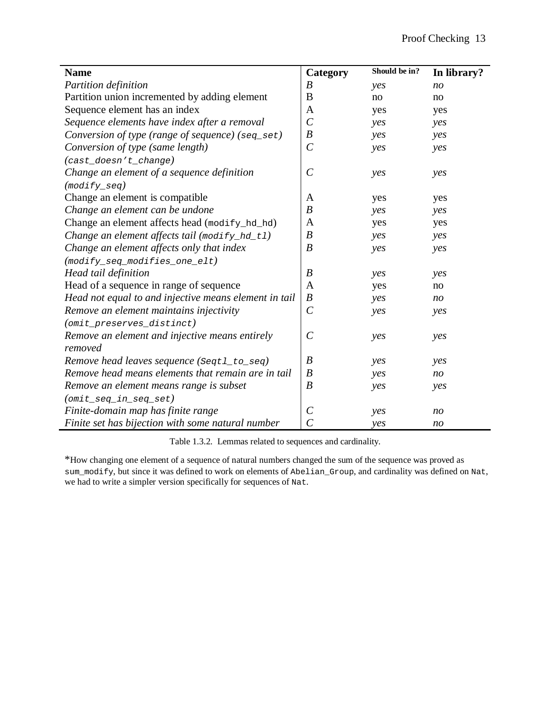| <b>Name</b>                                           | Category              | Should be in? | In library?    |
|-------------------------------------------------------|-----------------------|---------------|----------------|
| Partition definition                                  | $\boldsymbol{B}$      | yes           | n <sub>O</sub> |
| Partition union incremented by adding element         | B                     | no            | no             |
| Sequence element has an index                         | A                     | yes           | yes            |
| Sequence elements have index after a removal          | $\overline{C}$        | yes           | yes            |
| Conversion of type (range of sequence) (seq_set)      | $\boldsymbol{B}$      | yes           | yes            |
| Conversion of type (same length)                      | $\mathcal{C}$         | yes           | yes            |
| (cast_doesn't_change)                                 |                       |               |                |
| Change an element of a sequence definition            | $\mathcal{C}_{0}^{0}$ | yes           | yes            |
| $(modify\_seq)$                                       |                       |               |                |
| Change an element is compatible                       | A                     | yes           | yes            |
| Change an element can be undone                       | $\boldsymbol{B}$      | yes           | yes            |
| Change an element affects head (modify_hd_hd)         | A                     | yes           | yes            |
| Change an element affects tail (modify_hd_t1)         | $\boldsymbol{B}$      | yes           | yes            |
| Change an element affects only that index             | B                     | yes           | yes            |
| $(modify\_seq\_modifies\_one\_elt)$                   |                       |               |                |
| Head tail definition                                  | $\boldsymbol{B}$      | yes           | yes            |
| Head of a sequence in range of sequence               | A                     | yes           | no             |
| Head not equal to and injective means element in tail | $\boldsymbol{B}$      | yes           | n <sub>O</sub> |
| Remove an element maintains injectivity               | $\mathcal{C}$         | yes           | yes            |
| (omit_preserves_distinct)                             |                       |               |                |
| Remove an element and injective means entirely        | $\mathcal{C}_{0}^{0}$ | yes           | yes            |
| removed                                               |                       |               |                |
| Remove head leaves sequence (Seqt1_to_seq)            | $\boldsymbol{B}$      | yes           | yes            |
| Remove head means elements that remain are in tail    | $\boldsymbol{B}$      | yes           | n <sub>O</sub> |
| Remove an element means range is subset               | $\boldsymbol{B}$      | yes           | yes            |
| $(omit\_seq\_in\_seq\_set)$                           |                       |               |                |
| Finite-domain map has finite range                    | $\mathcal{C}_{0}^{0}$ | yes           | n <sub>O</sub> |
| Finite set has bijection with some natural number     | $\overline{C}$        | yes           | n <sub>O</sub> |

Table 1.3.2. Lemmas related to sequences and cardinality.

\*How changing one element of a sequence of natural numbers changed the sum of the sequence was proved as sum\_modify, but since it was defined to work on elements of Abelian\_Group, and cardinality was defined on Nat, we had to write a simpler version specifically for sequences of Nat.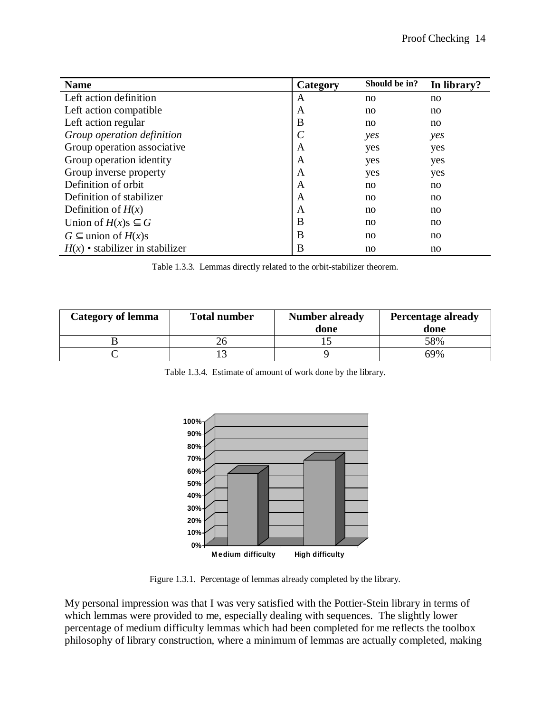| <b>Name</b>                       | Category      | Should be in? | In library? |
|-----------------------------------|---------------|---------------|-------------|
| Left action definition            | A             | no            | no          |
| Left action compatible            | A             | no            | no.         |
| Left action regular               | B             | no            | no.         |
| Group operation definition        | $\mathcal{C}$ | yes           | yes         |
| Group operation associative       | A             | yes           | yes         |
| Group operation identity          | A             | yes           | yes         |
| Group inverse property            | A             | yes           | yes         |
| Definition of orbit               | A             | no            | no.         |
| Definition of stabilizer          | A             | no            | no.         |
| Definition of $H(x)$              | A             | no            | no.         |
| Union of $H(x)$ s $\subseteq$ G   | B             | no            | no          |
| $G \subset$ union of $H(x)$ s     | B             | no            | no.         |
| $H(x)$ • stabilizer in stabilizer | B             | no            | no          |

Table 1.3.3. Lemmas directly related to the orbit-stabilizer theorem.

| <b>Category of lemma</b> | <b>Total number</b> | <b>Number already</b><br>done | <b>Percentage already</b><br>done |
|--------------------------|---------------------|-------------------------------|-----------------------------------|
|                          |                     |                               | 58%                               |
|                          |                     |                               | 69%                               |

|  | Table 1.3.4. Estimate of amount of work done by the library. |  |  |  |
|--|--------------------------------------------------------------|--|--|--|
|--|--------------------------------------------------------------|--|--|--|



Figure 1.3.1. Percentage of lemmas already completed by the library.

My personal impression was that I was very satisfied with the Pottier-Stein library in terms of which lemmas were provided to me, especially dealing with sequences. The slightly lower percentage of medium difficulty lemmas which had been completed for me reflects the toolbox philosophy of library construction, where a minimum of lemmas are actually completed, making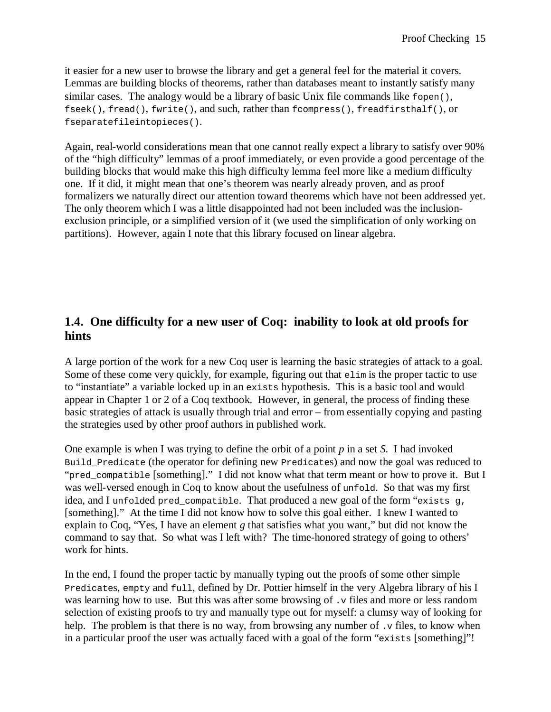it easier for a new user to browse the library and get a general feel for the material it covers. Lemmas are building blocks of theorems, rather than databases meant to instantly satisfy many similar cases. The analogy would be a library of basic Unix file commands like fopen(), fseek(), fread(), fwrite(), and such, rather than fcompress(), freadfirsthalf(), or fseparatefileintopieces().

Again, real-world considerations mean that one cannot really expect a library to satisfy over 90% of the "high difficulty" lemmas of a proof immediately, or even provide a good percentage of the building blocks that would make this high difficulty lemma feel more like a medium difficulty one. If it did, it might mean that one's theorem was nearly already proven, and as proof formalizers we naturally direct our attention toward theorems which have not been addressed yet. The only theorem which I was a little disappointed had not been included was the inclusionexclusion principle, or a simplified version of it (we used the simplification of only working on partitions). However, again I note that this library focused on linear algebra.

# **1.4. One difficulty for a new user of Coq: inability to look at old proofs for hints**

A large portion of the work for a new Coq user is learning the basic strategies of attack to a goal. Some of these come very quickly, for example, figuring out that elim is the proper tactic to use to "instantiate" a variable locked up in an exists hypothesis. This is a basic tool and would appear in Chapter 1 or 2 of a Coq textbook. However, in general, the process of finding these basic strategies of attack is usually through trial and error – from essentially copying and pasting the strategies used by other proof authors in published work.

One example is when I was trying to define the orbit of a point *p* in a set *S*. I had invoked Build Predicate (the operator for defining new Predicates) and now the goal was reduced to "pred\_compatible [something]." I did not know what that term meant or how to prove it. But I was well-versed enough in Coq to know about the usefulness of unfold. So that was my first idea, and I unfolded pred compatible. That produced a new goal of the form "exists  $q$ , [something]." At the time I did not know how to solve this goal either. I knew I wanted to explain to Coq, "Yes, I have an element *g* that satisfies what you want," but did not know the command to say that. So what was I left with? The time-honored strategy of going to others' work for hints.

In the end, I found the proper tactic by manually typing out the proofs of some other simple Predicates, empty and full, defined by Dr. Pottier himself in the very Algebra library of his I was learning how to use. But this was after some browsing of . v files and more or less random selection of existing proofs to try and manually type out for myself: a clumsy way of looking for help. The problem is that there is no way, from browsing any number of  $\cdot$  v files, to know when in a particular proof the user was actually faced with a goal of the form "exists [something]"!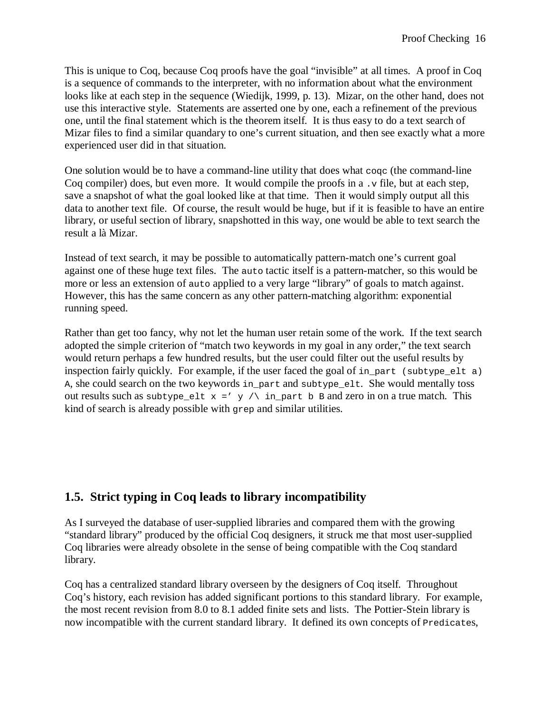This is unique to Coq, because Coq proofs have the goal "invisible" at all times. A proof in Coq is a sequence of commands to the interpreter, with no information about what the environment looks like at each step in the sequence (Wiedijk, 1999, p. 13). Mizar, on the other hand, does not use this interactive style. Statements are asserted one by one, each a refinement of the previous one, until the final statement which is the theorem itself. It is thus easy to do a text search of Mizar files to find a similar quandary to one's current situation, and then see exactly what a more experienced user did in that situation.

One solution would be to have a command-line utility that does what coqc (the command-line Coq compiler) does, but even more. It would compile the proofs in a  $\cdot$  v file, but at each step, save a snapshot of what the goal looked like at that time. Then it would simply output all this data to another text file. Of course, the result would be huge, but if it is feasible to have an entire library, or useful section of library, snapshotted in this way, one would be able to text search the result a là Mizar.

Instead of text search, it may be possible to automatically pattern-match one's current goal against one of these huge text files. The auto tactic itself is a pattern-matcher, so this would be more or less an extension of auto applied to a very large "library" of goals to match against. However, this has the same concern as any other pattern-matching algorithm: exponential running speed.

Rather than get too fancy, why not let the human user retain some of the work. If the text search adopted the simple criterion of "match two keywords in my goal in any order," the text search would return perhaps a few hundred results, but the user could filter out the useful results by inspection fairly quickly. For example, if the user faced the goal of in\_part (subtype\_elt a) A, she could search on the two keywords in part and subtype elt. She would mentally toss out results such as subtype\_elt  $x =' y / \$  in\_part b B and zero in on a true match. This kind of search is already possible with grep and similar utilities.

### **1.5. Strict typing in Coq leads to library incompatibility**

As I surveyed the database of user-supplied libraries and compared them with the growing "standard library" produced by the official Coq designers, it struck me that most user-supplied Coq libraries were already obsolete in the sense of being compatible with the Coq standard library.

Coq has a centralized standard library overseen by the designers of Coq itself. Throughout Coq's history, each revision has added significant portions to this standard library. For example, the most recent revision from 8.0 to 8.1 added finite sets and lists. The Pottier-Stein library is now incompatible with the current standard library. It defined its own concepts of Predicates,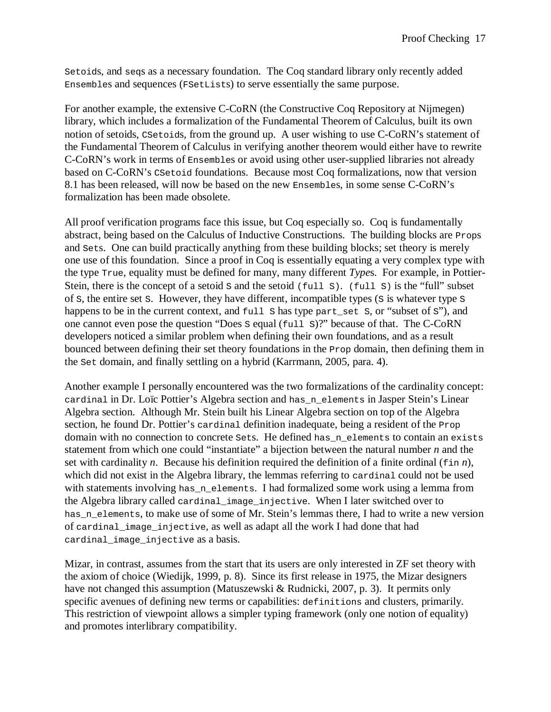Setoids, and seqs as a necessary foundation. The Coq standard library only recently added Ensembles and sequences (FSetLists) to serve essentially the same purpose.

For another example, the extensive C-CoRN (the Constructive Coq Repository at Nijmegen) library, which includes a formalization of the Fundamental Theorem of Calculus, built its own notion of setoids, CSetoids, from the ground up. A user wishing to use C-CoRN's statement of the Fundamental Theorem of Calculus in verifying another theorem would either have to rewrite C-CoRN's work in terms of Ensembles or avoid using other user-supplied libraries not already based on C-CoRN's CSetoid foundations. Because most Coq formalizations, now that version 8.1 has been released, will now be based on the new Ensembles, in some sense C-CoRN's formalization has been made obsolete.

All proof verification programs face this issue, but Coq especially so. Coq is fundamentally abstract, being based on the Calculus of Inductive Constructions. The building blocks are Props and Sets. One can build practically anything from these building blocks; set theory is merely one use of this foundation. Since a proof in Coq is essentially equating a very complex type with the type True, equality must be defined for many, many different *Type*s. For example, in Pottier-Stein, there is the concept of a setoid s and the setoid  $(full s)$ .  $(full s)$  is the "full" subset of S, the entire set S. However, they have different, incompatible types (S is whatever type S happens to be in the current context, and full s has type part\_set s, or "subset of s"), and one cannot even pose the question "Does S equal (full S)?" because of that. The C-CoRN developers noticed a similar problem when defining their own foundations, and as a result bounced between defining their set theory foundations in the Prop domain, then defining them in the Set domain, and finally settling on a hybrid (Karrmann, 2005, para. 4).

Another example I personally encountered was the two formalizations of the cardinality concept: cardinal in Dr. Loïc Pottier's Algebra section and has\_n\_elements in Jasper Stein's Linear Algebra section. Although Mr. Stein built his Linear Algebra section on top of the Algebra section, he found Dr. Pottier's cardinal definition inadequate, being a resident of the Prop domain with no connection to concrete sets. He defined has n elements to contain an exists statement from which one could "instantiate" a bijection between the natural number *n* and the set with cardinality *n*. Because his definition required the definition of a finite ordinal  $(\sin n)$ , which did not exist in the Algebra library, the lemmas referring to cardinal could not be used with statements involving has  $n$  elements. I had formalized some work using a lemma from the Algebra library called cardinal\_image\_injective. When I later switched over to has\_n\_elements, to make use of some of Mr. Stein's lemmas there, I had to write a new version of cardinal\_image\_injective, as well as adapt all the work I had done that had cardinal image injective as a basis.

Mizar, in contrast, assumes from the start that its users are only interested in ZF set theory with the axiom of choice (Wiedijk, 1999, p. 8). Since its first release in 1975, the Mizar designers have not changed this assumption (Matuszewski & Rudnicki, 2007, p. 3). It permits only specific avenues of defining new terms or capabilities: definitions and clusters, primarily. This restriction of viewpoint allows a simpler typing framework (only one notion of equality) and promotes interlibrary compatibility.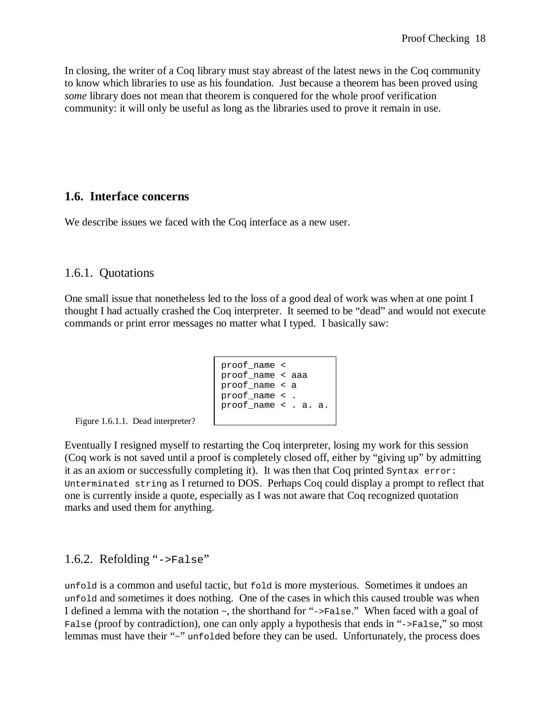In closing, the writer of a Coq library must stay abreast of the latest news in the Coq community to know which libraries to use as his foundation. Just because a theorem has been proved using *some* library does not mean that theorem is conquered for the whole proof verification community: it will only be useful as long as the libraries used to prove it remain in use.

#### **1.6. Interface concerns**

We describe issues we faced with the Coq interface as a new user.

#### 1.6.1. Quotations

One small issue that nonetheless led to the loss of a good deal of work was when at one point I thought I had actually crashed the Coq interpreter. It seemed to be "dead" and would not execute commands or print error messages no matter what I typed. I basically saw:

```
proof_name < 
proof_name < aaa 
proof_name < a 
proof_name < . 
proof_name < . a. a.
```
Figure 1.6.1.1. Dead interpreter?

Eventually I resigned myself to restarting the Coq interpreter, losing my work for this session (Coq work is not saved until a proof is completely closed off, either by "giving up" by admitting it as an axiom or successfully completing it). It was then that Coq printed Syntax error: Unterminated string as I returned to DOS. Perhaps Coq could display a prompt to reflect that one is currently inside a quote, especially as I was not aware that Coq recognized quotation marks and used them for anything.

### 1.6.2. Refolding "->False"

unfold is a common and useful tactic, but fold is more mysterious. Sometimes it undoes an unfold and sometimes it does nothing. One of the cases in which this caused trouble was when I defined a lemma with the notation ~, the shorthand for "->False." When faced with a goal of False (proof by contradiction), one can only apply a hypothesis that ends in "->False," so most lemmas must have their "~" unfolded before they can be used. Unfortunately, the process does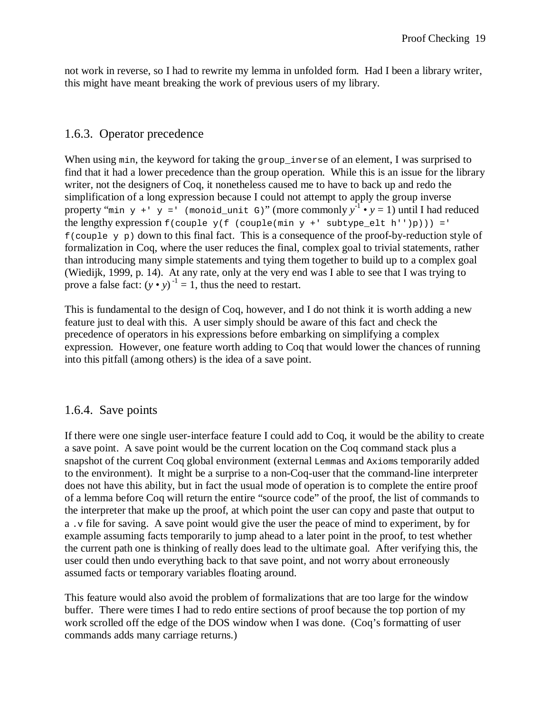not work in reverse, so I had to rewrite my lemma in unfolded form. Had I been a library writer, this might have meant breaking the work of previous users of my library.

### 1.6.3. Operator precedence

When using min, the keyword for taking the group\_inverse of an element, I was surprised to find that it had a lower precedence than the group operation. While this is an issue for the library writer, not the designers of Coq, it nonetheless caused me to have to back up and redo the simplification of a long expression because I could not attempt to apply the group inverse property "min y +' y =' (monoid\_unit G)" (more commonly  $y^{-1} \cdot y = 1$ ) until I had reduced the lengthy expression  $f$ (couple  $y(f$  (couple(min  $y + '$  subtype\_elt h'')p))) ='  $f$ (couple y p) down to this final fact. This is a consequence of the proof-by-reduction style of formalization in Coq, where the user reduces the final, complex goal to trivial statements, rather than introducing many simple statements and tying them together to build up to a complex goal (Wiedijk, 1999, p. 14). At any rate, only at the very end was I able to see that I was trying to prove a false fact:  $(y \cdot y)^{-1} = 1$ , thus the need to restart.

This is fundamental to the design of Coq, however, and I do not think it is worth adding a new feature just to deal with this. A user simply should be aware of this fact and check the precedence of operators in his expressions before embarking on simplifying a complex expression. However, one feature worth adding to Coq that would lower the chances of running into this pitfall (among others) is the idea of a save point.

#### 1.6.4. Save points

If there were one single user-interface feature I could add to Coq, it would be the ability to create a save point. A save point would be the current location on the Coq command stack plus a snapshot of the current Coq global environment (external Lemmas and Axioms temporarily added to the environment). It might be a surprise to a non-Coq-user that the command-line interpreter does not have this ability, but in fact the usual mode of operation is to complete the entire proof of a lemma before Coq will return the entire "source code" of the proof, the list of commands to the interpreter that make up the proof, at which point the user can copy and paste that output to a .v file for saving. A save point would give the user the peace of mind to experiment, by for example assuming facts temporarily to jump ahead to a later point in the proof, to test whether the current path one is thinking of really does lead to the ultimate goal. After verifying this, the user could then undo everything back to that save point, and not worry about erroneously assumed facts or temporary variables floating around.

This feature would also avoid the problem of formalizations that are too large for the window buffer. There were times I had to redo entire sections of proof because the top portion of my work scrolled off the edge of the DOS window when I was done. (Coq's formatting of user commands adds many carriage returns.)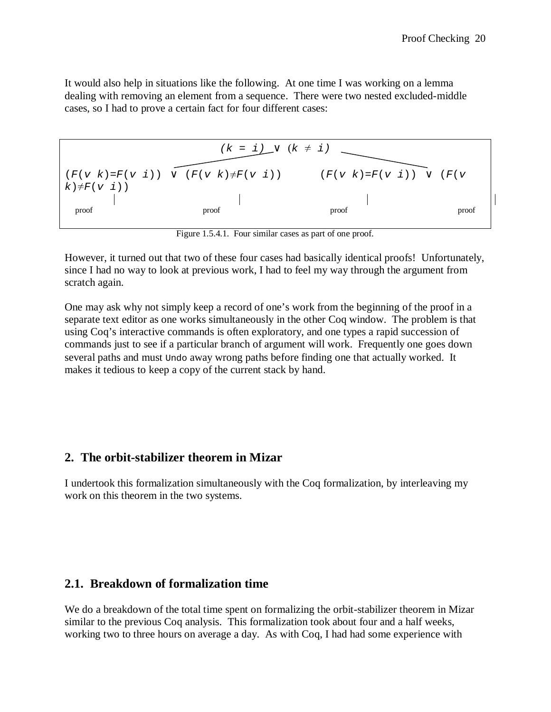It would also help in situations like the following. At one time I was working on a lemma dealing with removing an element from a sequence. There were two nested excluded-middle cases, so I had to prove a certain fact for four different cases:



Figure 1.5.4.1. Four similar cases as part of one proof.

However, it turned out that two of these four cases had basically identical proofs! Unfortunately, since I had no way to look at previous work, I had to feel my way through the argument from scratch again.

One may ask why not simply keep a record of one's work from the beginning of the proof in a separate text editor as one works simultaneously in the other Coq window. The problem is that using Coq's interactive commands is often exploratory, and one types a rapid succession of commands just to see if a particular branch of argument will work. Frequently one goes down several paths and must Undo away wrong paths before finding one that actually worked. It makes it tedious to keep a copy of the current stack by hand.

#### **2. The orbit-stabilizer theorem in Mizar**

I undertook this formalization simultaneously with the Coq formalization, by interleaving my work on this theorem in the two systems.

#### **2.1. Breakdown of formalization time**

We do a breakdown of the total time spent on formalizing the orbit-stabilizer theorem in Mizar similar to the previous Coq analysis. This formalization took about four and a half weeks, working two to three hours on average a day. As with Coq, I had had some experience with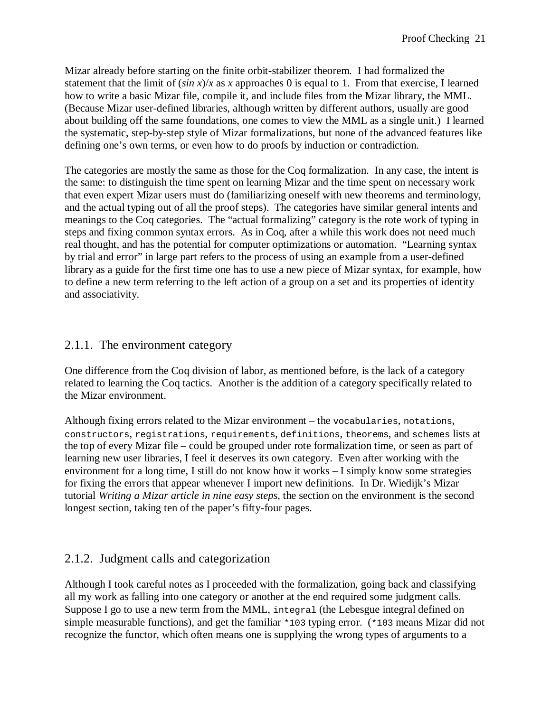Mizar already before starting on the finite orbit-stabilizer theorem. I had formalized the statement that the limit of  $(\sin x)/x$  as *x* approaches 0 is equal to 1. From that exercise, I learned how to write a basic Mizar file, compile it, and include files from the Mizar library, the MML. (Because Mizar user-defined libraries, although written by different authors, usually are good about building off the same foundations, one comes to view the MML as a single unit.) I learned the systematic, step-by-step style of Mizar formalizations, but none of the advanced features like defining one's own terms, or even how to do proofs by induction or contradiction.

The categories are mostly the same as those for the Coq formalization. In any case, the intent is the same: to distinguish the time spent on learning Mizar and the time spent on necessary work that even expert Mizar users must do (familiarizing oneself with new theorems and terminology, and the actual typing out of all the proof steps). The categories have similar general intents and meanings to the Coq categories. The "actual formalizing" category is the rote work of typing in steps and fixing common syntax errors. As in Coq, after a while this work does not need much real thought, and has the potential for computer optimizations or automation. "Learning syntax by trial and error" in large part refers to the process of using an example from a user-defined library as a guide for the first time one has to use a new piece of Mizar syntax, for example, how to define a new term referring to the left action of a group on a set and its properties of identity and associativity.

### 2.1.1. The environment category

One difference from the Coq division of labor, as mentioned before, is the lack of a category related to learning the Coq tactics. Another is the addition of a category specifically related to the Mizar environment.

Although fixing errors related to the Mizar environment – the vocabularies, notations, constructors, registrations, requirements, definitions, theorems, and schemes lists at the top of every Mizar file – could be grouped under rote formalization time, or seen as part of learning new user libraries, I feel it deserves its own category. Even after working with the environment for a long time, I still do not know how it works – I simply know some strategies for fixing the errors that appear whenever I import new definitions. In Dr. Wiedijk's Mizar tutorial *Writing a Mizar article in nine easy steps*, the section on the environment is the second longest section, taking ten of the paper's fifty-four pages.

### 2.1.2. Judgment calls and categorization

Although I took careful notes as I proceeded with the formalization, going back and classifying all my work as falling into one category or another at the end required some judgment calls. Suppose I go to use a new term from the MML, integral (the Lebesgue integral defined on simple measurable functions), and get the familiar \*103 typing error. (\*103 means Mizar did not recognize the functor, which often means one is supplying the wrong types of arguments to a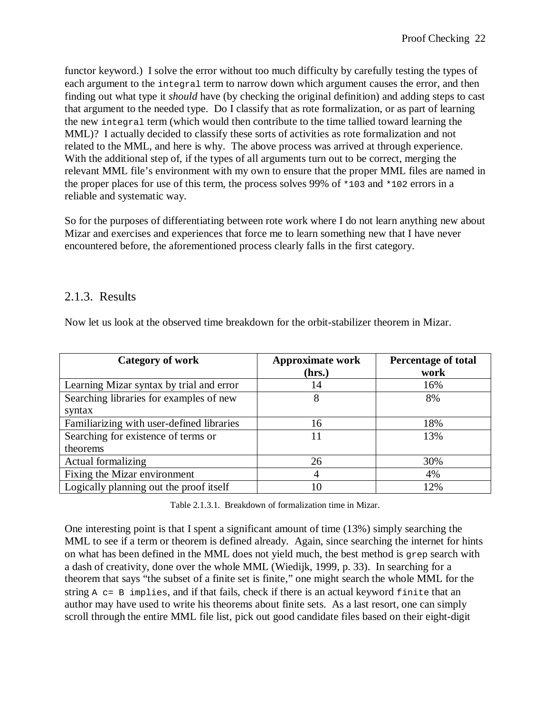functor keyword.) I solve the error without too much difficulty by carefully testing the types of each argument to the integral term to narrow down which argument causes the error, and then finding out what type it *should* have (by checking the original definition) and adding steps to cast that argument to the needed type. Do I classify that as rote formalization, or as part of learning the new integral term (which would then contribute to the time tallied toward learning the MML)? I actually decided to classify these sorts of activities as rote formalization and not related to the MML, and here is why. The above process was arrived at through experience. With the additional step of, if the types of all arguments turn out to be correct, merging the relevant MML file's environment with my own to ensure that the proper MML files are named in the proper places for use of this term, the process solves 99% of \*103 and \*102 errors in a reliable and systematic way.

So for the purposes of differentiating between rote work where I do not learn anything new about Mizar and exercises and experiences that force me to learn something new that I have never encountered before, the aforementioned process clearly falls in the first category.

### 2.1.3. Results

| Category of work                          | <b>Approximate work</b><br>(hrs.) | <b>Percentage of total</b><br>work |
|-------------------------------------------|-----------------------------------|------------------------------------|
| Learning Mizar syntax by trial and error  | 14                                | 16%                                |
| Searching libraries for examples of new   | 8                                 | 8%                                 |
| syntax                                    |                                   |                                    |
| Familiarizing with user-defined libraries | 16                                | 18%                                |
| Searching for existence of terms or       | 11                                | 13%                                |
| theorems                                  |                                   |                                    |
| Actual formalizing                        | 26                                | 30%                                |
| Fixing the Mizar environment              | 4                                 | 4%                                 |
| Logically planning out the proof itself   | 10                                | 12%                                |

Now let us look at the observed time breakdown for the orbit-stabilizer theorem in Mizar.

Table 2.1.3.1. Breakdown of formalization time in Mizar.

One interesting point is that I spent a significant amount of time (13%) simply searching the MML to see if a term or theorem is defined already. Again, since searching the internet for hints on what has been defined in the MML does not yield much, the best method is grep search with a dash of creativity, done over the whole MML (Wiedijk, 1999, p. 33). In searching for a theorem that says "the subset of a finite set is finite," one might search the whole MML for the string  $A$  c= B implies, and if that fails, check if there is an actual keyword finite that an author may have used to write his theorems about finite sets. As a last resort, one can simply scroll through the entire MML file list, pick out good candidate files based on their eight-digit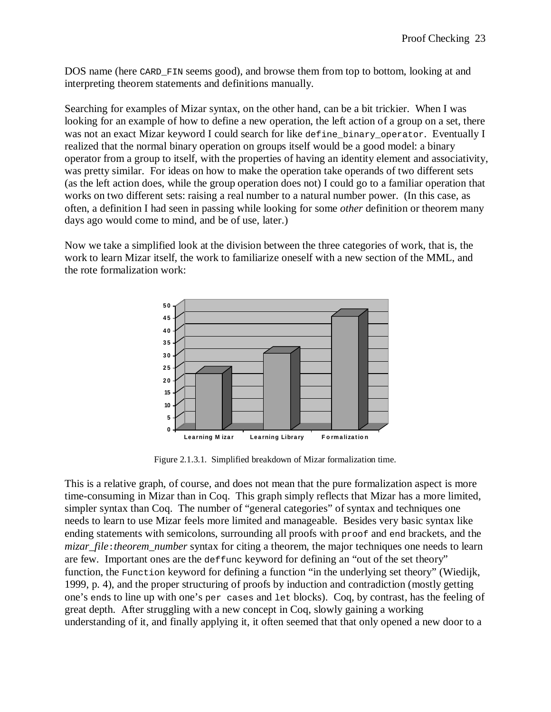DOS name (here CARD FIN seems good), and browse them from top to bottom, looking at and interpreting theorem statements and definitions manually.

Searching for examples of Mizar syntax, on the other hand, can be a bit trickier. When I was looking for an example of how to define a new operation, the left action of a group on a set, there was not an exact Mizar keyword I could search for like define\_binary\_operator. Eventually I realized that the normal binary operation on groups itself would be a good model: a binary operator from a group to itself, with the properties of having an identity element and associativity, was pretty similar. For ideas on how to make the operation take operands of two different sets (as the left action does, while the group operation does not) I could go to a familiar operation that works on two different sets: raising a real number to a natural number power. (In this case, as often, a definition I had seen in passing while looking for some *other* definition or theorem many days ago would come to mind, and be of use, later.)

Now we take a simplified look at the division between the three categories of work, that is, the work to learn Mizar itself, the work to familiarize oneself with a new section of the MML, and the rote formalization work:



Figure 2.1.3.1. Simplified breakdown of Mizar formalization time.

This is a relative graph, of course, and does not mean that the pure formalization aspect is more time-consuming in Mizar than in Coq. This graph simply reflects that Mizar has a more limited, simpler syntax than Coq. The number of "general categories" of syntax and techniques one needs to learn to use Mizar feels more limited and manageable. Besides very basic syntax like ending statements with semicolons, surrounding all proofs with proof and end brackets, and the *mizar\_file*:*theorem\_number* syntax for citing a theorem, the major techniques one needs to learn are few. Important ones are the deffunc keyword for defining an "out of the set theory" function, the Function keyword for defining a function "in the underlying set theory" (Wiedijk, 1999, p. 4), and the proper structuring of proofs by induction and contradiction (mostly getting one's ends to line up with one's per cases and let blocks). Coq, by contrast, has the feeling of great depth. After struggling with a new concept in Coq, slowly gaining a working understanding of it, and finally applying it, it often seemed that that only opened a new door to a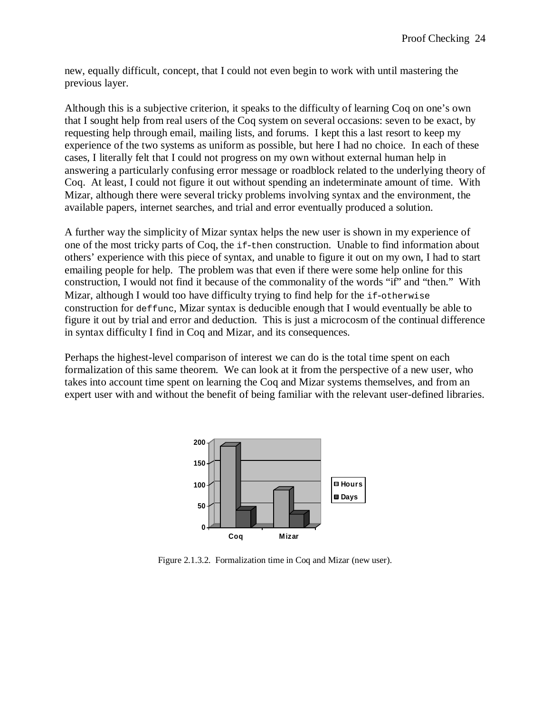new, equally difficult, concept, that I could not even begin to work with until mastering the previous layer.

Although this is a subjective criterion, it speaks to the difficulty of learning Coq on one's own that I sought help from real users of the Coq system on several occasions: seven to be exact, by requesting help through email, mailing lists, and forums. I kept this a last resort to keep my experience of the two systems as uniform as possible, but here I had no choice. In each of these cases, I literally felt that I could not progress on my own without external human help in answering a particularly confusing error message or roadblock related to the underlying theory of Coq. At least, I could not figure it out without spending an indeterminate amount of time. With Mizar, although there were several tricky problems involving syntax and the environment, the available papers, internet searches, and trial and error eventually produced a solution.

A further way the simplicity of Mizar syntax helps the new user is shown in my experience of one of the most tricky parts of Coq, the if-then construction. Unable to find information about others' experience with this piece of syntax, and unable to figure it out on my own, I had to start emailing people for help. The problem was that even if there were some help online for this construction, I would not find it because of the commonality of the words "if" and "then." With Mizar, although I would too have difficulty trying to find help for the if-otherwise construction for deffunc, Mizar syntax is deducible enough that I would eventually be able to figure it out by trial and error and deduction. This is just a microcosm of the continual difference in syntax difficulty I find in Coq and Mizar, and its consequences.

Perhaps the highest-level comparison of interest we can do is the total time spent on each formalization of this same theorem. We can look at it from the perspective of a new user, who takes into account time spent on learning the Coq and Mizar systems themselves, and from an expert user with and without the benefit of being familiar with the relevant user-defined libraries.



Figure 2.1.3.2. Formalization time in Coq and Mizar (new user).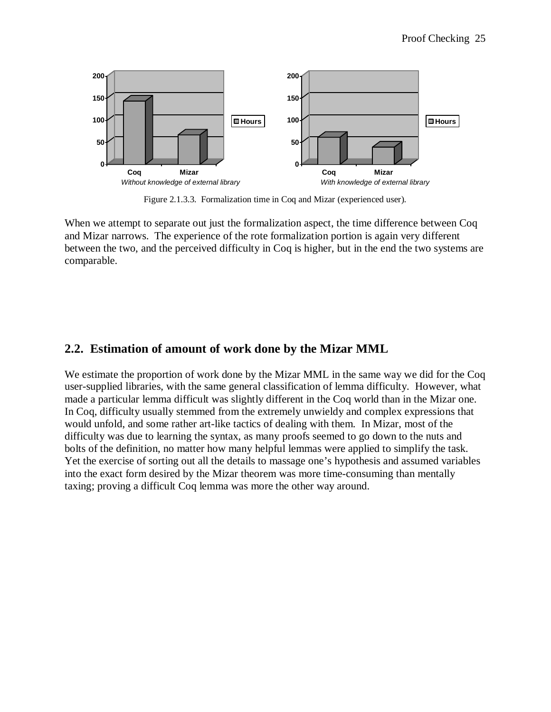

Figure 2.1.3.3. Formalization time in Coq and Mizar (experienced user).

When we attempt to separate out just the formalization aspect, the time difference between Coq and Mizar narrows. The experience of the rote formalization portion is again very different between the two, and the perceived difficulty in Coq is higher, but in the end the two systems are comparable.

### **2.2. Estimation of amount of work done by the Mizar MML**

We estimate the proportion of work done by the Mizar MML in the same way we did for the Coq user-supplied libraries, with the same general classification of lemma difficulty. However, what made a particular lemma difficult was slightly different in the Coq world than in the Mizar one. In Coq, difficulty usually stemmed from the extremely unwieldy and complex expressions that would unfold, and some rather art-like tactics of dealing with them. In Mizar, most of the difficulty was due to learning the syntax, as many proofs seemed to go down to the nuts and bolts of the definition, no matter how many helpful lemmas were applied to simplify the task. Yet the exercise of sorting out all the details to massage one's hypothesis and assumed variables into the exact form desired by the Mizar theorem was more time-consuming than mentally taxing; proving a difficult Coq lemma was more the other way around.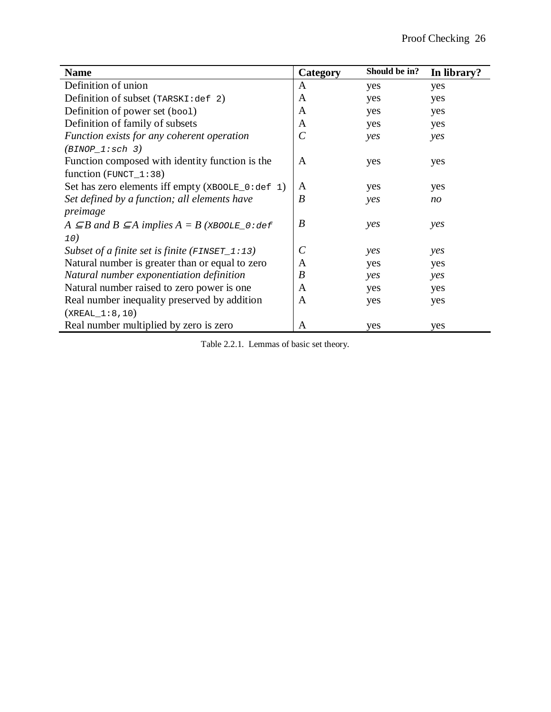|                                                                    |                         | Should be in? |                |
|--------------------------------------------------------------------|-------------------------|---------------|----------------|
| <b>Name</b>                                                        | Category                |               | In library?    |
| Definition of union                                                | A                       | yes           | yes            |
| Definition of subset (TARSKI:def 2)                                | A                       | yes           | yes            |
| Definition of power set (boo1)                                     | A                       | yes           | yes            |
| Definition of family of subsets                                    | A                       | yes           | yes            |
| Function exists for any coherent operation                         | $\mathcal{C}_{0}^{(n)}$ | yes           | yes            |
| $(BINOP_1:sch 3)$                                                  |                         |               |                |
| Function composed with identity function is the                    | A                       | yes           | yes            |
| function ( $FUNCT_1:38$ )                                          |                         |               |                |
| Set has zero elements iff empty $(xB00LE_0:def 1)$                 | A                       | yes           | yes            |
| Set defined by a function; all elements have                       | $\boldsymbol{B}$        | yes           | n <sub>O</sub> |
| preimage                                                           |                         |               |                |
| $A \subseteq B$ and $B \subseteq A$ implies $A = B$ (XBOOLE_0: def | $\boldsymbol{B}$        | yes           | yes            |
| 10)                                                                |                         |               |                |
| Subset of a finite set is finite ( $\text{FINSET}_1:13$ )          | $\mathcal{C}_{0}^{(n)}$ | yes           | yes            |
| Natural number is greater than or equal to zero                    | A                       | yes           | yes            |
| Natural number exponentiation definition                           | B                       | yes           | yes            |
| Natural number raised to zero power is one                         | A                       | yes           | yes            |
| Real number inequality preserved by addition                       | A                       | yes           | yes            |
| $(XREAL_1:8,10)$                                                   |                         |               |                |
| Real number multiplied by zero is zero                             | A                       | yes           | yes            |

Table 2.2.1. Lemmas of basic set theory.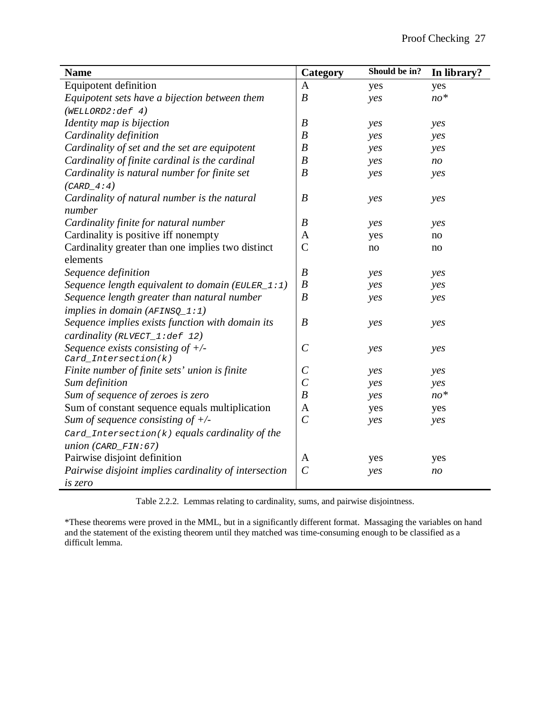| <b>Name</b>                                           | Category              | Should be in? | In library?    |
|-------------------------------------------------------|-----------------------|---------------|----------------|
| <b>Equipotent definition</b>                          | A                     | yes           | yes            |
| Equipotent sets have a bijection between them         | $\boldsymbol{B}$      | yes           | $no*$          |
| (WELLORD2:def 4)                                      |                       |               |                |
| Identity map is bijection                             | $\boldsymbol{B}$      | yes           | yes            |
| Cardinality definition                                | $\boldsymbol{B}$      | yes           | yes            |
| Cardinality of set and the set are equipotent         | $\boldsymbol{B}$      | yes           | yes            |
| Cardinality of finite cardinal is the cardinal        | $\boldsymbol{B}$      | yes           | no             |
| Cardinality is natural number for finite set          | $\boldsymbol{B}$      | yes           | yes            |
| $(CARD_4:4)$                                          |                       |               |                |
| Cardinality of natural number is the natural          | $\boldsymbol{B}$      | yes           | yes            |
| number                                                |                       |               |                |
| Cardinality finite for natural number                 | $\boldsymbol{B}$      | yes           | yes            |
| Cardinality is positive iff nonempty                  | A                     | yes           | no             |
| Cardinality greater than one implies two distinct     | $\overline{C}$        | no            | no             |
| elements                                              |                       |               |                |
| Sequence definition                                   | $\boldsymbol{B}$      | yes           | yes            |
| Sequence length equivalent to domain (EULER_1:1)      | $\boldsymbol{B}$      | yes           | yes            |
| Sequence length greater than natural number           | $\boldsymbol{B}$      | yes           | yes            |
| implies in domain $(AFTNSQ_1:1)$                      |                       |               |                |
| Sequence implies exists function with domain its      | $\boldsymbol{B}$      | yes           | yes            |
| cardinality (RLVECT_1:def 12)                         |                       |               |                |
| Sequence exists consisting of $+/-$                   | $\mathcal{C}_{0}^{0}$ | yes           | yes            |
| $Card_Intersection(k)$                                |                       |               |                |
| Finite number of finite sets' union is finite         | $\mathcal{C}_{0}^{0}$ | yes           | yes            |
| Sum definition                                        | $\mathcal{C}$         | yes           | yes            |
| Sum of sequence of zeroes is zero                     | $\boldsymbol{B}$      | yes           | $no*$          |
| Sum of constant sequence equals multiplication        | $\mathbf{A}$          | yes           | yes            |
| Sum of sequence consisting of $+/-$                   | $\overline{C}$        | yes           | yes            |
| Card_Intersection( $k$ ) equals cardinality of the    |                       |               |                |
| union (CARD_FIN: 67)                                  |                       |               |                |
| Pairwise disjoint definition                          | A                     | yes           | yes            |
| Pairwise disjoint implies cardinality of intersection | $\mathcal{C}$         | yes           | n <sub>O</sub> |
| is zero                                               |                       |               |                |

Table 2.2.2. Lemmas relating to cardinality, sums, and pairwise disjointness.

\*These theorems were proved in the MML, but in a significantly different format. Massaging the variables on hand and the statement of the existing theorem until they matched was time-consuming enough to be classified as a difficult lemma.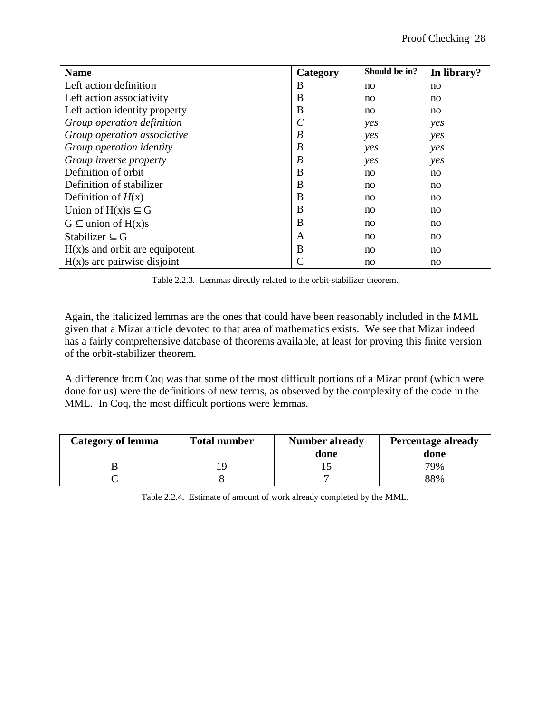| <b>Name</b>                     | Category                | Should be in? | In library? |
|---------------------------------|-------------------------|---------------|-------------|
| Left action definition          | B                       | no            | no          |
| Left action associativity       | В                       | no            | no          |
| Left action identity property   | B                       | no            | no          |
| Group operation definition      | $\mathcal{C}_{0}^{(n)}$ | yes           | yes         |
| Group operation associative     | B                       | yes           | yes         |
| Group operation identity        | B                       | yes           | yes         |
| Group inverse property          | B                       | yes           | yes         |
| Definition of orbit             | B                       | no            | no          |
| Definition of stabilizer        | B                       | no            | no          |
| Definition of $H(x)$            | В                       | no            | no          |
| Union of $H(x)$ s $\subseteq$ G | B                       | no            | no          |
| $G \subseteq$ union of $H(x)s$  | B                       | no            | no          |
| Stabilizer $\subset$ G          | A                       | no            | no          |
| $H(x)$ and orbit are equipotent | B                       | no            | no          |
| $H(x)$ are pairwise disjoint    | C                       | no            | no          |

Table 2.2.3. Lemmas directly related to the orbit-stabilizer theorem.

Again, the italicized lemmas are the ones that could have been reasonably included in the MML given that a Mizar article devoted to that area of mathematics exists. We see that Mizar indeed has a fairly comprehensive database of theorems available, at least for proving this finite version of the orbit-stabilizer theorem.

A difference from Coq was that some of the most difficult portions of a Mizar proof (which were done for us) were the definitions of new terms, as observed by the complexity of the code in the MML. In Coq, the most difficult portions were lemmas.

| <b>Category of lemma</b> | <b>Total number</b> | <b>Number already</b><br>done | <b>Percentage already</b><br>done |
|--------------------------|---------------------|-------------------------------|-----------------------------------|
|                          |                     |                               | 79%                               |
|                          |                     |                               | 88%                               |

Table 2.2.4. Estimate of amount of work already completed by the MML.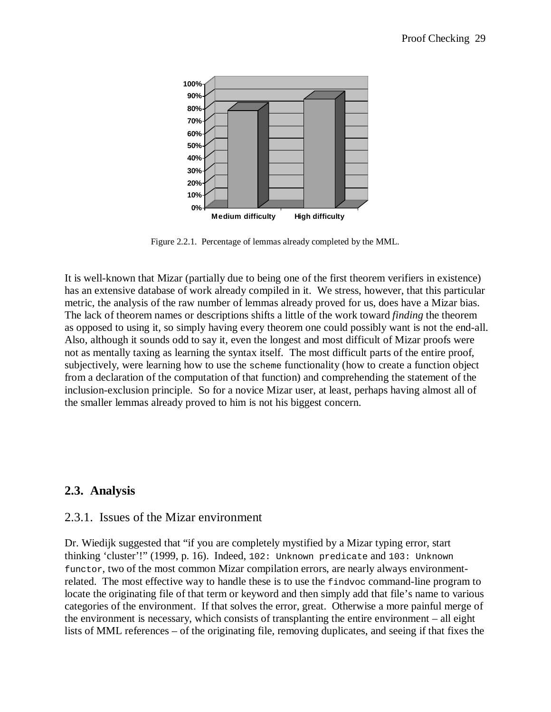

Figure 2.2.1. Percentage of lemmas already completed by the MML.

It is well-known that Mizar (partially due to being one of the first theorem verifiers in existence) has an extensive database of work already compiled in it. We stress, however, that this particular metric, the analysis of the raw number of lemmas already proved for us, does have a Mizar bias. The lack of theorem names or descriptions shifts a little of the work toward *finding* the theorem as opposed to using it, so simply having every theorem one could possibly want is not the end-all. Also, although it sounds odd to say it, even the longest and most difficult of Mizar proofs were not as mentally taxing as learning the syntax itself. The most difficult parts of the entire proof, subjectively, were learning how to use the scheme functionality (how to create a function object from a declaration of the computation of that function) and comprehending the statement of the inclusion-exclusion principle. So for a novice Mizar user, at least, perhaps having almost all of the smaller lemmas already proved to him is not his biggest concern.

### **2.3. Analysis**

#### 2.3.1. Issues of the Mizar environment

Dr. Wiedijk suggested that "if you are completely mystified by a Mizar typing error, start thinking 'cluster'!" (1999, p. 16). Indeed, 102: Unknown predicate and 103: Unknown functor, two of the most common Mizar compilation errors, are nearly always environmentrelated. The most effective way to handle these is to use the findvoc command-line program to locate the originating file of that term or keyword and then simply add that file's name to various categories of the environment. If that solves the error, great. Otherwise a more painful merge of the environment is necessary, which consists of transplanting the entire environment – all eight lists of MML references – of the originating file, removing duplicates, and seeing if that fixes the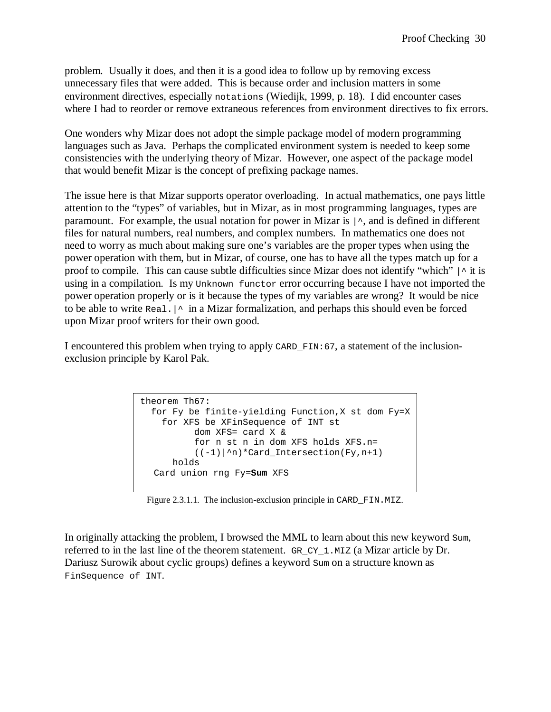problem. Usually it does, and then it is a good idea to follow up by removing excess unnecessary files that were added. This is because order and inclusion matters in some environment directives, especially notations (Wiedijk, 1999, p. 18). I did encounter cases where I had to reorder or remove extraneous references from environment directives to fix errors.

One wonders why Mizar does not adopt the simple package model of modern programming languages such as Java. Perhaps the complicated environment system is needed to keep some consistencies with the underlying theory of Mizar. However, one aspect of the package model that would benefit Mizar is the concept of prefixing package names.

The issue here is that Mizar supports operator overloading. In actual mathematics, one pays little attention to the "types" of variables, but in Mizar, as in most programming languages, types are paramount. For example, the usual notation for power in Mizar is  $\vert \cdot$ , and is defined in different files for natural numbers, real numbers, and complex numbers. In mathematics one does not need to worry as much about making sure one's variables are the proper types when using the power operation with them, but in Mizar, of course, one has to have all the types match up for a proof to compile. This can cause subtle difficulties since Mizar does not identify "which"  $\mid \uparrow$  it is using in a compilation. Is my Unknown functor error occurring because I have not imported the power operation properly or is it because the types of my variables are wrong? It would be nice to be able to write Real.  $\vert \uparrow \vert$  in a Mizar formalization, and perhaps this should even be forced upon Mizar proof writers for their own good.

I encountered this problem when trying to apply CARD\_FIN:67, a statement of the inclusionexclusion principle by Karol Pak.

```
theorem Th67: 
   for Fy be finite-yielding Function,X st dom Fy=X
     for XFS be XFinSequence of INT st 
           dom XFS= card X & 
           for n st n in dom XFS holds XFS.n= 
          ((-1)|^n)*Card Intersection(Fy,n+1)
       holds 
  Card union rng Fy=Sum XFS
```
Figure 2.3.1.1. The inclusion-exclusion principle in CARD\_FIN.MIZ.

In originally attacking the problem, I browsed the MML to learn about this new keyword Sum, referred to in the last line of the theorem statement. GR\_CY\_1.MIZ (a Mizar article by Dr. Dariusz Surowik about cyclic groups) defines a keyword Sum on a structure known as FinSequence of INT.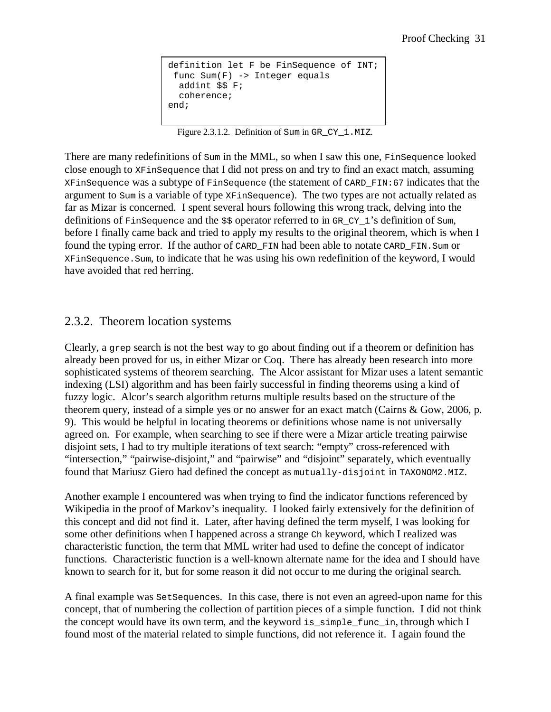```
definition let F be FinSequence of INT;
  func Sum(F) -> Integer equals 
   addint $$ F; 
   coherence; 
end;
```
Figure 2.3.1.2. Definition of Sum in GR CY 1.MIZ.

There are many redefinitions of Sum in the MML, so when I saw this one, FinSequence looked close enough to XFinSequence that I did not press on and try to find an exact match, assuming XFinSequence was a subtype of FinSequence (the statement of CARD\_FIN:67 indicates that the argument to Sum is a variable of type XFinSequence). The two types are not actually related as far as Mizar is concerned. I spent several hours following this wrong track, delving into the definitions of FinSequence and the \$\$ operator referred to in GR CY 1's definition of Sum. before I finally came back and tried to apply my results to the original theorem, which is when I found the typing error. If the author of CARD\_FIN had been able to notate CARD\_FIN.Sum or XFinSequence.Sum, to indicate that he was using his own redefinition of the keyword, I would have avoided that red herring.

#### 2.3.2. Theorem location systems

Clearly, a grep search is not the best way to go about finding out if a theorem or definition has already been proved for us, in either Mizar or Coq. There has already been research into more sophisticated systems of theorem searching. The Alcor assistant for Mizar uses a latent semantic indexing (LSI) algorithm and has been fairly successful in finding theorems using a kind of fuzzy logic. Alcor's search algorithm returns multiple results based on the structure of the theorem query, instead of a simple yes or no answer for an exact match (Cairns & Gow, 2006, p. 9). This would be helpful in locating theorems or definitions whose name is not universally agreed on. For example, when searching to see if there were a Mizar article treating pairwise disjoint sets, I had to try multiple iterations of text search: "empty" cross-referenced with "intersection," "pairwise-disjoint," and "pairwise" and "disjoint" separately, which eventually found that Mariusz Giero had defined the concept as mutually-disjoint in TAXONOM2.MIZ.

Another example I encountered was when trying to find the indicator functions referenced by Wikipedia in the proof of Markov's inequality. I looked fairly extensively for the definition of this concept and did not find it. Later, after having defined the term myself, I was looking for some other definitions when I happened across a strange Ch keyword, which I realized was characteristic function, the term that MML writer had used to define the concept of indicator functions. Characteristic function is a well-known alternate name for the idea and I should have known to search for it, but for some reason it did not occur to me during the original search.

A final example was SetSequences. In this case, there is not even an agreed-upon name for this concept, that of numbering the collection of partition pieces of a simple function. I did not think the concept would have its own term, and the keyword is\_simple\_func\_in, through which I found most of the material related to simple functions, did not reference it. I again found the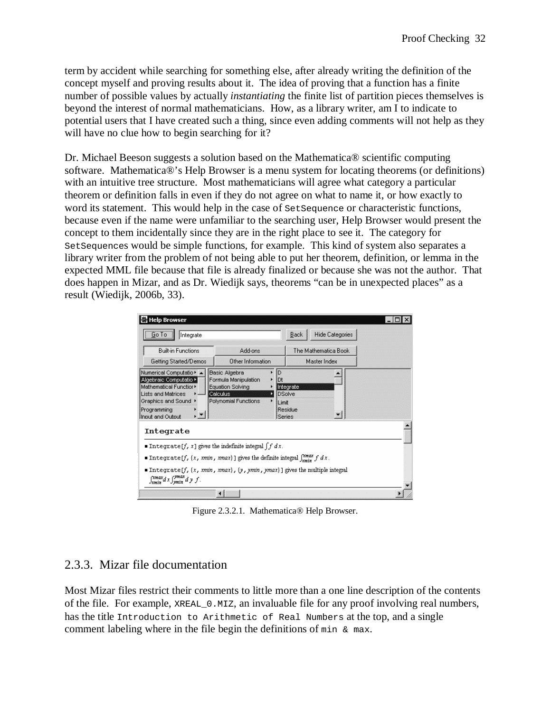term by accident while searching for something else, after already writing the definition of the concept myself and proving results about it. The idea of proving that a function has a finite number of possible values by actually *instantiating* the finite list of partition pieces themselves is beyond the interest of normal mathematicians. How, as a library writer, am I to indicate to potential users that I have created such a thing, since even adding comments will not help as they will have no clue how to begin searching for it?

Dr. Michael Beeson suggests a solution based on the Mathematica® scientific computing software. Mathematica®'s Help Browser is a menu system for locating theorems (or definitions) with an intuitive tree structure. Most mathematicians will agree what category a particular theorem or definition falls in even if they do not agree on what to name it, or how exactly to word its statement. This would help in the case of SetSequence or characteristic functions, because even if the name were unfamiliar to the searching user, Help Browser would present the concept to them incidentally since they are in the right place to see it. The category for SetSequences would be simple functions, for example. This kind of system also separates a library writer from the problem of not being able to put her theorem, definition, or lemma in the expected MML file because that file is already finalized or because she was not the author. That does happen in Mizar, and as Dr. Wiedijk says, theorems "can be in unexpected places" as a result (Wiedijk, 2006b, 33).

| <b>Help Browser</b>                                                                                                                                                                                                                                                                                                                         |                                                                                                      |                                                                     |                        |  |
|---------------------------------------------------------------------------------------------------------------------------------------------------------------------------------------------------------------------------------------------------------------------------------------------------------------------------------------------|------------------------------------------------------------------------------------------------------|---------------------------------------------------------------------|------------------------|--|
| $G$ o To<br>Integrate                                                                                                                                                                                                                                                                                                                       |                                                                                                      | Back                                                                | <b>Hide Categories</b> |  |
| <b>Built-in Functions</b>                                                                                                                                                                                                                                                                                                                   | Add-ons                                                                                              |                                                                     | The Mathematica Book   |  |
| Getting Started/Demos                                                                                                                                                                                                                                                                                                                       | Other Information                                                                                    |                                                                     | Master Index           |  |
| Numerical Computatio ▶ ⊿<br>Algebraic Computatio ▶<br>Mathematical Functior▶<br><b>Lists and Matrices</b><br>Graphics and Sound ▶<br>Programming<br>Input and Output                                                                                                                                                                        | Basic Algebra<br>Formula Manipulation<br><b>Equation Solving</b><br>Calculus<br>Polynomial Functions | D<br>Dt<br>Integrate<br><b>DSolve</b><br>Limit<br>Residue<br>Series |                        |  |
| Integrate<br>■ Integrate [f, x] gives the indefinite integral $\int f dx$ .<br>■ Integrate [f, {x, xmin, xmax}] gives the definite integral $\int_{x=\sin x}^{x=\cos x} f dx$ .<br>Integrate [f, $\{x, \, xmin, \, xmax\}$ , $\{y, \, ymin, \, ymax\}$ ] gives the multiple integral<br>$\int_{xmin}^{xmax} d x \int_{xmin}^{ymax} d y f$ . |                                                                                                      |                                                                     |                        |  |
|                                                                                                                                                                                                                                                                                                                                             |                                                                                                      |                                                                     |                        |  |

Figure 2.3.2.1. Mathematica® Help Browser.

### 2.3.3. Mizar file documentation

Most Mizar files restrict their comments to little more than a one line description of the contents of the file. For example, XREAL\_0.MIZ, an invaluable file for any proof involving real numbers, has the title Introduction to Arithmetic of Real Numbers at the top, and a single comment labeling where in the file begin the definitions of  $min \ \& \ max$ .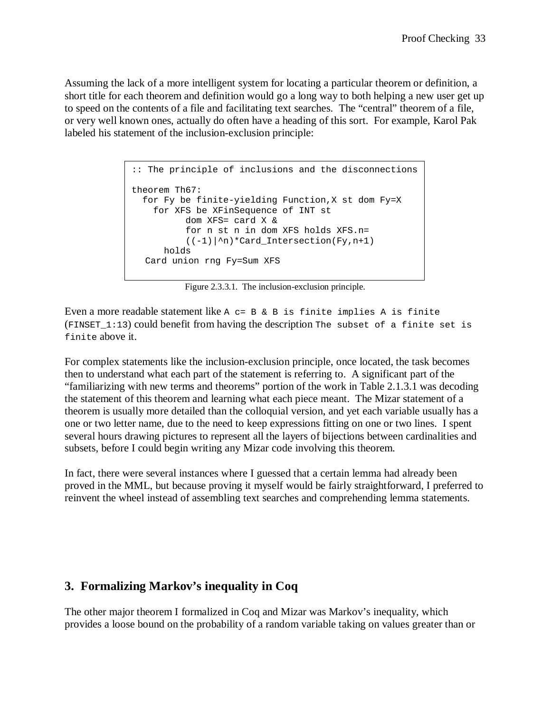Assuming the lack of a more intelligent system for locating a particular theorem or definition, a short title for each theorem and definition would go a long way to both helping a new user get up to speed on the contents of a file and facilitating text searches. The "central" theorem of a file, or very well known ones, actually do often have a heading of this sort. For example, Karol Pak labeled his statement of the inclusion-exclusion principle:

```
:: The principle of inclusions and the disconnections
theorem Th67: 
  for Fy be finite-yielding Function,X st dom Fy=X 
    for XFS be XFinSequence of INT st 
           dom XFS= card X & 
           for n st n in dom XFS holds XFS.n= 
          ((-1)|^h n)*Card_Intersection(Fy,n+1) holds 
  Card union rng Fy=Sum XFS
```
Figure 2.3.3.1. The inclusion-exclusion principle.

Even a more readable statement like  $A$  c=  $B$  &  $B$  is finite implies  $A$  is finite  $(FINSET 1:13)$  could benefit from having the description The subset of a finite set is finite above it.

For complex statements like the inclusion-exclusion principle, once located, the task becomes then to understand what each part of the statement is referring to. A significant part of the "familiarizing with new terms and theorems" portion of the work in Table 2.1.3.1 was decoding the statement of this theorem and learning what each piece meant. The Mizar statement of a theorem is usually more detailed than the colloquial version, and yet each variable usually has a one or two letter name, due to the need to keep expressions fitting on one or two lines. I spent several hours drawing pictures to represent all the layers of bijections between cardinalities and subsets, before I could begin writing any Mizar code involving this theorem.

In fact, there were several instances where I guessed that a certain lemma had already been proved in the MML, but because proving it myself would be fairly straightforward, I preferred to reinvent the wheel instead of assembling text searches and comprehending lemma statements.

### **3. Formalizing Markov's inequality in Coq**

The other major theorem I formalized in Coq and Mizar was Markov's inequality, which provides a loose bound on the probability of a random variable taking on values greater than or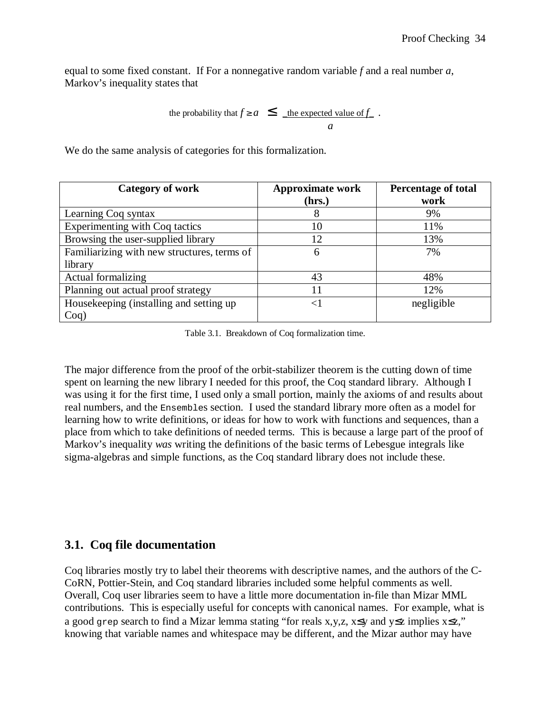equal to some fixed constant. If For a nonnegative random variable *f* and a real number *a*, Markov's inequality states that

the probability that 
$$
f \ge a \le \underline{\quad}
$$
 the expected value of  $f$ .

We do the same analysis of categories for this formalization.

| <b>Category of work</b>                     | <b>Approximate work</b><br>(hrs.) | <b>Percentage of total</b><br>work |
|---------------------------------------------|-----------------------------------|------------------------------------|
| Learning Coq syntax                         | 8                                 | 9%                                 |
| Experimenting with Coq tactics              | 10                                | 11%                                |
| Browsing the user-supplied library          | 12                                | 13%                                |
| Familiarizing with new structures, terms of | 6                                 | 7%                                 |
| library                                     |                                   |                                    |
| Actual formalizing                          | 43                                | 48%                                |
| Planning out actual proof strategy          | 11                                | 12%                                |
| Housekeeping (installing and setting up     | ${<}1$                            | negligible                         |
| Coq)                                        |                                   |                                    |

Table 3.1. Breakdown of Coq formalization time.

The major difference from the proof of the orbit-stabilizer theorem is the cutting down of time spent on learning the new library I needed for this proof, the Coq standard library. Although I was using it for the first time, I used only a small portion, mainly the axioms of and results about real numbers, and the Ensembles section. I used the standard library more often as a model for learning how to write definitions, or ideas for how to work with functions and sequences, than a place from which to take definitions of needed terms. This is because a large part of the proof of Markov's inequality *was* writing the definitions of the basic terms of Lebesgue integrals like sigma-algebras and simple functions, as the Coq standard library does not include these.

# **3.1. Coq file documentation**

Coq libraries mostly try to label their theorems with descriptive names, and the authors of the C-CoRN, Pottier-Stein, and Coq standard libraries included some helpful comments as well. Overall, Coq user libraries seem to have a little more documentation in-file than Mizar MML contributions. This is especially useful for concepts with canonical names. For example, what is a good grep search to find a Mizar lemma stating "for reals x,y,z, x≤y and y≤z implies x≤z," knowing that variable names and whitespace may be different, and the Mizar author may have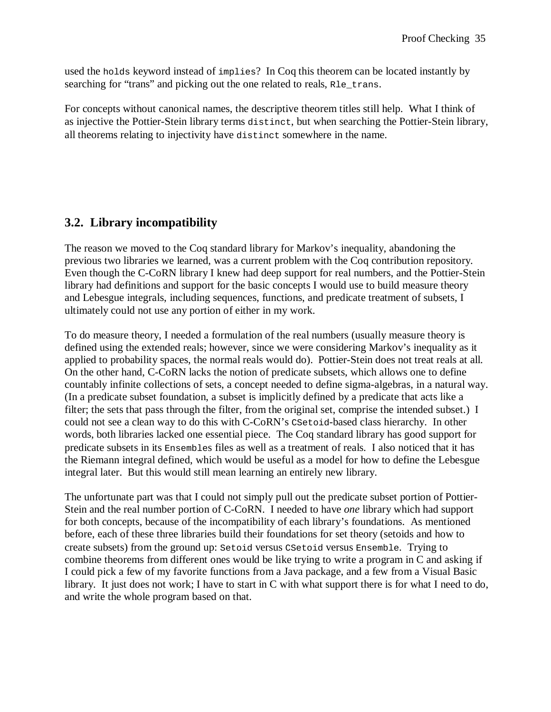used the holds keyword instead of implies? In Coq this theorem can be located instantly by searching for "trans" and picking out the one related to reals, R<sub>le</sub> trans.

For concepts without canonical names, the descriptive theorem titles still help. What I think of as injective the Pottier-Stein library terms distinct, but when searching the Pottier-Stein library, all theorems relating to injectivity have distinct somewhere in the name.

# **3.2. Library incompatibility**

The reason we moved to the Coq standard library for Markov's inequality, abandoning the previous two libraries we learned, was a current problem with the Coq contribution repository. Even though the C-CoRN library I knew had deep support for real numbers, and the Pottier-Stein library had definitions and support for the basic concepts I would use to build measure theory and Lebesgue integrals, including sequences, functions, and predicate treatment of subsets, I ultimately could not use any portion of either in my work.

To do measure theory, I needed a formulation of the real numbers (usually measure theory is defined using the extended reals; however, since we were considering Markov's inequality as it applied to probability spaces, the normal reals would do). Pottier-Stein does not treat reals at all. On the other hand, C-CoRN lacks the notion of predicate subsets, which allows one to define countably infinite collections of sets, a concept needed to define sigma-algebras, in a natural way. (In a predicate subset foundation, a subset is implicitly defined by a predicate that acts like a filter; the sets that pass through the filter, from the original set, comprise the intended subset.) I could not see a clean way to do this with C-CoRN's CSetoid-based class hierarchy. In other words, both libraries lacked one essential piece. The Coq standard library has good support for predicate subsets in its Ensembles files as well as a treatment of reals. I also noticed that it has the Riemann integral defined, which would be useful as a model for how to define the Lebesgue integral later. But this would still mean learning an entirely new library.

The unfortunate part was that I could not simply pull out the predicate subset portion of Pottier-Stein and the real number portion of C-CoRN. I needed to have *one* library which had support for both concepts, because of the incompatibility of each library's foundations. As mentioned before, each of these three libraries build their foundations for set theory (setoids and how to create subsets) from the ground up: Setoid versus CSetoid versus Ensemble. Trying to combine theorems from different ones would be like trying to write a program in C and asking if I could pick a few of my favorite functions from a Java package, and a few from a Visual Basic library. It just does not work; I have to start in C with what support there is for what I need to do, and write the whole program based on that.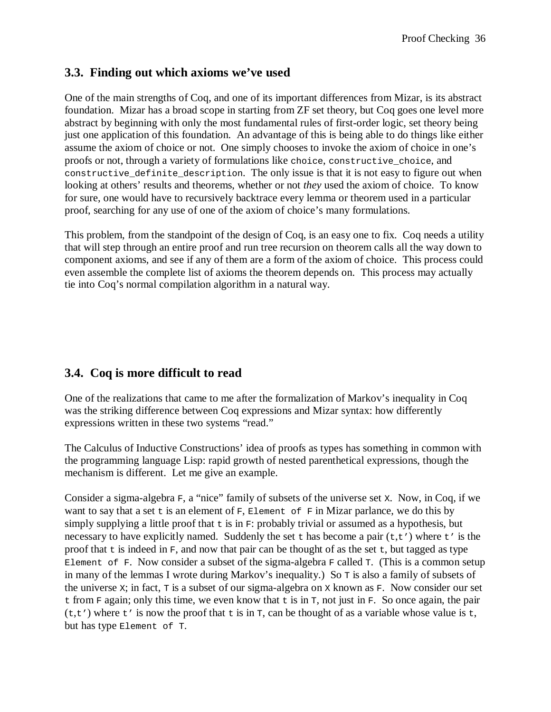## **3.3. Finding out which axioms we've used**

One of the main strengths of Coq, and one of its important differences from Mizar, is its abstract foundation. Mizar has a broad scope in starting from ZF set theory, but Coq goes one level more abstract by beginning with only the most fundamental rules of first-order logic, set theory being just one application of this foundation. An advantage of this is being able to do things like either assume the axiom of choice or not. One simply chooses to invoke the axiom of choice in one's proofs or not, through a variety of formulations like choice, constructive\_choice, and constructive definite description. The only issue is that it is not easy to figure out when looking at others' results and theorems, whether or not *they* used the axiom of choice. To know for sure, one would have to recursively backtrace every lemma or theorem used in a particular proof, searching for any use of one of the axiom of choice's many formulations.

This problem, from the standpoint of the design of Coq, is an easy one to fix. Coq needs a utility that will step through an entire proof and run tree recursion on theorem calls all the way down to component axioms, and see if any of them are a form of the axiom of choice. This process could even assemble the complete list of axioms the theorem depends on. This process may actually tie into Coq's normal compilation algorithm in a natural way.

# **3.4. Coq is more difficult to read**

One of the realizations that came to me after the formalization of Markov's inequality in Coq was the striking difference between Coq expressions and Mizar syntax: how differently expressions written in these two systems "read."

The Calculus of Inductive Constructions' idea of proofs as types has something in common with the programming language Lisp: rapid growth of nested parenthetical expressions, though the mechanism is different. Let me give an example.

Consider a sigma-algebra  $F$ , a "nice" family of subsets of the universe set x. Now, in Coq, if we want to say that a set  $t$  is an element of  $F$ ,  $E$ lement of  $F$  in Mizar parlance, we do this by simply supplying a little proof that  $\pm$  is in  $F$ : probably trivial or assumed as a hypothesis, but necessary to have explicitly named. Suddenly the set  $\pm$  has become a pair ( $\pm$ , $\pm$ ') where  $\pm$ ' is the proof that  $t$  is indeed in  $F$ , and now that pair can be thought of as the set  $t$ , but tagged as type Element of F. Now consider a subset of the sigma-algebra  $F$  called  $T$ . (This is a common setup in many of the lemmas I wrote during Markov's inequality.) So T is also a family of subsets of the universe x; in fact,  $\tau$  is a subset of our sigma-algebra on x known as  $F$ . Now consider our set t from  $F$  again; only this time, we even know that t is in  $T$ , not just in  $F$ . So once again, the pair  $(t,t')$  where  $t'$  is now the proof that  $t$  is in  $T$ , can be thought of as a variable whose value is  $t$ , but has type Element of T.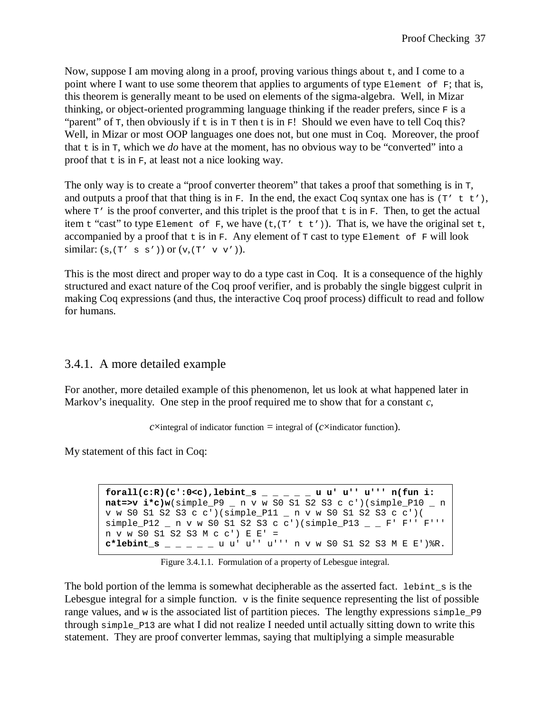Now, suppose I am moving along in a proof, proving various things about  $t$ , and I come to a point where I want to use some theorem that applies to arguments of type Element of F; that is, this theorem is generally meant to be used on elements of the sigma-algebra. Well, in Mizar thinking, or object-oriented programming language thinking if the reader prefers, since F is a "parent" of  $\tau$ , then obviously if  $\tau$  is in  $\tau$  then t is in  $\tau$ ! Should we even have to tell Coq this? Well, in Mizar or most OOP languages one does not, but one must in Coq. Moreover, the proof that  $\pm$  is in  $\pm$ , which we *do* have at the moment, has no obvious way to be "converted" into a proof that  $\pm$  is in F, at least not a nice looking way.

The only way is to create a "proof converter theorem" that takes a proof that something is in  $\tau$ , and outputs a proof that that thing is in F. In the end, the exact Coq syntax one has is  $(T' t t')$ , where  $T'$  is the proof converter, and this triplet is the proof that t is in F. Then, to get the actual item t "cast" to type Element of F, we have  $(t, (T' t t') )$ . That is, we have the original set t, accompanied by a proof that  $t$  is in F. Any element of  $\tau$  cast to type Element of F will look similar:  $(s,(T' s s') )$  or  $(v,(T' v v')).$ 

This is the most direct and proper way to do a type cast in Coq. It is a consequence of the highly structured and exact nature of the Coq proof verifier, and is probably the single biggest culprit in making Coq expressions (and thus, the interactive Coq proof process) difficult to read and follow for humans.

# 3.4.1. A more detailed example

For another, more detailed example of this phenomenon, let us look at what happened later in Markov's inequality. One step in the proof required me to show that for a constant *c*,

*c*×integral of indicator function = integral of  $(c \times \text{indicator function})$ .

My statement of this fact in Coq:

 $\texttt{forall}(\texttt{c:R})(\texttt{c':0<}c),\texttt{lebint\_s}\_\texttt{--}\_\texttt{--}\_\texttt{--}$ u u' u''' u''' n(fun i: **nat=>v i\*c)w**(simple\_P9 \_ n v w S0 S1 S2 S3 c c')(simple\_P10 \_ n v w S0 S1 S2 S3 c c')(simple\_P11 \_ n v w S0 S1 S2 S3 c c')(  $simple\_P12$   $\_$  n v w S0 S1 S2 S3 c c')(simple $_P13$   $\_$   $\_$  F' F'' F''' n v w S0 S1 S2 S3 M c c') E E' = **c\*lebint\_s** \_ \_ \_ \_ \_ u u' u'' u''' n v w S0 S1 S2 S3 M E E')%R.

Figure 3.4.1.1. Formulation of a property of Lebesgue integral.

The bold portion of the lemma is somewhat decipherable as the asserted fact. Lebint  $\overline{s}$  is the Lebesgue integral for a simple function.  $\nu$  is the finite sequence representing the list of possible range values, and w is the associated list of partition pieces. The lengthy expressions simple\_P9 through simple\_P13 are what I did not realize I needed until actually sitting down to write this statement. They are proof converter lemmas, saying that multiplying a simple measurable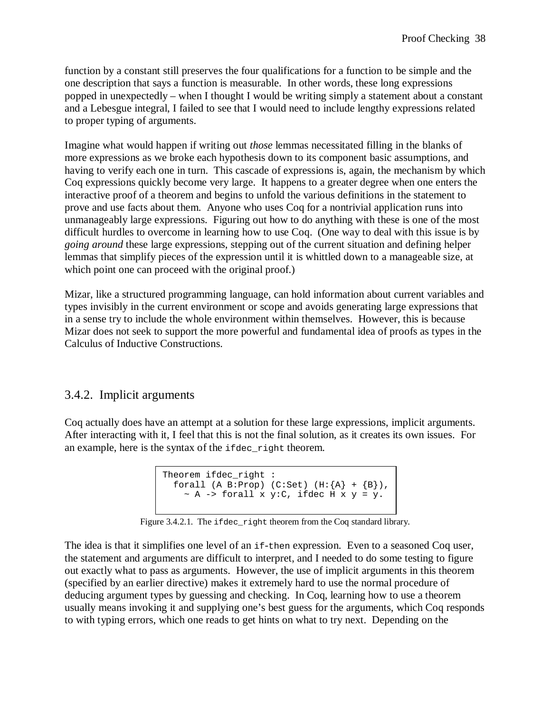function by a constant still preserves the four qualifications for a function to be simple and the one description that says a function is measurable. In other words, these long expressions popped in unexpectedly – when I thought I would be writing simply a statement about a constant and a Lebesgue integral, I failed to see that I would need to include lengthy expressions related to proper typing of arguments.

Imagine what would happen if writing out *those* lemmas necessitated filling in the blanks of more expressions as we broke each hypothesis down to its component basic assumptions, and having to verify each one in turn. This cascade of expressions is, again, the mechanism by which Coq expressions quickly become very large. It happens to a greater degree when one enters the interactive proof of a theorem and begins to unfold the various definitions in the statement to prove and use facts about them. Anyone who uses Coq for a nontrivial application runs into unmanageably large expressions. Figuring out how to do anything with these is one of the most difficult hurdles to overcome in learning how to use Coq. (One way to deal with this issue is by *going around* these large expressions, stepping out of the current situation and defining helper lemmas that simplify pieces of the expression until it is whittled down to a manageable size, at which point one can proceed with the original proof.)

Mizar, like a structured programming language, can hold information about current variables and types invisibly in the current environment or scope and avoids generating large expressions that in a sense try to include the whole environment within themselves. However, this is because Mizar does not seek to support the more powerful and fundamental idea of proofs as types in the Calculus of Inductive Constructions.

## 3.4.2. Implicit arguments

Coq actually does have an attempt at a solution for these large expressions, implicit arguments. After interacting with it, I feel that this is not the final solution, as it creates its own issues. For an example, here is the syntax of the ifdec\_right theorem.

```
Theorem ifdec_right : 
  forall (A B:Prop) (C:Set) (H:\{A\} + \{B\}),
    ~\sim A -> forall x y:C, ifdec H x y = y.
```
Figure 3.4.2.1. The ifdec right theorem from the Coq standard library.

The idea is that it simplifies one level of an if-then expression. Even to a seasoned Coq user, the statement and arguments are difficult to interpret, and I needed to do some testing to figure out exactly what to pass as arguments. However, the use of implicit arguments in this theorem (specified by an earlier directive) makes it extremely hard to use the normal procedure of deducing argument types by guessing and checking. In Coq, learning how to use a theorem usually means invoking it and supplying one's best guess for the arguments, which Coq responds to with typing errors, which one reads to get hints on what to try next. Depending on the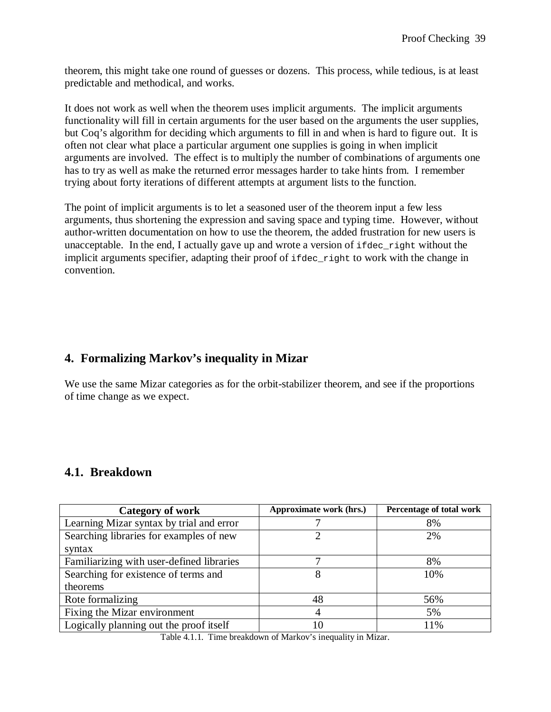theorem, this might take one round of guesses or dozens. This process, while tedious, is at least predictable and methodical, and works.

It does not work as well when the theorem uses implicit arguments. The implicit arguments functionality will fill in certain arguments for the user based on the arguments the user supplies, but Coq's algorithm for deciding which arguments to fill in and when is hard to figure out. It is often not clear what place a particular argument one supplies is going in when implicit arguments are involved. The effect is to multiply the number of combinations of arguments one has to try as well as make the returned error messages harder to take hints from. I remember trying about forty iterations of different attempts at argument lists to the function.

The point of implicit arguments is to let a seasoned user of the theorem input a few less arguments, thus shortening the expression and saving space and typing time. However, without author-written documentation on how to use the theorem, the added frustration for new users is unacceptable. In the end, I actually gave up and wrote a version of ifdec\_right without the implicit arguments specifier, adapting their proof of ifdec\_right to work with the change in convention.

# **4. Formalizing Markov's inequality in Mizar**

We use the same Mizar categories as for the orbit-stabilizer theorem, and see if the proportions of time change as we expect.

## **4.1. Breakdown**

| <b>Category of work</b>                   | Approximate work (hrs.) | Percentage of total work |
|-------------------------------------------|-------------------------|--------------------------|
| Learning Mizar syntax by trial and error  |                         | 8%                       |
| Searching libraries for examples of new   |                         | 2%                       |
| syntax                                    |                         |                          |
| Familiarizing with user-defined libraries |                         | 8%                       |
| Searching for existence of terms and      | 8                       | 10%                      |
| theorems                                  |                         |                          |
| Rote formalizing                          | 48                      | 56%                      |
| Fixing the Mizar environment              | 4                       | 5%                       |
| Logically planning out the proof itself   | 10                      | 11%                      |

Table 4.1.1. Time breakdown of Markov's inequality in Mizar.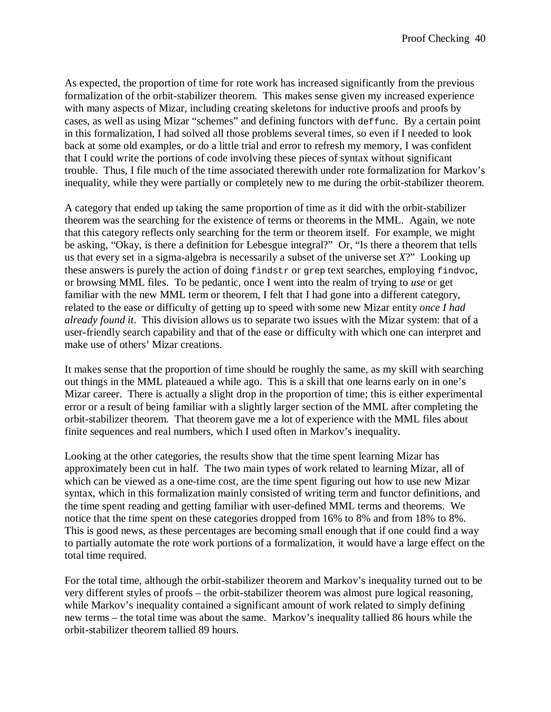As expected, the proportion of time for rote work has increased significantly from the previous formalization of the orbit-stabilizer theorem. This makes sense given my increased experience with many aspects of Mizar, including creating skeletons for inductive proofs and proofs by cases, as well as using Mizar "schemes" and defining functors with deffunc. By a certain point in this formalization, I had solved all those problems several times, so even if I needed to look back at some old examples, or do a little trial and error to refresh my memory, I was confident that I could write the portions of code involving these pieces of syntax without significant trouble. Thus, I file much of the time associated therewith under rote formalization for Markov's inequality, while they were partially or completely new to me during the orbit-stabilizer theorem.

A category that ended up taking the same proportion of time as it did with the orbit-stabilizer theorem was the searching for the existence of terms or theorems in the MML. Again, we note that this category reflects only searching for the term or theorem itself. For example, we might be asking, "Okay, is there a definition for Lebesgue integral?" Or, "Is there a theorem that tells us that every set in a sigma-algebra is necessarily a subset of the universe set *X*?" Looking up these answers is purely the action of doing findstr or grep text searches, employing findvoc, or browsing MML files. To be pedantic, once I went into the realm of trying to *use* or get familiar with the new MML term or theorem, I felt that I had gone into a different category, related to the ease or difficulty of getting up to speed with some new Mizar entity *once I had already found it*. This division allows us to separate two issues with the Mizar system: that of a user-friendly search capability and that of the ease or difficulty with which one can interpret and make use of others' Mizar creations.

It makes sense that the proportion of time should be roughly the same, as my skill with searching out things in the MML plateaued a while ago. This is a skill that one learns early on in one's Mizar career. There is actually a slight drop in the proportion of time; this is either experimental error or a result of being familiar with a slightly larger section of the MML after completing the orbit-stabilizer theorem. That theorem gave me a lot of experience with the MML files about finite sequences and real numbers, which I used often in Markov's inequality.

Looking at the other categories, the results show that the time spent learning Mizar has approximately been cut in half. The two main types of work related to learning Mizar, all of which can be viewed as a one-time cost, are the time spent figuring out how to use new Mizar syntax, which in this formalization mainly consisted of writing term and functor definitions, and the time spent reading and getting familiar with user-defined MML terms and theorems. We notice that the time spent on these categories dropped from 16% to 8% and from 18% to 8%. This is good news, as these percentages are becoming small enough that if one could find a way to partially automate the rote work portions of a formalization, it would have a large effect on the total time required.

For the total time, although the orbit-stabilizer theorem and Markov's inequality turned out to be very different styles of proofs – the orbit-stabilizer theorem was almost pure logical reasoning, while Markov's inequality contained a significant amount of work related to simply defining new terms – the total time was about the same. Markov's inequality tallied 86 hours while the orbit-stabilizer theorem tallied 89 hours.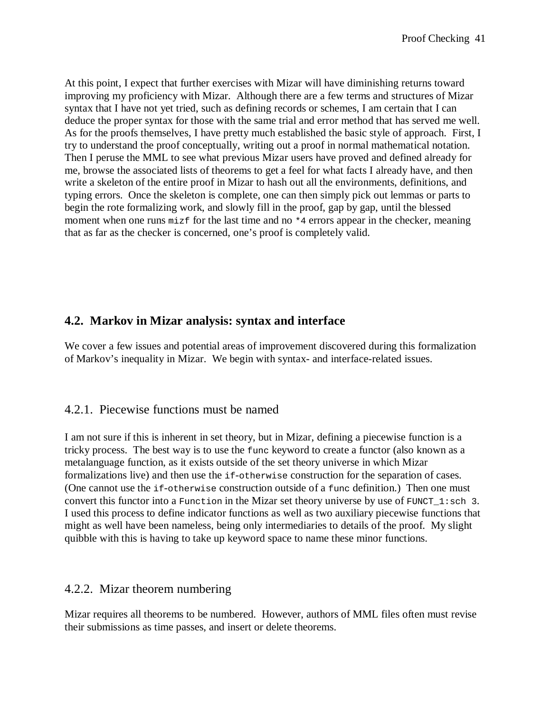At this point, I expect that further exercises with Mizar will have diminishing returns toward improving my proficiency with Mizar. Although there are a few terms and structures of Mizar syntax that I have not yet tried, such as defining records or schemes, I am certain that I can deduce the proper syntax for those with the same trial and error method that has served me well. As for the proofs themselves, I have pretty much established the basic style of approach. First, I try to understand the proof conceptually, writing out a proof in normal mathematical notation. Then I peruse the MML to see what previous Mizar users have proved and defined already for me, browse the associated lists of theorems to get a feel for what facts I already have, and then write a skeleton of the entire proof in Mizar to hash out all the environments, definitions, and typing errors. Once the skeleton is complete, one can then simply pick out lemmas or parts to begin the rote formalizing work, and slowly fill in the proof, gap by gap, until the blessed moment when one runs mizf for the last time and no  $*4$  errors appear in the checker, meaning that as far as the checker is concerned, one's proof is completely valid.

# **4.2. Markov in Mizar analysis: syntax and interface**

We cover a few issues and potential areas of improvement discovered during this formalization of Markov's inequality in Mizar. We begin with syntax- and interface-related issues.

#### 4.2.1. Piecewise functions must be named

I am not sure if this is inherent in set theory, but in Mizar, defining a piecewise function is a tricky process. The best way is to use the func keyword to create a functor (also known as a metalanguage function, as it exists outside of the set theory universe in which Mizar formalizations live) and then use the if-otherwise construction for the separation of cases. (One cannot use the if-otherwise construction outside of a func definition.) Then one must convert this functor into a Function in the Mizar set theory universe by use of FUNCT  $1:$ sch 3. I used this process to define indicator functions as well as two auxiliary piecewise functions that might as well have been nameless, being only intermediaries to details of the proof. My slight quibble with this is having to take up keyword space to name these minor functions.

#### 4.2.2. Mizar theorem numbering

Mizar requires all theorems to be numbered. However, authors of MML files often must revise their submissions as time passes, and insert or delete theorems.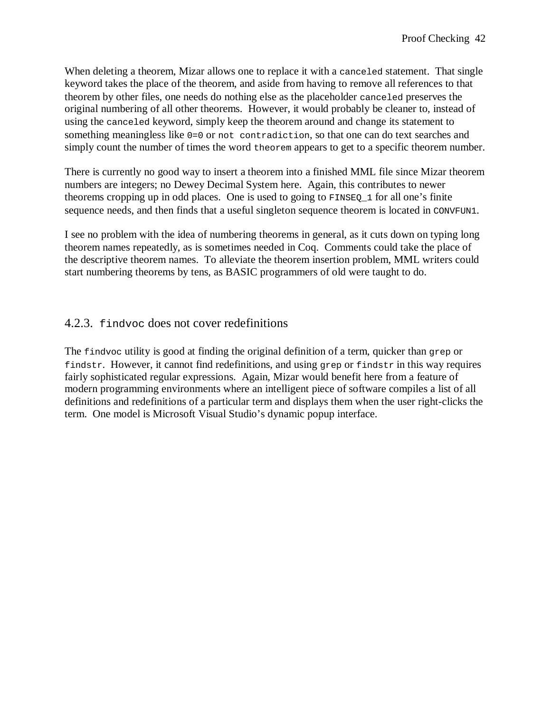When deleting a theorem, Mizar allows one to replace it with a canceled statement. That single keyword takes the place of the theorem, and aside from having to remove all references to that theorem by other files, one needs do nothing else as the placeholder canceled preserves the original numbering of all other theorems. However, it would probably be cleaner to, instead of using the canceled keyword, simply keep the theorem around and change its statement to something meaningless like 0=0 or not contradiction, so that one can do text searches and simply count the number of times the word theorem appears to get to a specific theorem number.

There is currently no good way to insert a theorem into a finished MML file since Mizar theorem numbers are integers; no Dewey Decimal System here. Again, this contributes to newer theorems cropping up in odd places. One is used to going to FINSEQ\_1 for all one's finite sequence needs, and then finds that a useful singleton sequence theorem is located in CONVFUN1.

I see no problem with the idea of numbering theorems in general, as it cuts down on typing long theorem names repeatedly, as is sometimes needed in Coq. Comments could take the place of the descriptive theorem names. To alleviate the theorem insertion problem, MML writers could start numbering theorems by tens, as BASIC programmers of old were taught to do.

### 4.2.3. findvoc does not cover redefinitions

The findvoc utility is good at finding the original definition of a term, quicker than grep or findstr. However, it cannot find redefinitions, and using grep or findstr in this way requires fairly sophisticated regular expressions. Again, Mizar would benefit here from a feature of modern programming environments where an intelligent piece of software compiles a list of all definitions and redefinitions of a particular term and displays them when the user right-clicks the term. One model is Microsoft Visual Studio's dynamic popup interface.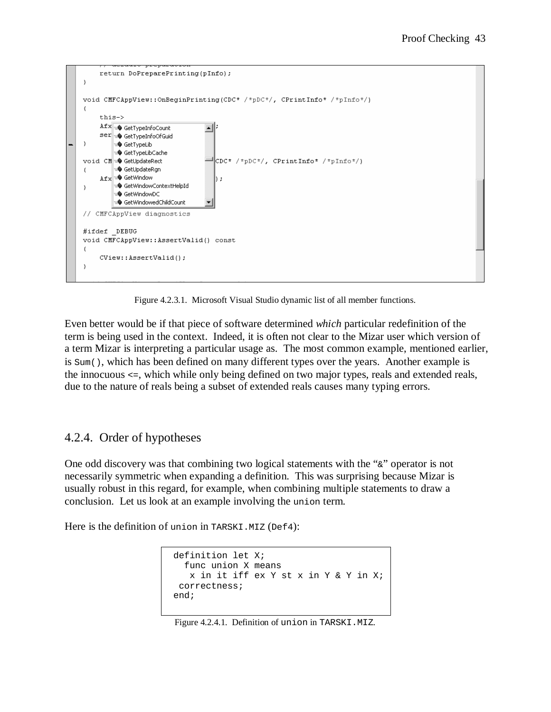

Figure 4.2.3.1. Microsoft Visual Studio dynamic list of all member functions.

Even better would be if that piece of software determined *which* particular redefinition of the term is being used in the context. Indeed, it is often not clear to the Mizar user which version of a term Mizar is interpreting a particular usage as. The most common example, mentioned earlier, is Sum(), which has been defined on many different types over the years. Another example is the innocuous <=, which while only being defined on two major types, reals and extended reals, due to the nature of reals being a subset of extended reals causes many typing errors.

## 4.2.4. Order of hypotheses

One odd discovery was that combining two logical statements with the "&" operator is not necessarily symmetric when expanding a definition. This was surprising because Mizar is usually robust in this regard, for example, when combining multiple statements to draw a conclusion. Let us look at an example involving the union term.

Here is the definition of union in TARSKI.MIZ (Def4):

```
 definition let X; 
   func union X means 
    x in it iff ex Y st x in Y & Y in X;
  correctness; 
 end;
```
Figure 4.2.4.1. Definition of union in TARSKI.MIZ.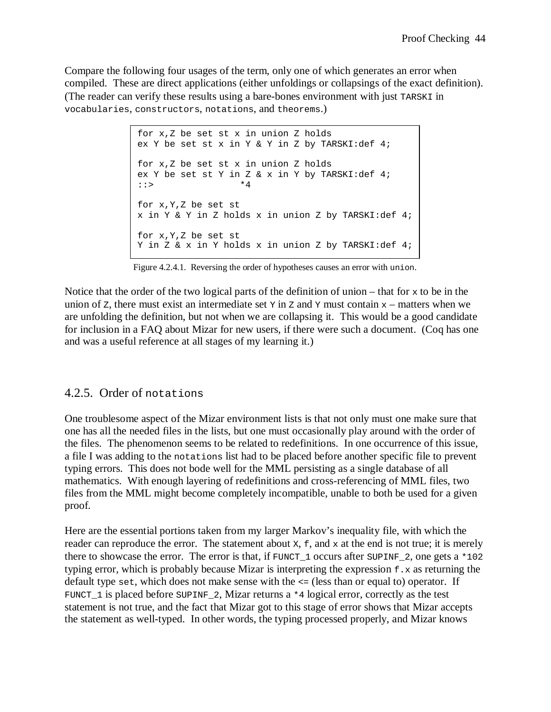Compare the following four usages of the term, only one of which generates an error when compiled. These are direct applications (either unfoldings or collapsings of the exact definition). (The reader can verify these results using a bare-bones environment with just TARSKI in vocabularies, constructors, notations, and theorems.)

> for x,Z be set st x in union Z holds ex Y be set st x in Y & Y in Z by TARSKI:def 4; for x,Z be set st x in union Z holds ex Y be set st Y in Z & x in Y by TARSKI:def 4; ::> \*4 for x,Y,Z be set st x in Y & Y in Z holds x in union Z by TARSKI:def 4; for x,Y,Z be set st Y in Z & x in Y holds x in union Z by TARSKI:def 4;

Figure 4.2.4.1. Reversing the order of hypotheses causes an error with union.

Notice that the order of the two logical parts of the definition of union – that for  $x$  to be in the union of z, there must exist an intermediate set  $\gamma$  in z and  $\gamma$  must contain  $x$  – matters when we are unfolding the definition, but not when we are collapsing it. This would be a good candidate for inclusion in a FAQ about Mizar for new users, if there were such a document. (Coq has one and was a useful reference at all stages of my learning it.)

#### 4.2.5. Order of notations

One troublesome aspect of the Mizar environment lists is that not only must one make sure that one has all the needed files in the lists, but one must occasionally play around with the order of the files. The phenomenon seems to be related to redefinitions. In one occurrence of this issue, a file I was adding to the notations list had to be placed before another specific file to prevent typing errors. This does not bode well for the MML persisting as a single database of all mathematics. With enough layering of redefinitions and cross-referencing of MML files, two files from the MML might become completely incompatible, unable to both be used for a given proof.

Here are the essential portions taken from my larger Markov's inequality file, with which the reader can reproduce the error. The statement about  $x$ ,  $f$ , and  $x$  at the end is not true; it is merely there to showcase the error. The error is that, if  $FUNCT_1$  occurs after  $SUPINF_2$ , one gets a \*102 typing error, which is probably because Mizar is interpreting the expression  $f \cdot x$  as returning the default type set, which does not make sense with the <= (less than or equal to) operator. If FUNCT 1 is placed before SUPINF 2, Mizar returns a  $*4$  logical error, correctly as the test statement is not true, and the fact that Mizar got to this stage of error shows that Mizar accepts the statement as well-typed. In other words, the typing processed properly, and Mizar knows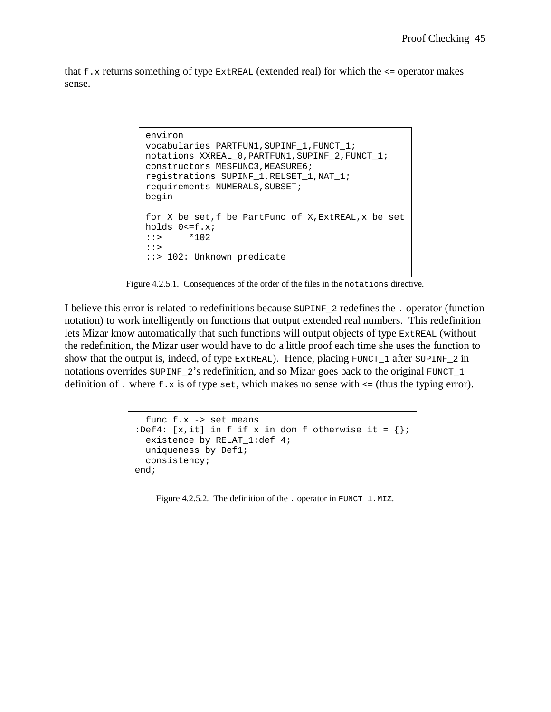that  $f.x$  returns something of type  $ExtrEAL$  (extended real) for which the  $\leq$  operator makes sense.

```
environ 
vocabularies PARTFUN1,SUPINF_1,FUNCT_1; 
notations XXREAL_0,PARTFUN1,SUPINF_2,FUNCT_1; 
constructors MESFUNC3,MEASURE6; 
registrations SUPINF_1,RELSET_1,NAT_1; 
requirements NUMERALS, SUBSET;
begin 
for X be set,f be PartFunc of X,ExtREAL,x be set
holds 0<=f.x; 
::> *102 
::> 
::> 102: Unknown predicate
```
Figure 4.2.5.1. Consequences of the order of the files in the notations directive.

I believe this error is related to redefinitions because SUPINF\_2 redefines the . operator (function notation) to work intelligently on functions that output extended real numbers. This redefinition lets Mizar know automatically that such functions will output objects of type ExtREAL (without the redefinition, the Mizar user would have to do a little proof each time she uses the function to show that the output is, indeed, of type  $\text{ExtREAL}$ ). Hence, placing  $\text{FUNCT}\_1$  after  $\text{SUPINF}\_2$  in notations overrides  $\text{sup}\_{\mathbb{F}_2}$ 's redefinition, and so Mizar goes back to the original FUNCT 1 definition of . where  $f \cdot x$  is of type set, which makes no sense with  $\leq$  (thus the typing error).

```
 func f.x -> set means 
:Def4: [x,it] in f if x in dom f otherwise it = \{\}\;
   existence by RELAT_1:def 4; 
   uniqueness by Def1; 
   consistency; 
end;
```
Figure 4.2.5.2. The definition of the . operator in FUNCT\_1.MIZ.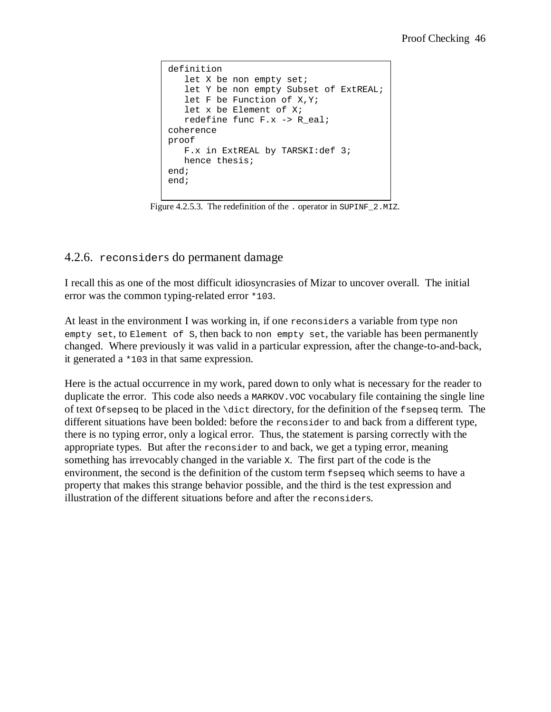```
definition 
   let X be non empty set;
   let Y be non empty Subset of ExtREAL;
    let F be Function of X,Y; 
    let x be Element of X; 
    redefine func F.x -> R_eal; 
coherence 
proof 
    F.x in ExtREAL by TARSKI:def 3; 
    hence thesis; 
end; 
end;
```
Figure 4.2.5.3. The redefinition of the . operator in SUPINF\_2.MIZ.

### 4.2.6. reconsiders do permanent damage

I recall this as one of the most difficult idiosyncrasies of Mizar to uncover overall. The initial error was the common typing-related error \*103.

At least in the environment I was working in, if one reconsiders a variable from type non empty set, to Element of S, then back to non empty set, the variable has been permanently changed. Where previously it was valid in a particular expression, after the change-to-and-back, it generated a \*103 in that same expression.

Here is the actual occurrence in my work, pared down to only what is necessary for the reader to duplicate the error. This code also needs a MARKOV.VOC vocabulary file containing the single line of text Ofsepseq to be placed in the \dict directory, for the definition of the fsepseq term. The different situations have been bolded: before the reconsider to and back from a different type, there is no typing error, only a logical error. Thus, the statement is parsing correctly with the appropriate types. But after the reconsider to and back, we get a typing error, meaning something has irrevocably changed in the variable X. The first part of the code is the environment, the second is the definition of the custom term fsepseq which seems to have a property that makes this strange behavior possible, and the third is the test expression and illustration of the different situations before and after the reconsiders.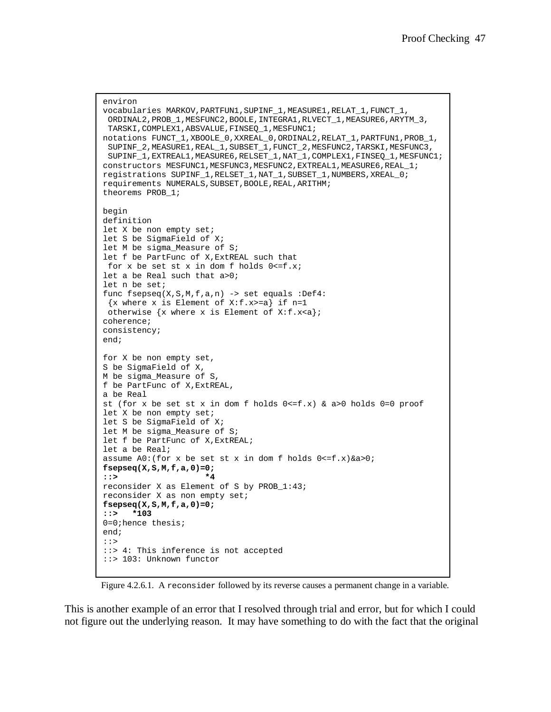```
environ 
vocabularies MARKOV,PARTFUN1,SUPINF_1,MEASURE1,RELAT_1,FUNCT_1, 
  ORDINAL2,PROB_1,MESFUNC2,BOOLE,INTEGRA1,RLVECT_1,MEASURE6,ARYTM_3, 
  TARSKI,COMPLEX1,ABSVALUE,FINSEQ_1,MESFUNC1; 
notations FUNCT_1,XBOOLE_0,XXREAL_0,ORDINAL2,RELAT_1,PARTFUN1,PROB_1, 
  SUPINF_2,MEASURE1,REAL_1,SUBSET_1,FUNCT_2,MESFUNC2,TARSKI,MESFUNC3, 
  SUPINF_1,EXTREAL1,MEASURE6,RELSET_1,NAT_1,COMPLEX1,FINSEQ_1,MESFUNC1;
constructors MESFUNC1, MESFUNC3, MESFUNC2, EXTREAL1, MEASURE6, REAL 1;
registrations SUPINF_1,RELSET_1,NAT_1,SUBSET_1,NUMBERS,XREAL_0; 
requirements NUMERALS,SUBSET,BOOLE,REAL,ARITHM; 
theorems PROB_1; 
begin 
definition 
let X be non empty set; 
let S be SigmaField of X; 
let M be sigma_Measure of S;
let f be PartFunc of X,ExtREAL such that 
 for x be set st x in dom f holds 0 < =f.x;
let a be Real such that a>0; 
let n be set; 
func fsepseq(X,S,M,f,a,n) -> set equals :Def4:
 \{x \text{ where } x \text{ is Element of } X: f.x>=a\} \text{ if } n=1otherwise \{x \text{ where } x \text{ is Element of } X: f.x \leq a\}coherence; 
consistency; 
end; 
for X be non empty set, 
S be SigmaField of X, 
M be sigma_Measure of S, 
f be PartFunc of X,ExtREAL, 
a be Real 
st (for x be set st x in dom f holds 0 \le f.x) & a>0 holds 0=0 proof
let X be non empty set;
let S be SigmaField of X; 
let M be sigma_Measure of S; 
let f be PartFunc of X, ExtREAL;
let a be Real; 
assume A0:(for x be set st x in dom f holds <math>0&lt;f.x)</math> & a.s.fsepseq(X,S,M,f,a,0)=0; 
::> *4
reconsider X as Element of S by PROB_1:43; 
reconsider X as non empty set; 
fsepseq(X,S,M,f,a,0)=0; 
::> *103
0=0;hence thesis; 
end; 
::> 
::> 4: This inference is not accepted 
::> 103: Unknown functor
```
Figure 4.2.6.1. A reconsider followed by its reverse causes a permanent change in a variable.

This is another example of an error that I resolved through trial and error, but for which I could not figure out the underlying reason. It may have something to do with the fact that the original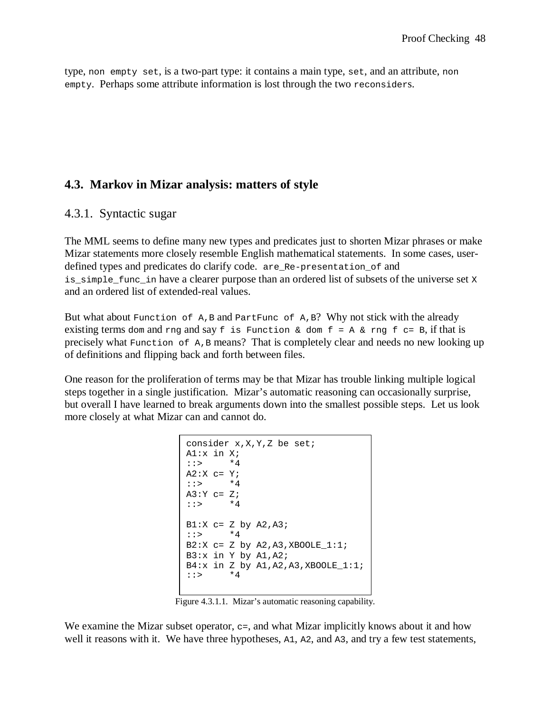type, non empty set, is a two-part type: it contains a main type, set, and an attribute, non empty. Perhaps some attribute information is lost through the two reconsiders.

### **4.3. Markov in Mizar analysis: matters of style**

#### 4.3.1. Syntactic sugar

The MML seems to define many new types and predicates just to shorten Mizar phrases or make Mizar statements more closely resemble English mathematical statements. In some cases, userdefined types and predicates do clarify code. are\_Re-presentation\_of and is simple func in have a clearer purpose than an ordered list of subsets of the universe set  $X$ and an ordered list of extended-real values.

But what about Function of A,B and PartFunc of A,B? Why not stick with the already existing terms dom and rng and say  $f$  is Function & dom  $f = A$  & rng  $f = B$ , if that is precisely what Function of A,B means? That is completely clear and needs no new looking up of definitions and flipping back and forth between files.

One reason for the proliferation of terms may be that Mizar has trouble linking multiple logical steps together in a single justification. Mizar's automatic reasoning can occasionally surprise, but overall I have learned to break arguments down into the smallest possible steps. Let us look more closely at what Mizar can and cannot do.

```
consider x,X,Y,Z be set; 
AI:x in Xi;
::> *4 
A2:X c= Y;
::> *4 
A3:Y c= Z;<br>::> *4::> \blacksquareB1:X c= Z by A2, A3;
::> *4 
B2:X c = Z by A2, A3, XBOOLE_1:1;B3:x in Y by A1, A2;
B4:x in Z by A1, A2, A3, XBOOLE_1:1;<br>::> *4\star 4
```
Figure 4.3.1.1. Mizar's automatic reasoning capability.

We examine the Mizar subset operator,  $c =$ , and what Mizar implicitly knows about it and how well it reasons with it. We have three hypotheses, A1, A2, and A3, and try a few test statements,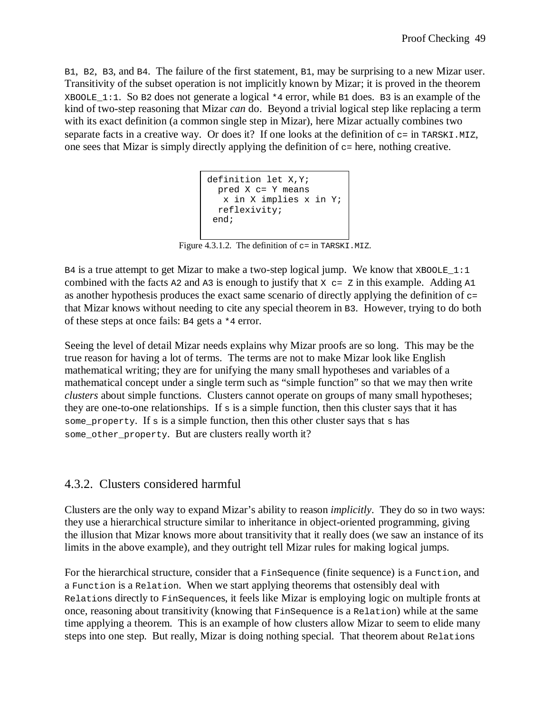B1, B2, B3, and B4. The failure of the first statement, B1, may be surprising to a new Mizar user. Transitivity of the subset operation is not implicitly known by Mizar; it is proved in the theorem XBOOLE 1:1. So B2 does not generate a logical  $*4$  error, while B1 does. B3 is an example of the kind of two-step reasoning that Mizar *can* do. Beyond a trivial logical step like replacing a term with its exact definition (a common single step in Mizar), here Mizar actually combines two separate facts in a creative way. Or does it? If one looks at the definition of  $c =$  in TARSKI.MIZ, one sees that Mizar is simply directly applying the definition of  $c =$  here, nothing creative.

```
definition let X,Y; 
  pred X c= Y means 
   x in X implies x in Y;
  reflexivity; 
 end;
```
Figure 4.3.1.2. The definition of  $c = in$  TARSKI.MIZ.

 $B4$  is a true attempt to get Mizar to make a two-step logical jump. We know that XBOOLE 1:1 combined with the facts  $A2$  and  $A3$  is enough to justify that  $X \subset Z$  in this example. Adding  $A1$ as another hypothesis produces the exact same scenario of directly applying the definition of  $\sigma$ = that Mizar knows without needing to cite any special theorem in B3. However, trying to do both of these steps at once fails: B4 gets a \*4 error.

Seeing the level of detail Mizar needs explains why Mizar proofs are so long. This may be the true reason for having a lot of terms. The terms are not to make Mizar look like English mathematical writing; they are for unifying the many small hypotheses and variables of a mathematical concept under a single term such as "simple function" so that we may then write *clusters* about simple functions. Clusters cannot operate on groups of many small hypotheses; they are one-to-one relationships. If  $s$  is a simple function, then this cluster says that it has some property. If s is a simple function, then this other cluster says that s has some other property. But are clusters really worth it?

## 4.3.2. Clusters considered harmful

Clusters are the only way to expand Mizar's ability to reason *implicitly*. They do so in two ways: they use a hierarchical structure similar to inheritance in object-oriented programming, giving the illusion that Mizar knows more about transitivity that it really does (we saw an instance of its limits in the above example), and they outright tell Mizar rules for making logical jumps.

For the hierarchical structure, consider that a Finsequence (finite sequence) is a Function, and a Function is a Relation. When we start applying theorems that ostensibly deal with Relations directly to FinSequences, it feels like Mizar is employing logic on multiple fronts at once, reasoning about transitivity (knowing that FinSequence is a Relation) while at the same time applying a theorem. This is an example of how clusters allow Mizar to seem to elide many steps into one step. But really, Mizar is doing nothing special. That theorem about Relations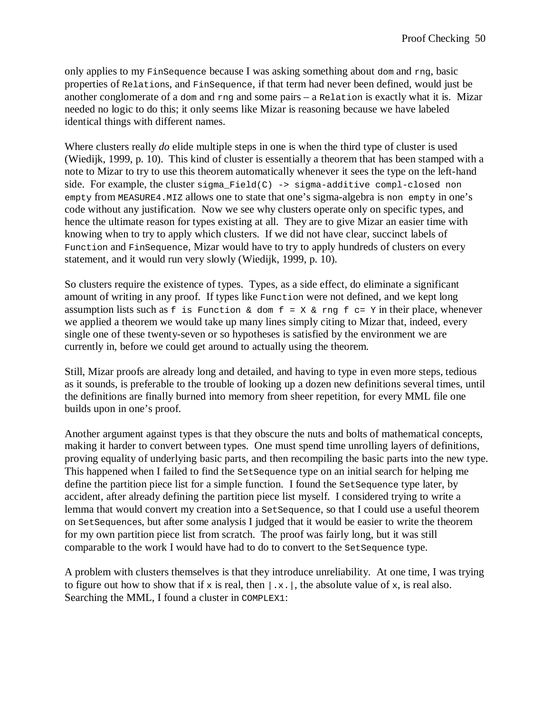only applies to my FinSequence because I was asking something about dom and rng, basic properties of Relations, and FinSequence, if that term had never been defined, would just be another conglomerate of a dom and  $r_{\text{nd}}$  and some pairs – a Relation is exactly what it is. Mizar needed no logic to do this; it only seems like Mizar is reasoning because we have labeled identical things with different names.

Where clusters really *do* elide multiple steps in one is when the third type of cluster is used (Wiedijk, 1999, p. 10). This kind of cluster is essentially a theorem that has been stamped with a note to Mizar to try to use this theorem automatically whenever it sees the type on the left-hand side. For example, the cluster  $sigma_Field(C) \rightarrow sigma-additive$  compl-closed non empty from MEASURE4.MIZ allows one to state that one's sigma-algebra is non empty in one's code without any justification. Now we see why clusters operate only on specific types, and hence the ultimate reason for types existing at all. They are to give Mizar an easier time with knowing when to try to apply which clusters. If we did not have clear, succinct labels of Function and FinSequence, Mizar would have to try to apply hundreds of clusters on every statement, and it would run very slowly (Wiedijk, 1999, p. 10).

So clusters require the existence of types. Types, as a side effect, do eliminate a significant amount of writing in any proof. If types like Function were not defined, and we kept long assumption lists such as f is Function & dom  $f = X \& rng f c = Y$  in their place, whenever we applied a theorem we would take up many lines simply citing to Mizar that, indeed, every single one of these twenty-seven or so hypotheses is satisfied by the environment we are currently in, before we could get around to actually using the theorem.

Still, Mizar proofs are already long and detailed, and having to type in even more steps, tedious as it sounds, is preferable to the trouble of looking up a dozen new definitions several times, until the definitions are finally burned into memory from sheer repetition, for every MML file one builds upon in one's proof.

Another argument against types is that they obscure the nuts and bolts of mathematical concepts, making it harder to convert between types. One must spend time unrolling layers of definitions, proving equality of underlying basic parts, and then recompiling the basic parts into the new type. This happened when I failed to find the SetSequence type on an initial search for helping me define the partition piece list for a simple function. I found the SetSequence type later, by accident, after already defining the partition piece list myself. I considered trying to write a lemma that would convert my creation into a SetSequence, so that I could use a useful theorem on SetSequences, but after some analysis I judged that it would be easier to write the theorem for my own partition piece list from scratch. The proof was fairly long, but it was still comparable to the work I would have had to do to convert to the set sequence type.

A problem with clusters themselves is that they introduce unreliability. At one time, I was trying to figure out how to show that if x is real, then  $|x|$ , the absolute value of x, is real also. Searching the MML, I found a cluster in COMPLEX1: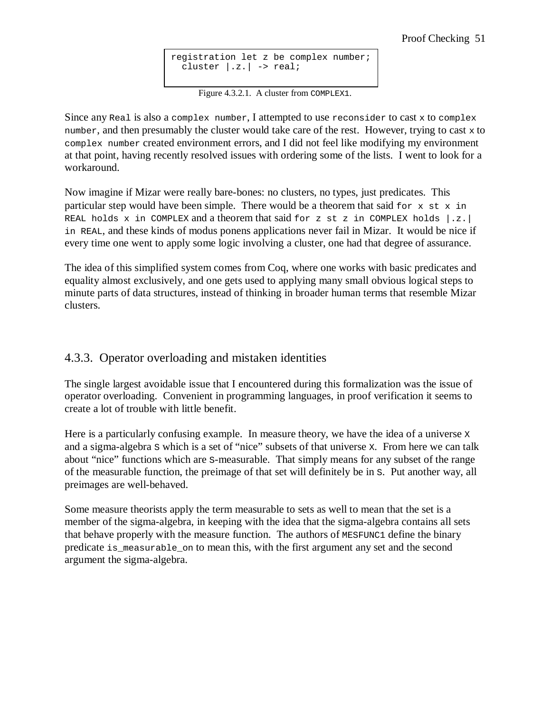```
registration let z be complex number;
  cluster |z.| \rightarrow real;
```
Figure 4.3.2.1. A cluster from COMPLEX1.

Since any Real is also a complex number, I attempted to use reconsider to cast  $x$  to complex number, and then presumably the cluster would take care of the rest. However, trying to cast  $x$  to complex number created environment errors, and I did not feel like modifying my environment at that point, having recently resolved issues with ordering some of the lists. I went to look for a workaround.

Now imagine if Mizar were really bare-bones: no clusters, no types, just predicates. This particular step would have been simple. There would be a theorem that said for  $x \le x$  in REAL holds x in COMPLEX and a theorem that said for z st z in COMPLEX holds  $\vert .z. \vert$ in REAL, and these kinds of modus ponens applications never fail in Mizar. It would be nice if every time one went to apply some logic involving a cluster, one had that degree of assurance.

The idea of this simplified system comes from Coq, where one works with basic predicates and equality almost exclusively, and one gets used to applying many small obvious logical steps to minute parts of data structures, instead of thinking in broader human terms that resemble Mizar clusters.

## 4.3.3. Operator overloading and mistaken identities

The single largest avoidable issue that I encountered during this formalization was the issue of operator overloading. Convenient in programming languages, in proof verification it seems to create a lot of trouble with little benefit.

Here is a particularly confusing example. In measure theory, we have the idea of a universe x and a sigma-algebra S which is a set of "nice" subsets of that universe X. From here we can talk about "nice" functions which are S-measurable. That simply means for any subset of the range of the measurable function, the preimage of that set will definitely be in S. Put another way, all preimages are well-behaved.

Some measure theorists apply the term measurable to sets as well to mean that the set is a member of the sigma-algebra, in keeping with the idea that the sigma-algebra contains all sets that behave properly with the measure function. The authors of MESFUNC1 define the binary predicate is\_measurable\_on to mean this, with the first argument any set and the second argument the sigma-algebra.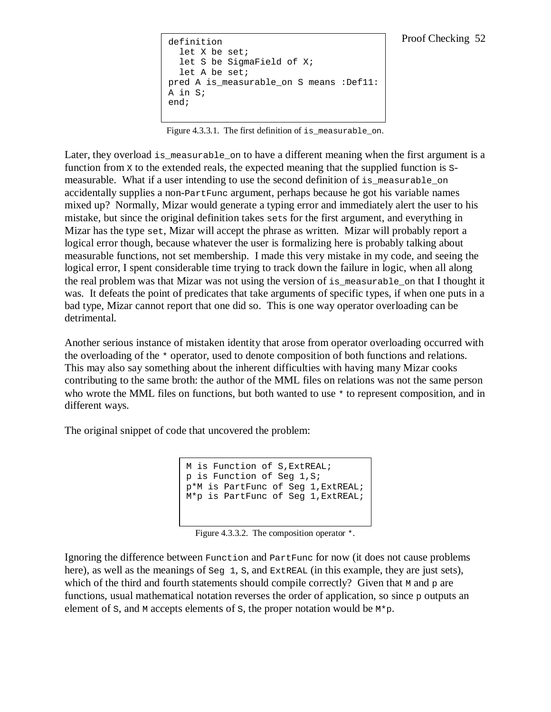```
definition 
   let X be set; 
   let S be SigmaField of X; 
   let A be set; 
pred A is_measurable_on S means :Def11:
A in S; 
end;
```
Figure 4.3.3.1. The first definition of is\_measurable\_on.

Later, they overload is measurable on to have a different meaning when the first argument is a function from x to the extended reals, the expected meaning that the supplied function is smeasurable. What if a user intending to use the second definition of is\_measurable\_on accidentally supplies a non-PartFunc argument, perhaps because he got his variable names mixed up? Normally, Mizar would generate a typing error and immediately alert the user to his mistake, but since the original definition takes sets for the first argument, and everything in Mizar has the type set, Mizar will accept the phrase as written. Mizar will probably report a logical error though, because whatever the user is formalizing here is probably talking about measurable functions, not set membership. I made this very mistake in my code, and seeing the logical error, I spent considerable time trying to track down the failure in logic, when all along the real problem was that Mizar was not using the version of is\_measurable\_on that I thought it was. It defeats the point of predicates that take arguments of specific types, if when one puts in a bad type, Mizar cannot report that one did so. This is one way operator overloading can be detrimental.

Another serious instance of mistaken identity that arose from operator overloading occurred with the overloading of the \* operator, used to denote composition of both functions and relations. This may also say something about the inherent difficulties with having many Mizar cooks contributing to the same broth: the author of the MML files on relations was not the same person who wrote the MML files on functions, but both wanted to use  $*$  to represent composition, and in different ways.

The original snippet of code that uncovered the problem:

M is Function of S,ExtREAL; p is Function of Seg 1,S; p\*M is PartFunc of Seg 1,ExtREAL; M\*p is PartFunc of Seg 1,ExtREAL;

Figure 4.3.3.2. The composition operator \*.

Ignoring the difference between Function and PartFunc for now (it does not cause problems here), as well as the meanings of  $\leq \epsilon q \leq 1$ , S, and ExtREAL (in this example, they are just sets), which of the third and fourth statements should compile correctly? Given that M and  $\beta$  are functions, usual mathematical notation reverses the order of application, so since  $\frac{1}{2}$  outputs an element of s, and  $M$  accepts elements of s, the proper notation would be  $M<sup>*</sup>p$ .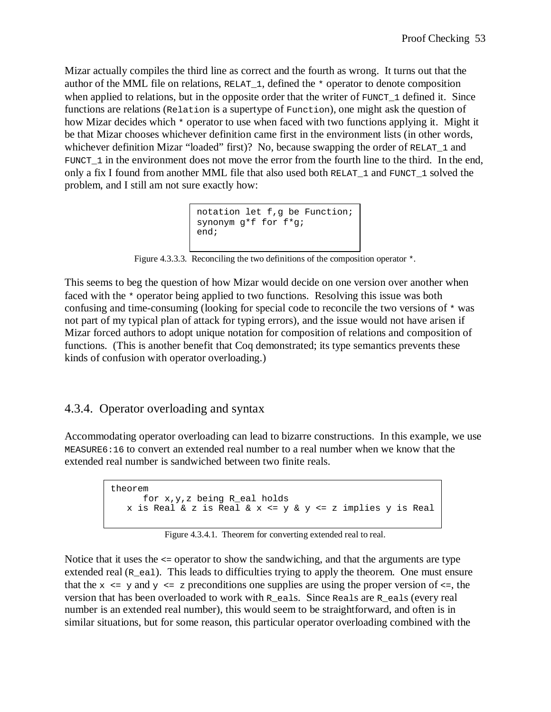Mizar actually compiles the third line as correct and the fourth as wrong. It turns out that the author of the MML file on relations, RELAT\_1, defined the \* operator to denote composition when applied to relations, but in the opposite order that the writer of FUNCT\_1 defined it. Since functions are relations (Relation is a supertype of Function), one might ask the question of how Mizar decides which  $*$  operator to use when faced with two functions applying it. Might it be that Mizar chooses whichever definition came first in the environment lists (in other words, whichever definition Mizar "loaded" first)? No, because swapping the order of RELAT<sub>1</sub> and FUNCT\_1 in the environment does not move the error from the fourth line to the third. In the end, only a fix I found from another MML file that also used both RELAT\_1 and FUNCT\_1 solved the problem, and I still am not sure exactly how:

```
notation let f,g be Function;
synonym g*f for f*g; 
end;
```
Figure 4.3.3.3. Reconciling the two definitions of the composition operator \*.

This seems to beg the question of how Mizar would decide on one version over another when faced with the \* operator being applied to two functions. Resolving this issue was both confusing and time-consuming (looking for special code to reconcile the two versions of \* was not part of my typical plan of attack for typing errors), and the issue would not have arisen if Mizar forced authors to adopt unique notation for composition of relations and composition of functions. (This is another benefit that Coq demonstrated; its type semantics prevents these kinds of confusion with operator overloading.)

# 4.3.4. Operator overloading and syntax

Accommodating operator overloading can lead to bizarre constructions. In this example, we use MEASURE6:16 to convert an extended real number to a real number when we know that the extended real number is sandwiched between two finite reals.

```
theorem 
       for x,y,z being R_eal holds 
    x is Real & z is Real & x <= y & y <= z implies y is Real
```
Figure 4.3.4.1. Theorem for converting extended real to real.

Notice that it uses the <= operator to show the sandwiching, and that the arguments are type extended real  $(R_{\text{real}})$ . This leads to difficulties trying to apply the theorem. One must ensure that the  $x \leq y$  and  $y \leq z$  preconditions one supplies are using the proper version of  $\leq z$ , the version that has been overloaded to work with  $R_{\text{e}a1s}$ . Since Reals are R\_eals (every real number is an extended real number), this would seem to be straightforward, and often is in similar situations, but for some reason, this particular operator overloading combined with the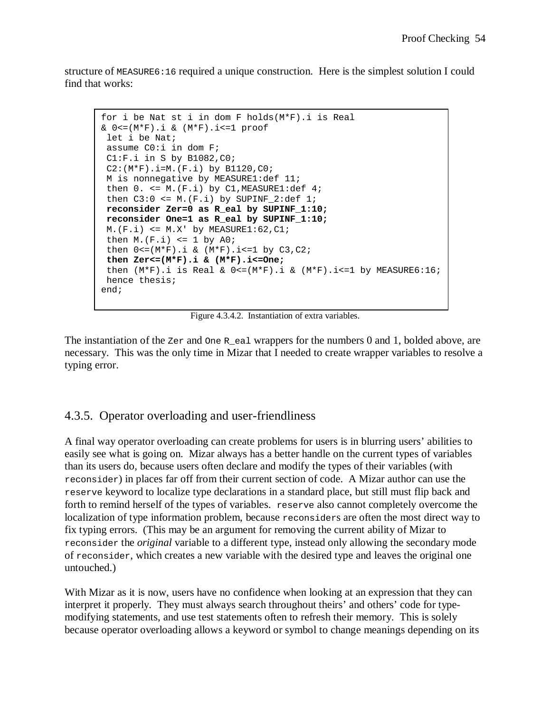structure of MEASURE6:16 required a unique construction. Here is the simplest solution I could find that works:

```
for i be Nat st i in dom F holds(M*F).i is Real 
& 0<=(M*F).i & (M*F).i<=1 proof 
 let i be Nat; 
 assume C0:i in dom F; 
 C1:F.i in S by B1082,C0; 
C2: (M*F) . i=M. (F.i) by B1120, C0: M is nonnegative by MEASURE1:def 11; 
then 0. \le M.(F.i) by Cl,MEASURE1:def 4;then C3:0 \leq M.(F.i) by SUPINF 2:def 1;
 reconsider Zer=0 as R_eal by SUPINF_1:10; 
 reconsider One=1 as R_eal by SUPINF_1:10; 
M.(F.i) \leq M.X' by MEASURE1:62, C1;
then M.(F.i) \leq 1 by A0;
then 0 \leq (M*F) \cdot i \& (M*F) \cdot i \leq 1 by C3, C2;
 then Zer<=(M*F).i & (M*F).i<=One; 
 then (M*F).i is Real & 0<=(M*F).i & (M*F).i<=1 by MEASURE6:16;
 hence thesis; 
end;
```
Figure 4.3.4.2. Instantiation of extra variables.

The instantiation of the zer and one R\_eal wrappers for the numbers 0 and 1, bolded above, are necessary. This was the only time in Mizar that I needed to create wrapper variables to resolve a typing error.

#### 4.3.5. Operator overloading and user-friendliness

A final way operator overloading can create problems for users is in blurring users' abilities to easily see what is going on. Mizar always has a better handle on the current types of variables than its users do, because users often declare and modify the types of their variables (with reconsider) in places far off from their current section of code. A Mizar author can use the reserve keyword to localize type declarations in a standard place, but still must flip back and forth to remind herself of the types of variables. reserve also cannot completely overcome the localization of type information problem, because reconsiders are often the most direct way to fix typing errors. (This may be an argument for removing the current ability of Mizar to reconsider the *original* variable to a different type, instead only allowing the secondary mode of reconsider, which creates a new variable with the desired type and leaves the original one untouched.)

With Mizar as it is now, users have no confidence when looking at an expression that they can interpret it properly. They must always search throughout theirs' and others' code for typemodifying statements, and use test statements often to refresh their memory. This is solely because operator overloading allows a keyword or symbol to change meanings depending on its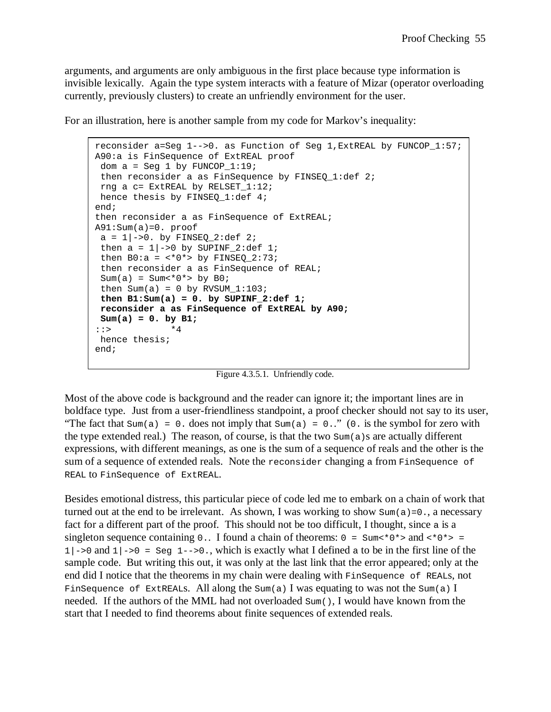arguments, and arguments are only ambiguous in the first place because type information is invisible lexically. Again the type system interacts with a feature of Mizar (operator overloading currently, previously clusters) to create an unfriendly environment for the user.

For an illustration, here is another sample from my code for Markov's inequality:

```
reconsider a=Seg 1-->0. as Function of Seg 1,ExtREAL by FUNCOP_1:57;
A90:a is FinSequence of ExtREAL proof 
 dom a = Seq 1 by FUNCOP 1:19;
 then reconsider a as FinSequence by FINSEQ 1:def 2;
 rng a c= ExtREAL by RELSET_1:12; 
hence thesis by FINSEO 1:def 4;
end; 
then reconsider a as FinSequence of ExtREAL; 
A91:Sum(a)=0. proof
a = 1 \mid -\ge 0. by FINSEQ_2:def 2;
 then a = 1 | ->0 by SUPINF_2:def 1;
 then B0:a = \langle *0* \rangle by FINSEQ 2:73;
  then reconsider a as FinSequence of REAL; 
 Sum(a) = Sum < *0* by B0;
 then Sum(a) = 0 by RVSUM 1:103;
 then B1:Sum(a) = 0. by SUPINF 2:def 1;
  reconsider a as FinSequence of ExtREAL by A90; 
 Sum(a) = 0. by B1; 
::> *4
 hence thesis; 
end;
```
Figure 4.3.5.1. Unfriendly code.

Most of the above code is background and the reader can ignore it; the important lines are in boldface type. Just from a user-friendliness standpoint, a proof checker should not say to its user, "The fact that  $Sum(a) = 0$ . does not imply that  $Sum(a) = 0$ .." (0. is the symbol for zero with the type extended real.) The reason, of course, is that the two  $Sum(a)$ s are actually different expressions, with different meanings, as one is the sum of a sequence of reals and the other is the sum of a sequence of extended reals. Note the reconsider changing a from FinSequence of REAL to FinSequence of ExtREAL.

Besides emotional distress, this particular piece of code led me to embark on a chain of work that turned out at the end to be irrelevant. As shown, I was working to show  $Sum(a) = 0$ ., a necessary fact for a different part of the proof. This should not be too difficult, I thought, since a is a singleton sequence containing 0.. I found a chain of theorems: 0 = Sum<\*0\*> and <\*0\*> =  $1 \rightarrow 0$  and  $1 \rightarrow 0$  = Seg  $1 \rightarrow 0$ , which is exactly what I defined a to be in the first line of the sample code. But writing this out, it was only at the last link that the error appeared; only at the end did I notice that the theorems in my chain were dealing with FinSequence of REALs, not FinSequence of ExtREALS. All along the Sum(a) I was equating to was not the Sum(a) I needed. If the authors of the MML had not overloaded Sum(), I would have known from the start that I needed to find theorems about finite sequences of extended reals.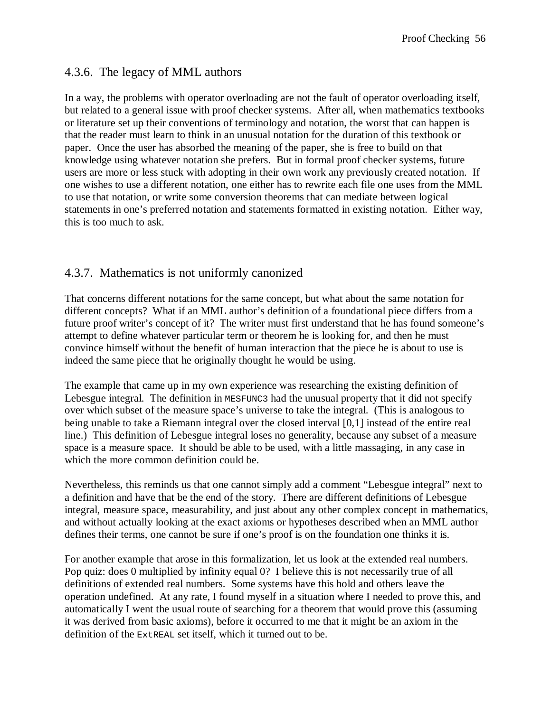### 4.3.6. The legacy of MML authors

In a way, the problems with operator overloading are not the fault of operator overloading itself, but related to a general issue with proof checker systems. After all, when mathematics textbooks or literature set up their conventions of terminology and notation, the worst that can happen is that the reader must learn to think in an unusual notation for the duration of this textbook or paper. Once the user has absorbed the meaning of the paper, she is free to build on that knowledge using whatever notation she prefers. But in formal proof checker systems, future users are more or less stuck with adopting in their own work any previously created notation. If one wishes to use a different notation, one either has to rewrite each file one uses from the MML to use that notation, or write some conversion theorems that can mediate between logical statements in one's preferred notation and statements formatted in existing notation. Either way, this is too much to ask.

## 4.3.7. Mathematics is not uniformly canonized

That concerns different notations for the same concept, but what about the same notation for different concepts? What if an MML author's definition of a foundational piece differs from a future proof writer's concept of it? The writer must first understand that he has found someone's attempt to define whatever particular term or theorem he is looking for, and then he must convince himself without the benefit of human interaction that the piece he is about to use is indeed the same piece that he originally thought he would be using.

The example that came up in my own experience was researching the existing definition of Lebesgue integral. The definition in MESFUNC3 had the unusual property that it did not specify over which subset of the measure space's universe to take the integral. (This is analogous to being unable to take a Riemann integral over the closed interval [0,1] instead of the entire real line.) This definition of Lebesgue integral loses no generality, because any subset of a measure space is a measure space. It should be able to be used, with a little massaging, in any case in which the more common definition could be.

Nevertheless, this reminds us that one cannot simply add a comment "Lebesgue integral" next to a definition and have that be the end of the story. There are different definitions of Lebesgue integral, measure space, measurability, and just about any other complex concept in mathematics, and without actually looking at the exact axioms or hypotheses described when an MML author defines their terms, one cannot be sure if one's proof is on the foundation one thinks it is.

For another example that arose in this formalization, let us look at the extended real numbers. Pop quiz: does 0 multiplied by infinity equal 0? I believe this is not necessarily true of all definitions of extended real numbers. Some systems have this hold and others leave the operation undefined. At any rate, I found myself in a situation where I needed to prove this, and automatically I went the usual route of searching for a theorem that would prove this (assuming it was derived from basic axioms), before it occurred to me that it might be an axiom in the definition of the ExtREAL set itself, which it turned out to be.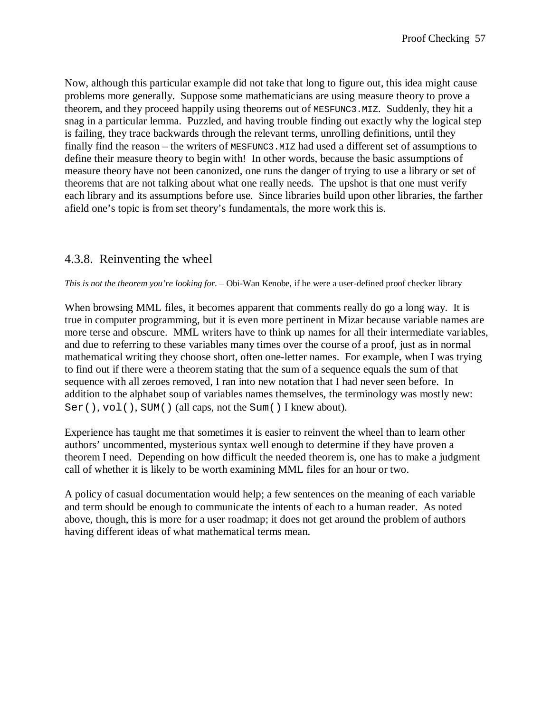Now, although this particular example did not take that long to figure out, this idea might cause problems more generally. Suppose some mathematicians are using measure theory to prove a theorem, and they proceed happily using theorems out of MESFUNC3.MIZ. Suddenly, they hit a snag in a particular lemma. Puzzled, and having trouble finding out exactly why the logical step is failing, they trace backwards through the relevant terms, unrolling definitions, until they finally find the reason – the writers of MESFUNC3.MIZ had used a different set of assumptions to define their measure theory to begin with! In other words, because the basic assumptions of measure theory have not been canonized, one runs the danger of trying to use a library or set of theorems that are not talking about what one really needs. The upshot is that one must verify each library and its assumptions before use. Since libraries build upon other libraries, the farther afield one's topic is from set theory's fundamentals, the more work this is.

# 4.3.8. Reinventing the wheel

*This is not the theorem you're looking for.* – Obi-Wan Kenobe, if he were a user-defined proof checker library

When browsing MML files, it becomes apparent that comments really do go a long way. It is true in computer programming, but it is even more pertinent in Mizar because variable names are more terse and obscure. MML writers have to think up names for all their intermediate variables, and due to referring to these variables many times over the course of a proof, just as in normal mathematical writing they choose short, often one-letter names. For example, when I was trying to find out if there were a theorem stating that the sum of a sequence equals the sum of that sequence with all zeroes removed, I ran into new notation that I had never seen before. In addition to the alphabet soup of variables names themselves, the terminology was mostly new: Ser(), vol(), SUM() (all caps, not the Sum() I knew about).

Experience has taught me that sometimes it is easier to reinvent the wheel than to learn other authors' uncommented, mysterious syntax well enough to determine if they have proven a theorem I need. Depending on how difficult the needed theorem is, one has to make a judgment call of whether it is likely to be worth examining MML files for an hour or two.

A policy of casual documentation would help; a few sentences on the meaning of each variable and term should be enough to communicate the intents of each to a human reader. As noted above, though, this is more for a user roadmap; it does not get around the problem of authors having different ideas of what mathematical terms mean.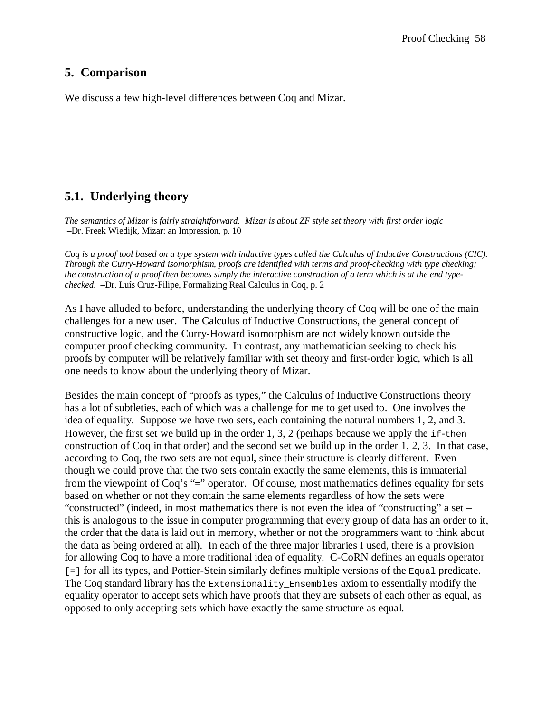## **5. Comparison**

We discuss a few high-level differences between Coq and Mizar.

## **5.1. Underlying theory**

*The semantics of Mizar is fairly straightforward. Mizar is about ZF style set theory with first order logic*  –Dr. Freek Wiedijk, Mizar: an Impression, p. 10

*Coq is a proof tool based on a type system with inductive types called the Calculus of Inductive Constructions (CIC). Through the Curry-Howard isomorphism, proofs are identified with terms and proof-checking with type checking; the construction of a proof then becomes simply the interactive construction of a term which is at the end typechecked.* –Dr. Luís Cruz-Filipe, Formalizing Real Calculus in Coq, p. 2

As I have alluded to before, understanding the underlying theory of Coq will be one of the main challenges for a new user. The Calculus of Inductive Constructions, the general concept of constructive logic, and the Curry-Howard isomorphism are not widely known outside the computer proof checking community. In contrast, any mathematician seeking to check his proofs by computer will be relatively familiar with set theory and first-order logic, which is all one needs to know about the underlying theory of Mizar.

Besides the main concept of "proofs as types," the Calculus of Inductive Constructions theory has a lot of subtleties, each of which was a challenge for me to get used to. One involves the idea of equality. Suppose we have two sets, each containing the natural numbers 1, 2, and 3. However, the first set we build up in the order 1, 3, 2 (perhaps because we apply the  $if$ -then construction of Coq in that order) and the second set we build up in the order 1, 2, 3. In that case, according to Coq, the two sets are not equal, since their structure is clearly different. Even though we could prove that the two sets contain exactly the same elements, this is immaterial from the viewpoint of Coq's "=" operator. Of course, most mathematics defines equality for sets based on whether or not they contain the same elements regardless of how the sets were "constructed" (indeed, in most mathematics there is not even the idea of "constructing" a set – this is analogous to the issue in computer programming that every group of data has an order to it, the order that the data is laid out in memory, whether or not the programmers want to think about the data as being ordered at all). In each of the three major libraries I used, there is a provision for allowing Coq to have a more traditional idea of equality. C-CoRN defines an equals operator [=] for all its types, and Pottier-Stein similarly defines multiple versions of the Equal predicate. The Coq standard library has the Extensionality\_Ensembles axiom to essentially modify the equality operator to accept sets which have proofs that they are subsets of each other as equal, as opposed to only accepting sets which have exactly the same structure as equal.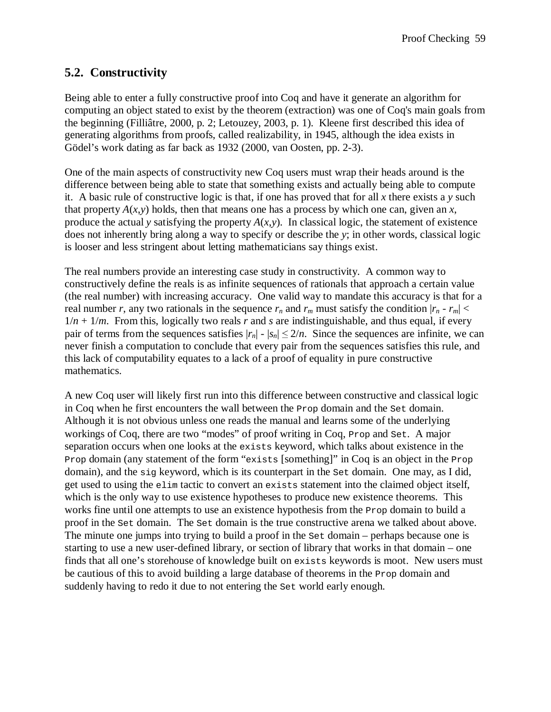# **5.2. Constructivity**

Being able to enter a fully constructive proof into Coq and have it generate an algorithm for computing an object stated to exist by the theorem (extraction) was one of Coq's main goals from the beginning (Filliâtre, 2000, p. 2; Letouzey, 2003, p. 1). Kleene first described this idea of generating algorithms from proofs, called realizability, in 1945, although the idea exists in Gödel's work dating as far back as 1932 (2000, van Oosten, pp. 2-3).

One of the main aspects of constructivity new Coq users must wrap their heads around is the difference between being able to state that something exists and actually being able to compute it. A basic rule of constructive logic is that, if one has proved that for all *x* there exists a *y* such that property  $A(x, y)$  holds, then that means one has a process by which one can, given an x, produce the actual *y* satisfying the property  $A(x, y)$ . In classical logic, the statement of existence does not inherently bring along a way to specify or describe the *y*; in other words, classical logic is looser and less stringent about letting mathematicians say things exist.

The real numbers provide an interesting case study in constructivity. A common way to constructively define the reals is as infinite sequences of rationals that approach a certain value (the real number) with increasing accuracy. One valid way to mandate this accuracy is that for a real number *r*, any two rationals in the sequence  $r_n$  and  $r_m$  must satisfy the condition  $|r_n - r_m|$  <  $1/n + 1/m$ . From this, logically two reals *r* and *s* are indistinguishable, and thus equal, if every pair of terms from the sequences satisfies  $|r_n|$  -  $|s_n| \leq 2/n$ . Since the sequences are infinite, we can never finish a computation to conclude that every pair from the sequences satisfies this rule, and this lack of computability equates to a lack of a proof of equality in pure constructive mathematics.

A new Coq user will likely first run into this difference between constructive and classical logic in Coq when he first encounters the wall between the Prop domain and the Set domain. Although it is not obvious unless one reads the manual and learns some of the underlying workings of Coq, there are two "modes" of proof writing in Coq, Prop and Set. A major separation occurs when one looks at the exists keyword, which talks about existence in the Prop domain (any statement of the form "exists [something]" in Coq is an object in the Prop domain), and the sig keyword, which is its counterpart in the Set domain. One may, as I did, get used to using the elim tactic to convert an exists statement into the claimed object itself, which is the only way to use existence hypotheses to produce new existence theorems. This works fine until one attempts to use an existence hypothesis from the Prop domain to build a proof in the Set domain. The Set domain is the true constructive arena we talked about above. The minute one jumps into trying to build a proof in the Set domain – perhaps because one is starting to use a new user-defined library, or section of library that works in that domain – one finds that all one's storehouse of knowledge built on exists keywords is moot. New users must be cautious of this to avoid building a large database of theorems in the Prop domain and suddenly having to redo it due to not entering the Set world early enough.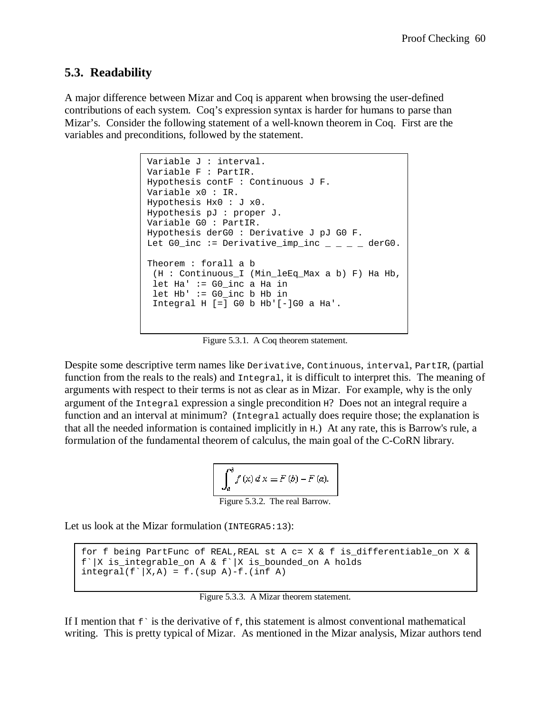## **5.3. Readability**

A major difference between Mizar and Coq is apparent when browsing the user-defined contributions of each system. Coq's expression syntax is harder for humans to parse than Mizar's. Consider the following statement of a well-known theorem in Coq. First are the variables and preconditions, followed by the statement.

```
Variable J : interval. 
Variable F : PartIR. 
Hypothesis contF : Continuous J F. 
Variable x0 : IR. 
Hypothesis Hx0 : J x0. 
Hypothesis pJ : proper J. 
Variable G0 : PartIR. 
Hypothesis derG0 : Derivative J pJ G0 F. 
Let G0_inc := Derivative_imp_inc \angle _ \angle _ derG0.
Theorem : forall a b 
 (H : Continuous_I (Min_leEq_Max a b) F) Ha Hb,
 let Ha' := G0_inc a Ha in 
let Hb' := G0 inc b Hb in
  Integral H [=] G0 b Hb'[-]G0 a Ha'.
```
Figure 5.3.1. A Coq theorem statement.

Despite some descriptive term names like Derivative, Continuous, interval, PartIR, (partial function from the reals to the reals) and Integral, it is difficult to interpret this. The meaning of arguments with respect to their terms is not as clear as in Mizar. For example, why is the only argument of the Integral expression a single precondition H? Does not an integral require a function and an interval at minimum? (Integral actually does require those; the explanation is that all the needed information is contained implicitly in H.) At any rate, this is Barrow's rule, a formulation of the fundamental theorem of calculus, the main goal of the C-CoRN library.

$$
\int_{a}^{b} f(x) dx = F(b) - F(a).
$$
  
Figure 5.3.2. The real Barrow.

Let us look at the Mizar formulation (INTEGRA5:13):

```
for f being PartFunc of REAL, REAL st A c= X & f is differentiable on X &
f`|X is integrable on A & f`|X is bounded on A holds
integral(f^{\texttt{th}}|X,A) = f.(sup A)-f.(inf A)
```
Figure 5.3.3. A Mizar theorem statement.

If I mention that  $f \dot{\ }$  is the derivative of  $f$ , this statement is almost conventional mathematical writing. This is pretty typical of Mizar. As mentioned in the Mizar analysis, Mizar authors tend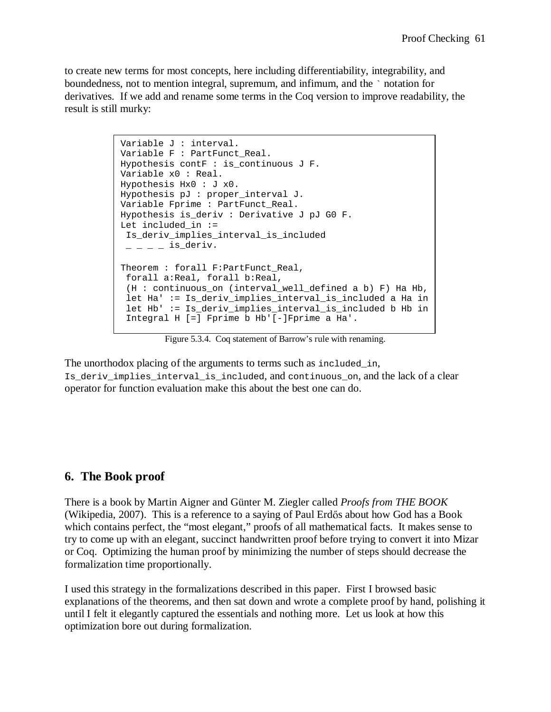to create new terms for most concepts, here including differentiability, integrability, and boundedness, not to mention integral, supremum, and infimum, and the ` notation for derivatives. If we add and rename some terms in the Coq version to improve readability, the result is still murky:

```
Variable J : interval.
Variable F : PartFunct_Real. 
Hypothesis contF : is continuous J F.
Variable x0 : Real. 
Hypothesis Hx0 : J x0. 
Hypothesis pJ : proper_interval J. 
Variable Fprime : PartFunct_Real. 
Hypothesis is_deriv : Derivative J pJ G0 F. 
Let included in :=Is deriv implies interval is included
 - - - is deriv.
Theorem : forall F:PartFunct_Real, 
 forall a:Real, forall b:Real, 
(H : continuous on (interval well defined a b) F) Ha Hb,
let Ha' := Is deriv implies interval is included a Ha in
  let Hb' := Is_deriv_implies_interval_is_included b Hb in
  Integral H [=] Fprime b Hb'[-]Fprime a Ha'.
```
Figure 5.3.4. Coq statement of Barrow's rule with renaming.

The unorthodox placing of the arguments to terms such as included\_in, Is deriv implies interval is included, and continuous on, and the lack of a clear operator for function evaluation make this about the best one can do.

#### **6. The Book proof**

There is a book by Martin Aigner and Günter M. Ziegler called *Proofs from THE BOOK* (Wikipedia, 2007). This is a reference to a saying of Paul Erdős about how God has a Book which contains perfect, the "most elegant," proofs of all mathematical facts. It makes sense to try to come up with an elegant, succinct handwritten proof before trying to convert it into Mizar or Coq. Optimizing the human proof by minimizing the number of steps should decrease the formalization time proportionally.

I used this strategy in the formalizations described in this paper. First I browsed basic explanations of the theorems, and then sat down and wrote a complete proof by hand, polishing it until I felt it elegantly captured the essentials and nothing more. Let us look at how this optimization bore out during formalization.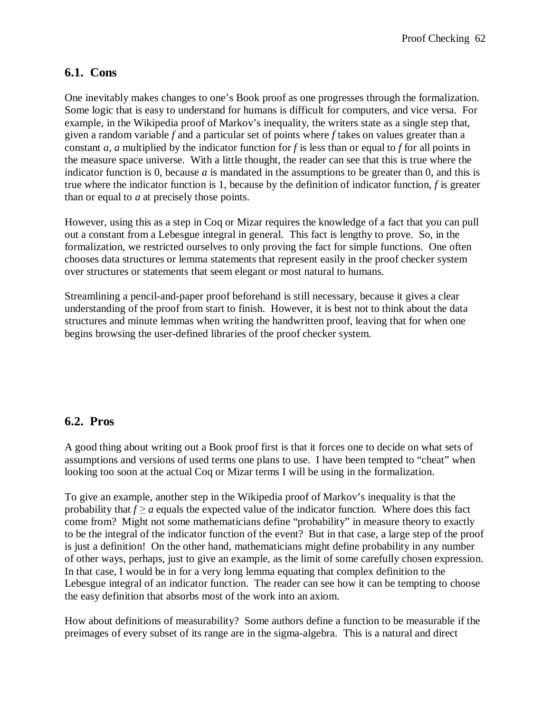# **6.1. Cons**

One inevitably makes changes to one's Book proof as one progresses through the formalization. Some logic that is easy to understand for humans is difficult for computers, and vice versa. For example, in the Wikipedia proof of Markov's inequality, the writers state as a single step that, given a random variable *f* and a particular set of points where *f* takes on values greater than a constant *a*, *a* multiplied by the indicator function for *f* is less than or equal to *f* for all points in the measure space universe. With a little thought, the reader can see that this is true where the indicator function is 0, because  $a$  is mandated in the assumptions to be greater than 0, and this is true where the indicator function is 1, because by the definition of indicator function, *f* is greater than or equal to *a* at precisely those points.

However, using this as a step in Coq or Mizar requires the knowledge of a fact that you can pull out a constant from a Lebesgue integral in general. This fact is lengthy to prove. So, in the formalization, we restricted ourselves to only proving the fact for simple functions. One often chooses data structures or lemma statements that represent easily in the proof checker system over structures or statements that seem elegant or most natural to humans.

Streamlining a pencil-and-paper proof beforehand is still necessary, because it gives a clear understanding of the proof from start to finish. However, it is best not to think about the data structures and minute lemmas when writing the handwritten proof, leaving that for when one begins browsing the user-defined libraries of the proof checker system.

# **6.2. Pros**

A good thing about writing out a Book proof first is that it forces one to decide on what sets of assumptions and versions of used terms one plans to use. I have been tempted to "cheat" when looking too soon at the actual Coq or Mizar terms I will be using in the formalization.

To give an example, another step in the Wikipedia proof of Markov's inequality is that the probability that  $f \ge a$  equals the expected value of the indicator function. Where does this fact come from? Might not some mathematicians define "probability" in measure theory to exactly to be the integral of the indicator function of the event? But in that case, a large step of the proof is just a definition! On the other hand, mathematicians might define probability in any number of other ways, perhaps, just to give an example, as the limit of some carefully chosen expression. In that case, I would be in for a very long lemma equating that complex definition to the Lebesgue integral of an indicator function. The reader can see how it can be tempting to choose the easy definition that absorbs most of the work into an axiom.

How about definitions of measurability? Some authors define a function to be measurable if the preimages of every subset of its range are in the sigma-algebra. This is a natural and direct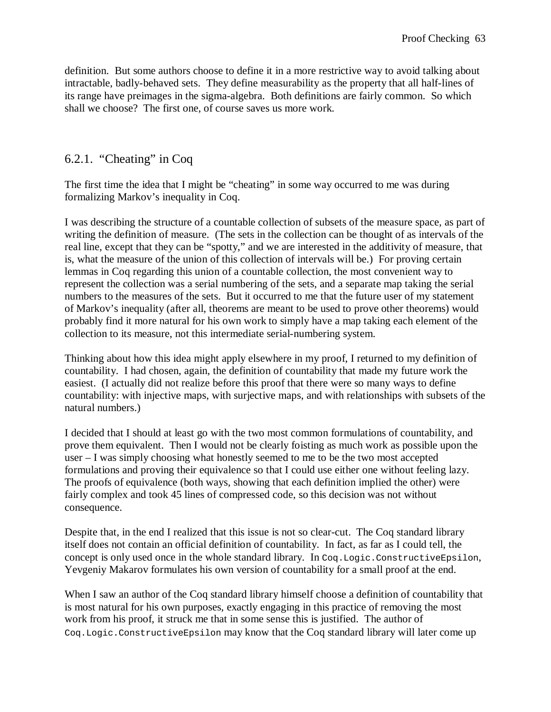definition. But some authors choose to define it in a more restrictive way to avoid talking about intractable, badly-behaved sets. They define measurability as the property that all half-lines of its range have preimages in the sigma-algebra. Both definitions are fairly common. So which shall we choose? The first one, of course saves us more work.

## 6.2.1. "Cheating" in Coq

The first time the idea that I might be "cheating" in some way occurred to me was during formalizing Markov's inequality in Coq.

I was describing the structure of a countable collection of subsets of the measure space, as part of writing the definition of measure. (The sets in the collection can be thought of as intervals of the real line, except that they can be "spotty," and we are interested in the additivity of measure, that is, what the measure of the union of this collection of intervals will be.) For proving certain lemmas in Coq regarding this union of a countable collection, the most convenient way to represent the collection was a serial numbering of the sets, and a separate map taking the serial numbers to the measures of the sets. But it occurred to me that the future user of my statement of Markov's inequality (after all, theorems are meant to be used to prove other theorems) would probably find it more natural for his own work to simply have a map taking each element of the collection to its measure, not this intermediate serial-numbering system.

Thinking about how this idea might apply elsewhere in my proof, I returned to my definition of countability. I had chosen, again, the definition of countability that made my future work the easiest. (I actually did not realize before this proof that there were so many ways to define countability: with injective maps, with surjective maps, and with relationships with subsets of the natural numbers.)

I decided that I should at least go with the two most common formulations of countability, and prove them equivalent. Then I would not be clearly foisting as much work as possible upon the user – I was simply choosing what honestly seemed to me to be the two most accepted formulations and proving their equivalence so that I could use either one without feeling lazy. The proofs of equivalence (both ways, showing that each definition implied the other) were fairly complex and took 45 lines of compressed code, so this decision was not without consequence.

Despite that, in the end I realized that this issue is not so clear-cut. The Coq standard library itself does not contain an official definition of countability. In fact, as far as I could tell, the concept is only used once in the whole standard library. In Coq.Logic.ConstructiveEpsilon, Yevgeniy Makarov formulates his own version of countability for a small proof at the end.

When I saw an author of the Coq standard library himself choose a definition of countability that is most natural for his own purposes, exactly engaging in this practice of removing the most work from his proof, it struck me that in some sense this is justified. The author of Coq.Logic.ConstructiveEpsilon may know that the Coq standard library will later come up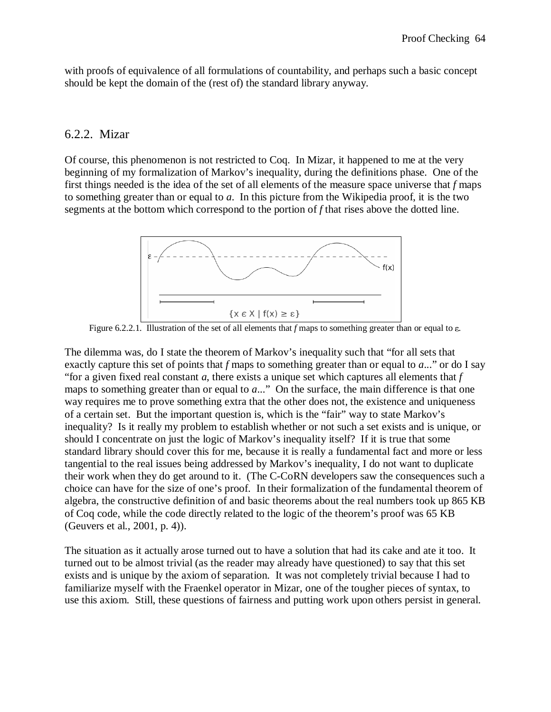with proofs of equivalence of all formulations of countability, and perhaps such a basic concept should be kept the domain of the (rest of) the standard library anyway.

#### 6.2.2. Mizar

Of course, this phenomenon is not restricted to Coq. In Mizar, it happened to me at the very beginning of my formalization of Markov's inequality, during the definitions phase. One of the first things needed is the idea of the set of all elements of the measure space universe that *f* maps to something greater than or equal to *a*. In this picture from the Wikipedia proof, it is the two segments at the bottom which correspond to the portion of *f* that rises above the dotted line.



Figure 6.2.2.1. Illustration of the set of all elements that *f* maps to something greater than or equal to ε.

The dilemma was, do I state the theorem of Markov's inequality such that "for all sets that exactly capture this set of points that *f* maps to something greater than or equal to *a*..." or do I say "for a given fixed real constant *a*, there exists a unique set which captures all elements that *f* maps to something greater than or equal to *a*..." On the surface, the main difference is that one way requires me to prove something extra that the other does not, the existence and uniqueness of a certain set. But the important question is, which is the "fair" way to state Markov's inequality? Is it really my problem to establish whether or not such a set exists and is unique, or should I concentrate on just the logic of Markov's inequality itself? If it is true that some standard library should cover this for me, because it is really a fundamental fact and more or less tangential to the real issues being addressed by Markov's inequality, I do not want to duplicate their work when they do get around to it. (The C-CoRN developers saw the consequences such a choice can have for the size of one's proof. In their formalization of the fundamental theorem of algebra, the constructive definition of and basic theorems about the real numbers took up 865 KB of Coq code, while the code directly related to the logic of the theorem's proof was 65 KB (Geuvers et al., 2001, p. 4)).

The situation as it actually arose turned out to have a solution that had its cake and ate it too. It turned out to be almost trivial (as the reader may already have questioned) to say that this set exists and is unique by the axiom of separation. It was not completely trivial because I had to familiarize myself with the Fraenkel operator in Mizar, one of the tougher pieces of syntax, to use this axiom. Still, these questions of fairness and putting work upon others persist in general.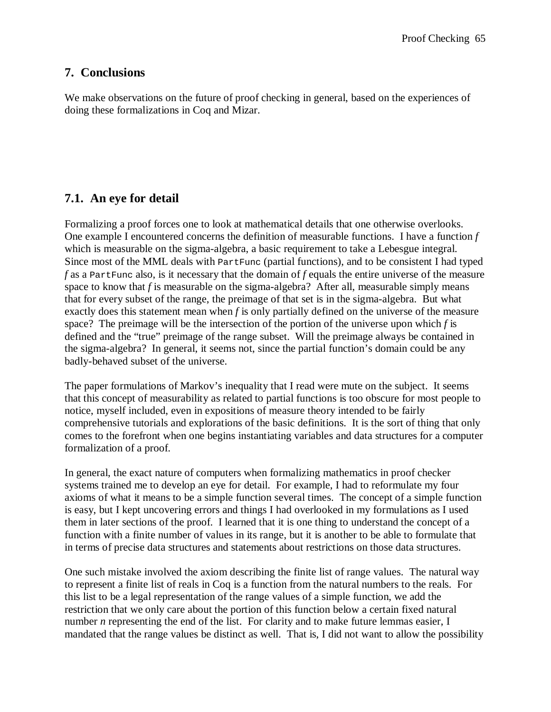### **7. Conclusions**

We make observations on the future of proof checking in general, based on the experiences of doing these formalizations in Coq and Mizar.

## **7.1. An eye for detail**

Formalizing a proof forces one to look at mathematical details that one otherwise overlooks. One example I encountered concerns the definition of measurable functions. I have a function *f* which is measurable on the sigma-algebra, a basic requirement to take a Lebesgue integral. Since most of the MML deals with PartFunc (partial functions), and to be consistent I had typed *f* as a PartFunc also, is it necessary that the domain of *f* equals the entire universe of the measure space to know that *f* is measurable on the sigma-algebra? After all, measurable simply means that for every subset of the range, the preimage of that set is in the sigma-algebra. But what exactly does this statement mean when *f* is only partially defined on the universe of the measure space? The preimage will be the intersection of the portion of the universe upon which *f* is defined and the "true" preimage of the range subset. Will the preimage always be contained in the sigma-algebra? In general, it seems not, since the partial function's domain could be any badly-behaved subset of the universe.

The paper formulations of Markov's inequality that I read were mute on the subject. It seems that this concept of measurability as related to partial functions is too obscure for most people to notice, myself included, even in expositions of measure theory intended to be fairly comprehensive tutorials and explorations of the basic definitions. It is the sort of thing that only comes to the forefront when one begins instantiating variables and data structures for a computer formalization of a proof.

In general, the exact nature of computers when formalizing mathematics in proof checker systems trained me to develop an eye for detail. For example, I had to reformulate my four axioms of what it means to be a simple function several times. The concept of a simple function is easy, but I kept uncovering errors and things I had overlooked in my formulations as I used them in later sections of the proof. I learned that it is one thing to understand the concept of a function with a finite number of values in its range, but it is another to be able to formulate that in terms of precise data structures and statements about restrictions on those data structures.

One such mistake involved the axiom describing the finite list of range values. The natural way to represent a finite list of reals in Coq is a function from the natural numbers to the reals. For this list to be a legal representation of the range values of a simple function, we add the restriction that we only care about the portion of this function below a certain fixed natural number *n* representing the end of the list. For clarity and to make future lemmas easier, I mandated that the range values be distinct as well. That is, I did not want to allow the possibility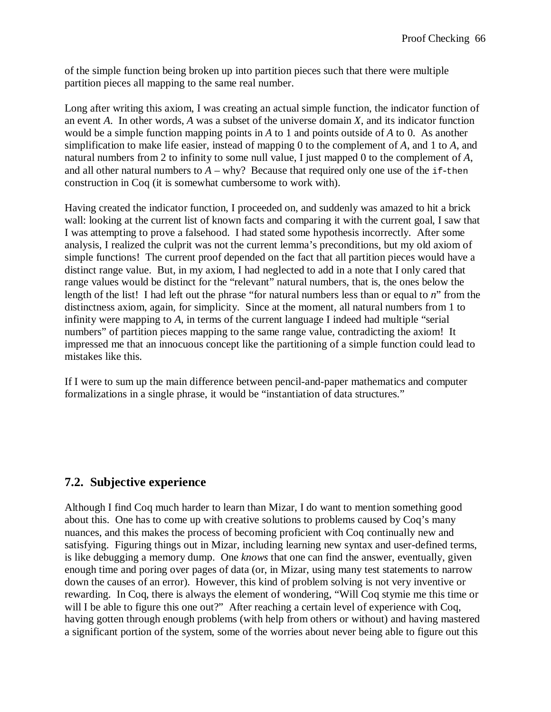of the simple function being broken up into partition pieces such that there were multiple partition pieces all mapping to the same real number.

Long after writing this axiom, I was creating an actual simple function, the indicator function of an event *A*. In other words, *A* was a subset of the universe domain *X*, and its indicator function would be a simple function mapping points in *A* to 1 and points outside of *A* to 0. As another simplification to make life easier, instead of mapping 0 to the complement of *A*, and 1 to *A*, and natural numbers from 2 to infinity to some null value, I just mapped 0 to the complement of *A*, and all other natural numbers to  $A - why$ ? Because that required only one use of the if-then construction in Coq (it is somewhat cumbersome to work with).

Having created the indicator function, I proceeded on, and suddenly was amazed to hit a brick wall: looking at the current list of known facts and comparing it with the current goal, I saw that I was attempting to prove a falsehood. I had stated some hypothesis incorrectly. After some analysis, I realized the culprit was not the current lemma's preconditions, but my old axiom of simple functions! The current proof depended on the fact that all partition pieces would have a distinct range value. But, in my axiom, I had neglected to add in a note that I only cared that range values would be distinct for the "relevant" natural numbers, that is, the ones below the length of the list! I had left out the phrase "for natural numbers less than or equal to *n*" from the distinctness axiom, again, for simplicity. Since at the moment, all natural numbers from 1 to infinity were mapping to *A*, in terms of the current language I indeed had multiple "serial numbers" of partition pieces mapping to the same range value, contradicting the axiom! It impressed me that an innocuous concept like the partitioning of a simple function could lead to mistakes like this.

If I were to sum up the main difference between pencil-and-paper mathematics and computer formalizations in a single phrase, it would be "instantiation of data structures."

# **7.2. Subjective experience**

Although I find Coq much harder to learn than Mizar, I do want to mention something good about this. One has to come up with creative solutions to problems caused by Coq's many nuances, and this makes the process of becoming proficient with Coq continually new and satisfying. Figuring things out in Mizar, including learning new syntax and user-defined terms, is like debugging a memory dump. One *knows* that one can find the answer, eventually, given enough time and poring over pages of data (or, in Mizar, using many test statements to narrow down the causes of an error). However, this kind of problem solving is not very inventive or rewarding. In Coq, there is always the element of wondering, "Will Coq stymie me this time or will I be able to figure this one out?" After reaching a certain level of experience with Coq, having gotten through enough problems (with help from others or without) and having mastered a significant portion of the system, some of the worries about never being able to figure out this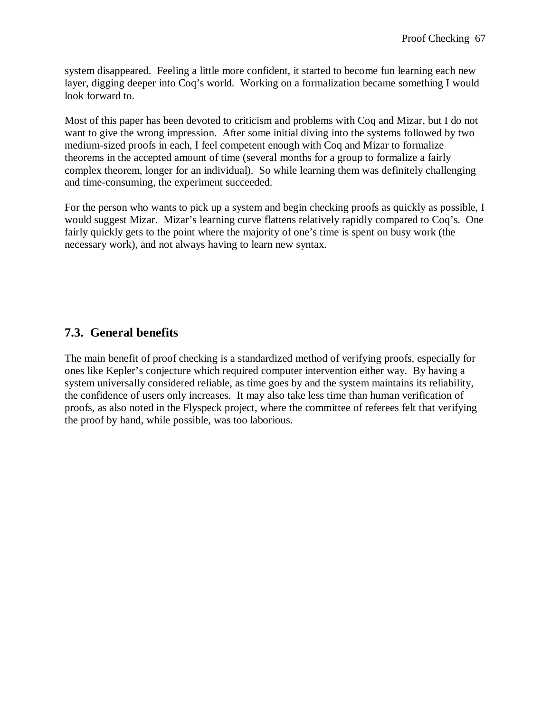system disappeared. Feeling a little more confident, it started to become fun learning each new layer, digging deeper into Coq's world. Working on a formalization became something I would look forward to.

Most of this paper has been devoted to criticism and problems with Coq and Mizar, but I do not want to give the wrong impression. After some initial diving into the systems followed by two medium-sized proofs in each, I feel competent enough with Coq and Mizar to formalize theorems in the accepted amount of time (several months for a group to formalize a fairly complex theorem, longer for an individual). So while learning them was definitely challenging and time-consuming, the experiment succeeded.

For the person who wants to pick up a system and begin checking proofs as quickly as possible, I would suggest Mizar. Mizar's learning curve flattens relatively rapidly compared to Coq's. One fairly quickly gets to the point where the majority of one's time is spent on busy work (the necessary work), and not always having to learn new syntax.

# **7.3. General benefits**

The main benefit of proof checking is a standardized method of verifying proofs, especially for ones like Kepler's conjecture which required computer intervention either way. By having a system universally considered reliable, as time goes by and the system maintains its reliability, the confidence of users only increases. It may also take less time than human verification of proofs, as also noted in the Flyspeck project, where the committee of referees felt that verifying the proof by hand, while possible, was too laborious.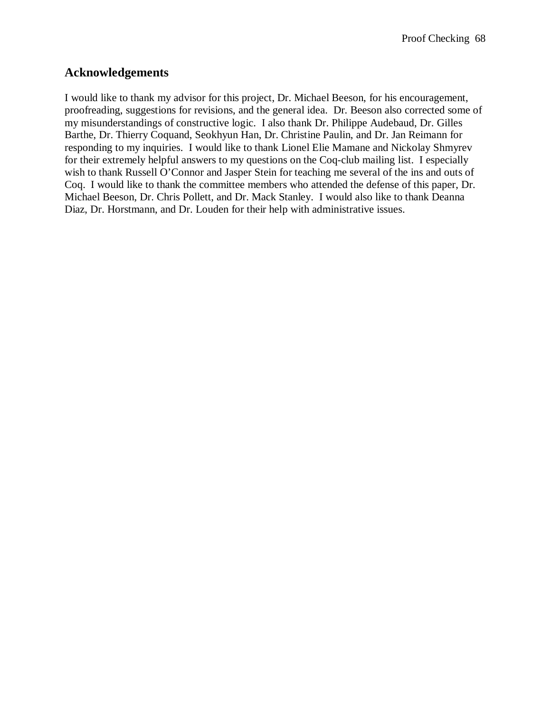## **Acknowledgements**

I would like to thank my advisor for this project, Dr. Michael Beeson, for his encouragement, proofreading, suggestions for revisions, and the general idea. Dr. Beeson also corrected some of my misunderstandings of constructive logic. I also thank Dr. Philippe Audebaud, Dr. Gilles Barthe, Dr. Thierry Coquand, Seokhyun Han, Dr. Christine Paulin, and Dr. Jan Reimann for responding to my inquiries. I would like to thank Lionel Elie Mamane and Nickolay Shmyrev for their extremely helpful answers to my questions on the Coq-club mailing list. I especially wish to thank Russell O'Connor and Jasper Stein for teaching me several of the ins and outs of Coq. I would like to thank the committee members who attended the defense of this paper, Dr. Michael Beeson, Dr. Chris Pollett, and Dr. Mack Stanley. I would also like to thank Deanna Diaz, Dr. Horstmann, and Dr. Louden for their help with administrative issues.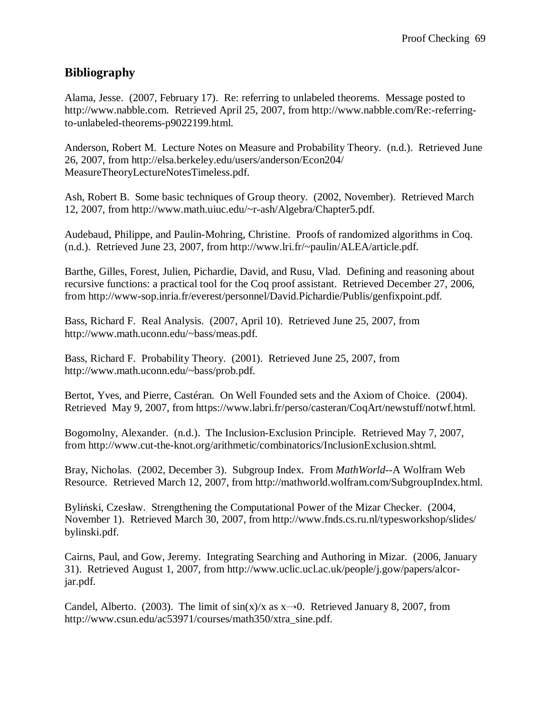## **Bibliography**

Alama, Jesse. (2007, February 17). Re: referring to unlabeled theorems. Message posted to http://www.nabble.com. Retrieved April 25, 2007, from http://www.nabble.com/Re:-referringto-unlabeled-theorems-p9022199.html.

Anderson, Robert M. Lecture Notes on Measure and Probability Theory. (n.d.). Retrieved June 26, 2007, from http://elsa.berkeley.edu/users/anderson/Econ204/ MeasureTheoryLectureNotesTimeless.pdf.

Ash, Robert B. Some basic techniques of Group theory. (2002, November). Retrieved March 12, 2007, from http://www.math.uiuc.edu/~r-ash/Algebra/Chapter5.pdf.

Audebaud, Philippe, and Paulin-Mohring, Christine. Proofs of randomized algorithms in Coq. (n.d.). Retrieved June 23, 2007, from http://www.lri.fr/~paulin/ALEA/article.pdf.

Barthe, Gilles, Forest, Julien, Pichardie, David, and Rusu, Vlad. Defining and reasoning about recursive functions: a practical tool for the Coq proof assistant. Retrieved December 27, 2006, from http://www-sop.inria.fr/everest/personnel/David.Pichardie/Publis/genfixpoint.pdf.

Bass, Richard F. Real Analysis. (2007, April 10). Retrieved June 25, 2007, from http://www.math.uconn.edu/~bass/meas.pdf.

Bass, Richard F. Probability Theory. (2001). Retrieved June 25, 2007, from http://www.math.uconn.edu/~bass/prob.pdf.

Bertot, Yves, and Pierre, Castéran. On Well Founded sets and the Axiom of Choice. (2004). Retrieved May 9, 2007, from https://www.labri.fr/perso/casteran/CoqArt/newstuff/notwf.html.

Bogomolny, Alexander. (n.d.). The Inclusion-Exclusion Principle. Retrieved May 7, 2007, from http://www.cut-the-knot.org/arithmetic/combinatorics/InclusionExclusion.shtml.

Bray, Nicholas. (2002, December 3). Subgroup Index. From *MathWorld*--A Wolfram Web Resource. Retrieved March 12, 2007, from http://mathworld.wolfram.com/SubgroupIndex.html.

Byliński, Czesław. Strengthening the Computational Power of the Mizar Checker. (2004, November 1). Retrieved March 30, 2007, from http://www.fnds.cs.ru.nl/typesworkshop/slides/ bylinski.pdf.

Cairns, Paul, and Gow, Jeremy. Integrating Searching and Authoring in Mizar. (2006, January 31). Retrieved August 1, 2007, from http://www.uclic.ucl.ac.uk/people/j.gow/papers/alcorjar.pdf.

Candel, Alberto. (2003). The limit of  $sin(x)/x$  as  $x\rightarrow 0$ . Retrieved January 8, 2007, from http://www.csun.edu/ac53971/courses/math350/xtra\_sine.pdf.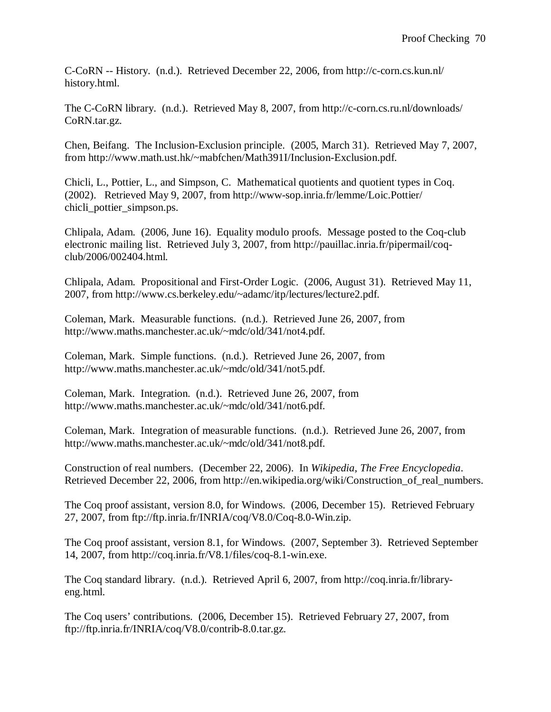C-CoRN -- History. (n.d.). Retrieved December 22, 2006, from http://c-corn.cs.kun.nl/ history.html.

The C-CoRN library. (n.d.). Retrieved May 8, 2007, from http://c-corn.cs.ru.nl/downloads/ CoRN.tar.gz.

Chen, Beifang. The Inclusion-Exclusion principle. (2005, March 31). Retrieved May 7, 2007, from http://www.math.ust.hk/~mabfchen/Math391I/Inclusion-Exclusion.pdf.

Chicli, L., Pottier, L., and Simpson, C. Mathematical quotients and quotient types in Coq. (2002). Retrieved May 9, 2007, from http://www-sop.inria.fr/lemme/Loic.Pottier/ chicli\_pottier\_simpson.ps.

Chlipala, Adam. (2006, June 16). Equality modulo proofs. Message posted to the Coq-club electronic mailing list. Retrieved July 3, 2007, from http://pauillac.inria.fr/pipermail/coqclub/2006/002404.html.

Chlipala, Adam. Propositional and First-Order Logic. (2006, August 31). Retrieved May 11, 2007, from http://www.cs.berkeley.edu/~adamc/itp/lectures/lecture2.pdf.

Coleman, Mark. Measurable functions. (n.d.). Retrieved June 26, 2007, from http://www.maths.manchester.ac.uk/~mdc/old/341/not4.pdf.

Coleman, Mark. Simple functions. (n.d.). Retrieved June 26, 2007, from http://www.maths.manchester.ac.uk/~mdc/old/341/not5.pdf.

Coleman, Mark. Integration. (n.d.). Retrieved June 26, 2007, from http://www.maths.manchester.ac.uk/~mdc/old/341/not6.pdf.

Coleman, Mark. Integration of measurable functions. (n.d.). Retrieved June 26, 2007, from http://www.maths.manchester.ac.uk/~mdc/old/341/not8.pdf.

Construction of real numbers. (December 22, 2006). In *Wikipedia, The Free Encyclopedia*. Retrieved December 22, 2006, from http://en.wikipedia.org/wiki/Construction\_of\_real\_numbers.

The Coq proof assistant, version 8.0, for Windows. (2006, December 15). Retrieved February 27, 2007, from ftp://ftp.inria.fr/INRIA/coq/V8.0/Coq-8.0-Win.zip.

The Coq proof assistant, version 8.1, for Windows. (2007, September 3). Retrieved September 14, 2007, from http://coq.inria.fr/V8.1/files/coq-8.1-win.exe.

The Coq standard library. (n.d.). Retrieved April 6, 2007, from http://coq.inria.fr/libraryeng.html.

The Coq users' contributions. (2006, December 15). Retrieved February 27, 2007, from ftp://ftp.inria.fr/INRIA/coq/V8.0/contrib-8.0.tar.gz.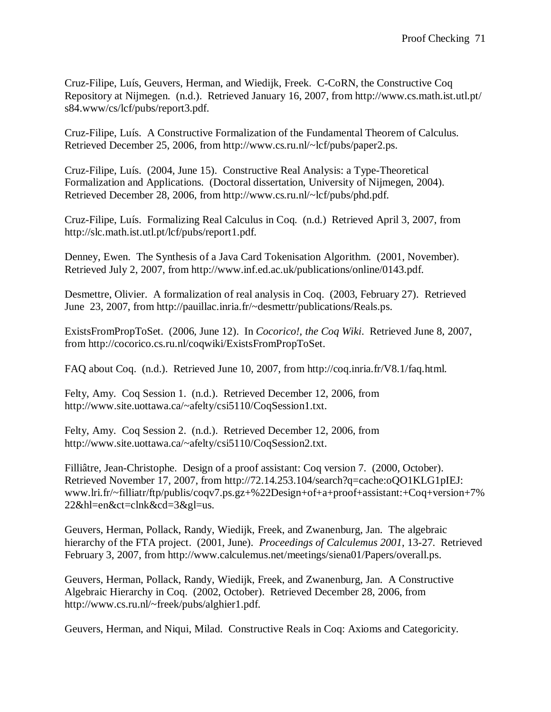Cruz-Filipe, Luís, Geuvers, Herman, and Wiedijk, Freek. C-CoRN, the Constructive Coq Repository at Nijmegen. (n.d.). Retrieved January 16, 2007, from http://www.cs.math.ist.utl.pt/ s84.www/cs/lcf/pubs/report3.pdf.

Cruz-Filipe, Luís. A Constructive Formalization of the Fundamental Theorem of Calculus. Retrieved December 25, 2006, from http://www.cs.ru.nl/~lcf/pubs/paper2.ps.

Cruz-Filipe, Luís. (2004, June 15). Constructive Real Analysis: a Type-Theoretical Formalization and Applications. (Doctoral dissertation, University of Nijmegen, 2004). Retrieved December 28, 2006, from http://www.cs.ru.nl/~lcf/pubs/phd.pdf.

Cruz-Filipe, Luís. Formalizing Real Calculus in Coq. (n.d.) Retrieved April 3, 2007, from http://slc.math.ist.utl.pt/lcf/pubs/report1.pdf.

Denney, Ewen. The Synthesis of a Java Card Tokenisation Algorithm. (2001, November). Retrieved July 2, 2007, from http://www.inf.ed.ac.uk/publications/online/0143.pdf.

Desmettre, Olivier. A formalization of real analysis in Coq. (2003, February 27). Retrieved June 23, 2007, from http://pauillac.inria.fr/~desmettr/publications/Reals.ps.

ExistsFromPropToSet. (2006, June 12). In *Cocorico!, the Coq Wiki*. Retrieved June 8, 2007, from http://cocorico.cs.ru.nl/coqwiki/ExistsFromPropToSet.

FAQ about Coq. (n.d.). Retrieved June 10, 2007, from http://coq.inria.fr/V8.1/faq.html.

Felty, Amy. Coq Session 1. (n.d.). Retrieved December 12, 2006, from http://www.site.uottawa.ca/~afelty/csi5110/CoqSession1.txt.

Felty, Amy. Coq Session 2. (n.d.). Retrieved December 12, 2006, from http://www.site.uottawa.ca/~afelty/csi5110/CoqSession2.txt.

Filliâtre, Jean-Christophe. Design of a proof assistant: Coq version 7. (2000, October). Retrieved November 17, 2007, from http://72.14.253.104/search?q=cache:oQO1KLG1pIEJ: www.lri.fr/~filliatr/ftp/publis/coqv7.ps.gz+%22Design+of+a+proof+assistant:+Coq+version+7% 22&hl=en&ct=clnk&cd=3&gl=us.

Geuvers, Herman, Pollack, Randy, Wiedijk, Freek, and Zwanenburg, Jan. The algebraic hierarchy of the FTA project. (2001, June). *Proceedings of Calculemus 2001*, 13-27. Retrieved February 3, 2007, from http://www.calculemus.net/meetings/siena01/Papers/overall.ps.

Geuvers, Herman, Pollack, Randy, Wiedijk, Freek, and Zwanenburg, Jan. A Constructive Algebraic Hierarchy in Coq. (2002, October). Retrieved December 28, 2006, from http://www.cs.ru.nl/~freek/pubs/alghier1.pdf.

Geuvers, Herman, and Niqui, Milad. Constructive Reals in Coq: Axioms and Categoricity.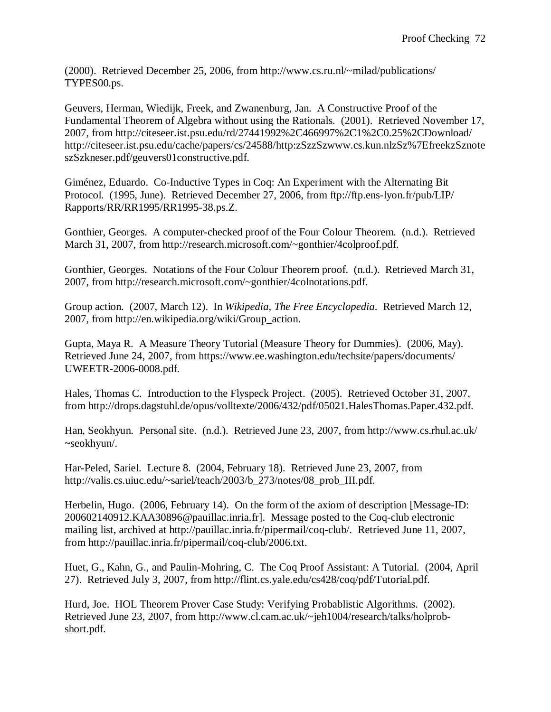(2000). Retrieved December 25, 2006, from http://www.cs.ru.nl/~milad/publications/ TYPES00.ps.

Geuvers, Herman, Wiedijk, Freek, and Zwanenburg, Jan. A Constructive Proof of the Fundamental Theorem of Algebra without using the Rationals. (2001). Retrieved November 17, 2007, from http://citeseer.ist.psu.edu/rd/27441992%2C466997%2C1%2C0.25%2CDownload/ http://citeseer.ist.psu.edu/cache/papers/cs/24588/http:zSzzSzwww.cs.kun.nlzSz%7EfreekzSznote szSzkneser.pdf/geuvers01constructive.pdf.

Giménez, Eduardo. Co-Inductive Types in Coq: An Experiment with the Alternating Bit Protocol. (1995, June). Retrieved December 27, 2006, from ftp://ftp.ens-lyon.fr/pub/LIP/ Rapports/RR/RR1995/RR1995-38.ps.Z.

Gonthier, Georges. A computer-checked proof of the Four Colour Theorem. (n.d.). Retrieved March 31, 2007, from http://research.microsoft.com/~gonthier/4colproof.pdf.

Gonthier, Georges. Notations of the Four Colour Theorem proof. (n.d.). Retrieved March 31, 2007, from http://research.microsoft.com/~gonthier/4colnotations.pdf.

Group action. (2007, March 12). In *Wikipedia, The Free Encyclopedia*. Retrieved March 12, 2007, from http://en.wikipedia.org/wiki/Group\_action.

Gupta, Maya R. A Measure Theory Tutorial (Measure Theory for Dummies). (2006, May). Retrieved June 24, 2007, from https://www.ee.washington.edu/techsite/papers/documents/ UWEETR-2006-0008.pdf.

Hales, Thomas C. Introduction to the Flyspeck Project. (2005). Retrieved October 31, 2007, from http://drops.dagstuhl.de/opus/volltexte/2006/432/pdf/05021.HalesThomas.Paper.432.pdf.

Han, Seokhyun. Personal site. (n.d.). Retrieved June 23, 2007, from http://www.cs.rhul.ac.uk/ ~seokhyun/.

Har-Peled, Sariel. Lecture 8. (2004, February 18). Retrieved June 23, 2007, from http://valis.cs.uiuc.edu/~sariel/teach/2003/b\_273/notes/08\_prob\_III.pdf.

Herbelin, Hugo. (2006, February 14). On the form of the axiom of description [Message-ID: 200602140912.KAA30896@pauillac.inria.fr]. Message posted to the Coq-club electronic mailing list, archived at http://pauillac.inria.fr/pipermail/coq-club/. Retrieved June 11, 2007, from http://pauillac.inria.fr/pipermail/coq-club/2006.txt.

Huet, G., Kahn, G., and Paulin-Mohring, C. The Coq Proof Assistant: A Tutorial. (2004, April 27). Retrieved July 3, 2007, from http://flint.cs.yale.edu/cs428/coq/pdf/Tutorial.pdf.

Hurd, Joe. HOL Theorem Prover Case Study: Verifying Probablistic Algorithms. (2002). Retrieved June 23, 2007, from http://www.cl.cam.ac.uk/~jeh1004/research/talks/holprobshort.pdf.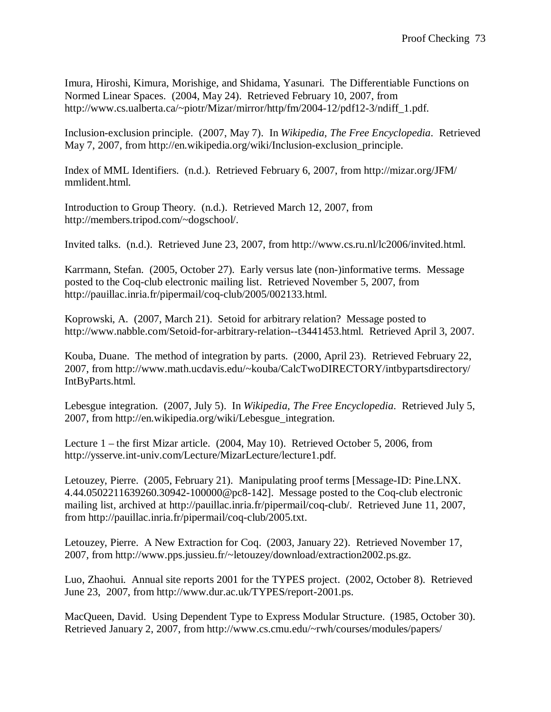Imura, Hiroshi, Kimura, Morishige, and Shidama, Yasunari. The Differentiable Functions on Normed Linear Spaces. (2004, May 24). Retrieved February 10, 2007, from http://www.cs.ualberta.ca/~piotr/Mizar/mirror/http/fm/2004-12/pdf12-3/ndiff\_1.pdf.

Inclusion-exclusion principle. (2007, May 7). In *Wikipedia, The Free Encyclopedia*. Retrieved May 7, 2007, from http://en.wikipedia.org/wiki/Inclusion-exclusion\_principle.

Index of MML Identifiers. (n.d.). Retrieved February 6, 2007, from http://mizar.org/JFM/ mmlident.html.

Introduction to Group Theory. (n.d.). Retrieved March 12, 2007, from http://members.tripod.com/~dogschool/.

Invited talks. (n.d.). Retrieved June 23, 2007, from http://www.cs.ru.nl/lc2006/invited.html.

Karrmann, Stefan. (2005, October 27). Early versus late (non-)informative terms. Message posted to the Coq-club electronic mailing list. Retrieved November 5, 2007, from http://pauillac.inria.fr/pipermail/coq-club/2005/002133.html.

Koprowski, A. (2007, March 21). Setoid for arbitrary relation? Message posted to http://www.nabble.com/Setoid-for-arbitrary-relation--t3441453.html. Retrieved April 3, 2007.

Kouba, Duane. The method of integration by parts. (2000, April 23). Retrieved February 22, 2007, from http://www.math.ucdavis.edu/~kouba/CalcTwoDIRECTORY/intbypartsdirectory/ IntByParts.html.

Lebesgue integration. (2007, July 5). In *Wikipedia, The Free Encyclopedia*. Retrieved July 5, 2007, from http://en.wikipedia.org/wiki/Lebesgue\_integration.

Lecture 1 – the first Mizar article. (2004, May 10). Retrieved October 5, 2006, from http://ysserve.int-univ.com/Lecture/MizarLecture/lecture1.pdf.

Letouzey, Pierre. (2005, February 21). Manipulating proof terms [Message-ID: Pine.LNX. 4.44.0502211639260.30942-100000@pc8-142]. Message posted to the Coq-club electronic mailing list, archived at http://pauillac.inria.fr/pipermail/coq-club/. Retrieved June 11, 2007, from http://pauillac.inria.fr/pipermail/coq-club/2005.txt.

Letouzey, Pierre. A New Extraction for Coq. (2003, January 22). Retrieved November 17, 2007, from http://www.pps.jussieu.fr/~letouzey/download/extraction2002.ps.gz.

Luo, Zhaohui. Annual site reports 2001 for the TYPES project. (2002, October 8). Retrieved June 23, 2007, from http://www.dur.ac.uk/TYPES/report-2001.ps.

MacQueen, David. Using Dependent Type to Express Modular Structure. (1985, October 30). Retrieved January 2, 2007, from http://www.cs.cmu.edu/~rwh/courses/modules/papers/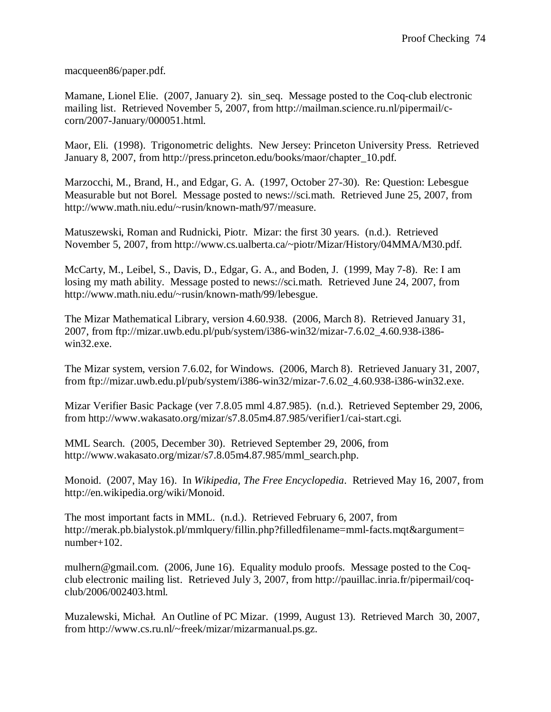macqueen86/paper.pdf.

Mamane, Lionel Elie. (2007, January 2). sin\_seq. Message posted to the Coq-club electronic mailing list. Retrieved November 5, 2007, from http://mailman.science.ru.nl/pipermail/ccorn/2007-January/000051.html.

Maor, Eli. (1998). Trigonometric delights. New Jersey: Princeton University Press. Retrieved January 8, 2007, from http://press.princeton.edu/books/maor/chapter\_10.pdf.

Marzocchi, M., Brand, H., and Edgar, G. A. (1997, October 27-30). Re: Question: Lebesgue Measurable but not Borel. Message posted to news://sci.math. Retrieved June 25, 2007, from http://www.math.niu.edu/~rusin/known-math/97/measure.

Matuszewski, Roman and Rudnicki, Piotr. Mizar: the first 30 years. (n.d.). Retrieved November 5, 2007, from http://www.cs.ualberta.ca/~piotr/Mizar/History/04MMA/M30.pdf.

McCarty, M., Leibel, S., Davis, D., Edgar, G. A., and Boden, J. (1999, May 7-8). Re: I am losing my math ability. Message posted to news://sci.math. Retrieved June 24, 2007, from http://www.math.niu.edu/~rusin/known-math/99/lebesgue.

The Mizar Mathematical Library, version 4.60.938. (2006, March 8). Retrieved January 31, 2007, from ftp://mizar.uwb.edu.pl/pub/system/i386-win32/mizar-7.6.02\_4.60.938-i386 win32.exe.

The Mizar system, version 7.6.02, for Windows. (2006, March 8). Retrieved January 31, 2007, from ftp://mizar.uwb.edu.pl/pub/system/i386-win32/mizar-7.6.02\_4.60.938-i386-win32.exe.

Mizar Verifier Basic Package (ver 7.8.05 mml 4.87.985). (n.d.). Retrieved September 29, 2006, from http://www.wakasato.org/mizar/s7.8.05m4.87.985/verifier1/cai-start.cgi.

MML Search. (2005, December 30). Retrieved September 29, 2006, from http://www.wakasato.org/mizar/s7.8.05m4.87.985/mml\_search.php.

Monoid. (2007, May 16). In *Wikipedia, The Free Encyclopedia*. Retrieved May 16, 2007, from http://en.wikipedia.org/wiki/Monoid.

The most important facts in MML. (n.d.). Retrieved February 6, 2007, from http://merak.pb.bialystok.pl/mmlquery/fillin.php?filledfilename=mml-facts.mqt&argument= number+102.

mulhern@gmail.com. (2006, June 16). Equality modulo proofs. Message posted to the Coqclub electronic mailing list. Retrieved July 3, 2007, from http://pauillac.inria.fr/pipermail/coqclub/2006/002403.html.

Muzalewski, Michał. An Outline of PC Mizar. (1999, August 13). Retrieved March 30, 2007, from http://www.cs.ru.nl/~freek/mizar/mizarmanual.ps.gz.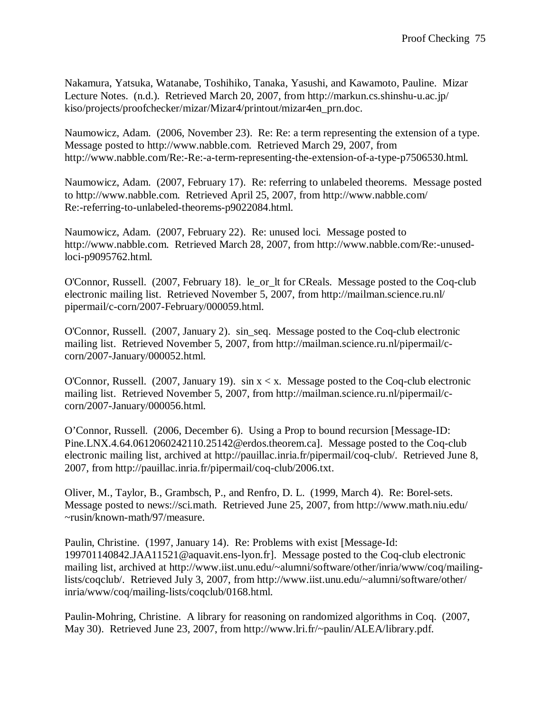Nakamura, Yatsuka, Watanabe, Toshihiko, Tanaka, Yasushi, and Kawamoto, Pauline. Mizar Lecture Notes. (n.d.). Retrieved March 20, 2007, from http://markun.cs.shinshu-u.ac.jp/ kiso/projects/proofchecker/mizar/Mizar4/printout/mizar4en\_prn.doc.

Naumowicz, Adam. (2006, November 23). Re: Re: a term representing the extension of a type. Message posted to http://www.nabble.com. Retrieved March 29, 2007, from http://www.nabble.com/Re:-Re:-a-term-representing-the-extension-of-a-type-p7506530.html.

Naumowicz, Adam. (2007, February 17). Re: referring to unlabeled theorems. Message posted to http://www.nabble.com. Retrieved April 25, 2007, from http://www.nabble.com/ Re:-referring-to-unlabeled-theorems-p9022084.html.

Naumowicz, Adam. (2007, February 22). Re: unused loci. Message posted to http://www.nabble.com. Retrieved March 28, 2007, from http://www.nabble.com/Re:-unusedloci-p9095762.html.

O'Connor, Russell. (2007, February 18). le\_or\_lt for CReals. Message posted to the Coq-club electronic mailing list. Retrieved November 5, 2007, from http://mailman.science.ru.nl/ pipermail/c-corn/2007-February/000059.html.

O'Connor, Russell. (2007, January 2). sin\_seq. Message posted to the Coq-club electronic mailing list. Retrieved November 5, 2007, from http://mailman.science.ru.nl/pipermail/ccorn/2007-January/000052.html.

O'Connor, Russell. (2007, January 19).  $\sin x < x$ . Message posted to the Coq-club electronic mailing list. Retrieved November 5, 2007, from http://mailman.science.ru.nl/pipermail/ccorn/2007-January/000056.html.

O'Connor, Russell. (2006, December 6). Using a Prop to bound recursion [Message-ID: Pine.LNX.4.64.0612060242110.25142@erdos.theorem.ca]. Message posted to the Coq-club electronic mailing list, archived at http://pauillac.inria.fr/pipermail/coq-club/. Retrieved June 8, 2007, from http://pauillac.inria.fr/pipermail/coq-club/2006.txt.

Oliver, M., Taylor, B., Grambsch, P., and Renfro, D. L. (1999, March 4). Re: Borel-sets. Message posted to news://sci.math. Retrieved June 25, 2007, from http://www.math.niu.edu/ ~rusin/known-math/97/measure.

Paulin, Christine. (1997, January 14). Re: Problems with exist [Message-Id: 199701140842.JAA11521@aquavit.ens-lyon.fr]. Message posted to the Coq-club electronic mailing list, archived at http://www.iist.unu.edu/~alumni/software/other/inria/www/coq/mailinglists/coqclub/. Retrieved July 3, 2007, from http://www.iist.unu.edu/~alumni/software/other/ inria/www/coq/mailing-lists/coqclub/0168.html.

Paulin-Mohring, Christine. A library for reasoning on randomized algorithms in Coq. (2007, May 30). Retrieved June 23, 2007, from http://www.lri.fr/~paulin/ALEA/library.pdf.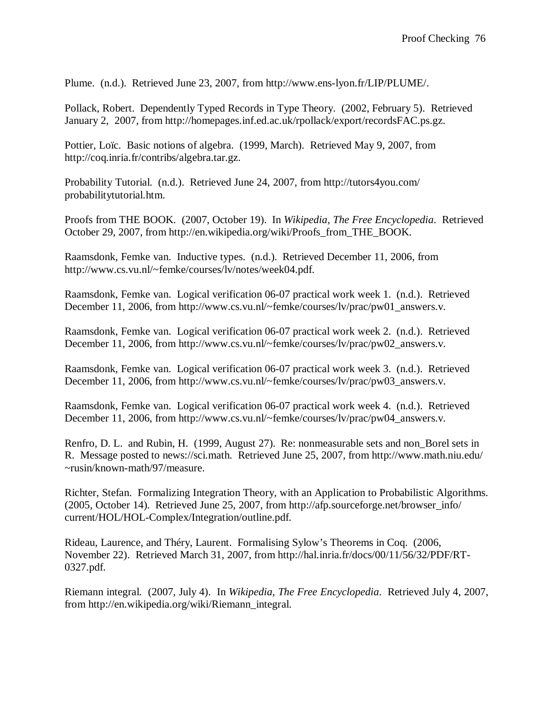Plume. (n.d.). Retrieved June 23, 2007, from http://www.ens-lyon.fr/LIP/PLUME/.

Pollack, Robert. Dependently Typed Records in Type Theory. (2002, February 5). Retrieved January 2, 2007, from http://homepages.inf.ed.ac.uk/rpollack/export/recordsFAC.ps.gz.

Pottier, Loïc. Basic notions of algebra. (1999, March). Retrieved May 9, 2007, from http://coq.inria.fr/contribs/algebra.tar.gz.

Probability Tutorial. (n.d.). Retrieved June 24, 2007, from http://tutors4you.com/ probabilitytutorial.htm.

Proofs from THE BOOK. (2007, October 19). In *Wikipedia, The Free Encyclopedia*. Retrieved October 29, 2007, from http://en.wikipedia.org/wiki/Proofs\_from\_THE\_BOOK.

Raamsdonk, Femke van. Inductive types. (n.d.). Retrieved December 11, 2006, from http://www.cs.vu.nl/~femke/courses/lv/notes/week04.pdf.

Raamsdonk, Femke van. Logical verification 06-07 practical work week 1. (n.d.). Retrieved December 11, 2006, from http://www.cs.vu.nl/~femke/courses/lv/prac/pw01\_answers.v.

Raamsdonk, Femke van. Logical verification 06-07 practical work week 2. (n.d.). Retrieved December 11, 2006, from http://www.cs.vu.nl/~femke/courses/lv/prac/pw02\_answers.v.

Raamsdonk, Femke van. Logical verification 06-07 practical work week 3. (n.d.). Retrieved December 11, 2006, from http://www.cs.vu.nl/~femke/courses/lv/prac/pw03\_answers.v.

Raamsdonk, Femke van. Logical verification 06-07 practical work week 4. (n.d.). Retrieved December 11, 2006, from http://www.cs.vu.nl/~femke/courses/lv/prac/pw04\_answers.v.

Renfro, D. L. and Rubin, H. (1999, August 27). Re: nonmeasurable sets and non\_Borel sets in R. Message posted to news://sci.math. Retrieved June 25, 2007, from http://www.math.niu.edu/ ~rusin/known-math/97/measure.

Richter, Stefan. Formalizing Integration Theory, with an Application to Probabilistic Algorithms. (2005, October 14). Retrieved June 25, 2007, from http://afp.sourceforge.net/browser\_info/ current/HOL/HOL-Complex/Integration/outline.pdf.

Rideau, Laurence, and Théry, Laurent. Formalising Sylow's Theorems in Coq. (2006, November 22). Retrieved March 31, 2007, from http://hal.inria.fr/docs/00/11/56/32/PDF/RT-0327.pdf.

Riemann integral. (2007, July 4). In *Wikipedia, The Free Encyclopedia*. Retrieved July 4, 2007, from http://en.wikipedia.org/wiki/Riemann\_integral.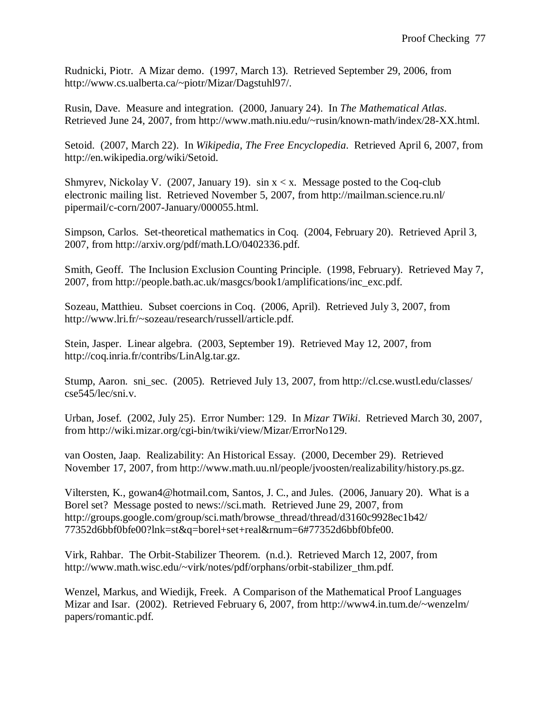Rudnicki, Piotr. A Mizar demo. (1997, March 13). Retrieved September 29, 2006, from http://www.cs.ualberta.ca/~piotr/Mizar/Dagstuhl97/.

Rusin, Dave. Measure and integration. (2000, January 24). In *The Mathematical Atlas*. Retrieved June 24, 2007, from http://www.math.niu.edu/~rusin/known-math/index/28-XX.html.

Setoid. (2007, March 22). In *Wikipedia, The Free Encyclopedia*. Retrieved April 6, 2007, from http://en.wikipedia.org/wiki/Setoid.

Shmyrev, Nickolay V. (2007, January 19). sin  $x < x$ . Message posted to the Coq-club electronic mailing list. Retrieved November 5, 2007, from http://mailman.science.ru.nl/ pipermail/c-corn/2007-January/000055.html.

Simpson, Carlos. Set-theoretical mathematics in Coq. (2004, February 20). Retrieved April 3, 2007, from http://arxiv.org/pdf/math.LO/0402336.pdf.

Smith, Geoff. The Inclusion Exclusion Counting Principle. (1998, February). Retrieved May 7, 2007, from http://people.bath.ac.uk/masgcs/book1/amplifications/inc\_exc.pdf.

Sozeau, Matthieu. Subset coercions in Coq. (2006, April). Retrieved July 3, 2007, from http://www.lri.fr/~sozeau/research/russell/article.pdf.

Stein, Jasper. Linear algebra. (2003, September 19). Retrieved May 12, 2007, from http://coq.inria.fr/contribs/LinAlg.tar.gz.

Stump, Aaron. sni\_sec. (2005). Retrieved July 13, 2007, from http://cl.cse.wustl.edu/classes/ cse545/lec/sni.v.

Urban, Josef. (2002, July 25). Error Number: 129. In *Mizar TWiki*. Retrieved March 30, 2007, from http://wiki.mizar.org/cgi-bin/twiki/view/Mizar/ErrorNo129.

van Oosten, Jaap. Realizability: An Historical Essay. (2000, December 29). Retrieved November 17, 2007, from http://www.math.uu.nl/people/jvoosten/realizability/history.ps.gz.

Viltersten, K., gowan4@hotmail.com, Santos, J. C., and Jules. (2006, January 20). What is a Borel set? Message posted to news://sci.math. Retrieved June 29, 2007, from http://groups.google.com/group/sci.math/browse\_thread/thread/d3160c9928ec1b42/ 77352d6bbf0bfe00?lnk=st&q=borel+set+real&rnum=6#77352d6bbf0bfe00.

Virk, Rahbar. The Orbit-Stabilizer Theorem. (n.d.). Retrieved March 12, 2007, from http://www.math.wisc.edu/~virk/notes/pdf/orphans/orbit-stabilizer\_thm.pdf.

Wenzel, Markus, and Wiedijk, Freek. A Comparison of the Mathematical Proof Languages Mizar and Isar. (2002). Retrieved February 6, 2007, from http://www4.in.tum.de/~wenzelm/ papers/romantic.pdf.